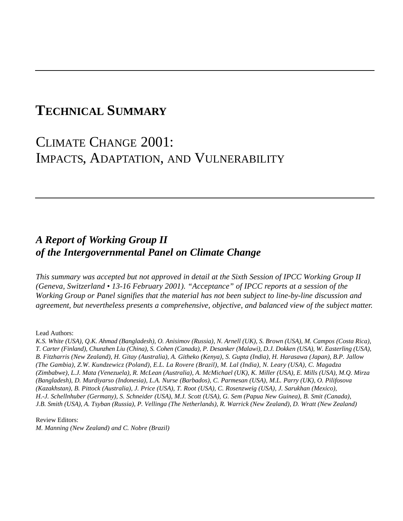# **TECHNICAL SUMMARY**

CLIMATE CHANGE 2001: IMPACTS, ADAPTATION, AND VULNERABILITY

## *A Report of Working Group II of the Intergovernmental Panel on Climate Change*

*This summary was accepted but not approved in detail at the Sixth Session of IPCC Working Group II (Geneva, Switzerland • 13-16 February 2001). "Acceptance" of IPCC reports at a session of the Working Group or Panel signifies that the material has not been subject to line-by-line discussion and agreement, but nevertheless presents a comprehensive, objective, and balanced view of the subject matter.*

Lead Authors:

*K.S. White (USA), Q.K. Ahmad (Bangladesh), O. Anisimov (Russia), N. Arnell (UK), S. Brown (USA), M. Campos (Costa Rica), T. Carter (Finland), Chunzhen Liu (China), S. Cohen (Canada), P. Desanker (Malawi), D.J. Dokken (USA), W. Easterling (USA), B. Fitzharris (New Zealand), H. Gitay (Australia), A. Githeko (Kenya), S. Gupta (India), H. Harasawa (Japan), B.P. Jallow (The Gambia), Z.W. Kundzewicz (Poland), E.L. La Rovere (Brazil), M. Lal (India), N. Leary (USA), C. Magadza (Zimbabwe), L.J. Mata (Venezuela), R. McLean (Australia), A. McMichael (UK), K. Miller (USA), E. Mills (USA), M.Q. Mirza (Bangladesh), D. Murdiyarso (Indonesia), L.A. Nurse (Barbados), C. Parmesan (USA), M.L. Parry (UK), O. Pilifosova (Kazakhstan), B. Pittock (Australia), J. Price (USA), T. Root (USA), C. Rosenzweig (USA), J. Sarukhan (Mexico), H.-J. Schellnhuber (Germany), S. Schneider (USA), M.J. Scott (USA), G. Sem (Papua New Guinea), B. Smit (Canada), J.B. Smith (USA), A. Tsyban (Russia), P. Vellinga (The Netherlands), R. Warrick (New Zealand), D. Wratt (New Zealand)* 

Review Editors: *M. Manning (New Zealand) and C. Nobre (Brazil)*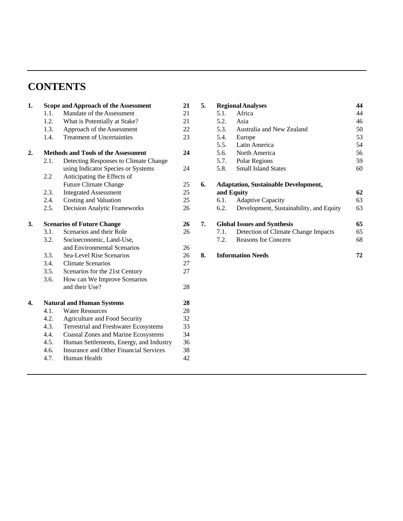## **CONTENTS**

| 1.               |      | <b>Scope and Approach of the Assessment</b>   | 21 |
|------------------|------|-----------------------------------------------|----|
|                  | 1.1. | Mandate of the Assessment                     | 21 |
|                  | 1.2. | What is Potentially at Stake?                 | 21 |
|                  | 1.3. | Approach of the Assessment                    | 22 |
|                  | 1.4. | <b>Treatment of Uncertainties</b>             | 23 |
| $\overline{2}$ . |      | <b>Methods and Tools of the Assessment</b>    | 24 |
|                  | 2.1. | Detecting Responses to Climate Change         |    |
|                  |      | using Indicator Species or Systems            | 24 |
|                  | 2.2  | Anticipating the Effects of                   |    |
|                  |      | <b>Future Climate Change</b>                  | 25 |
|                  | 2.3. | <b>Integrated Assessment</b>                  | 25 |
|                  | 2.4. | Costing and Valuation                         | 25 |
|                  | 2.5. | <b>Decision Analytic Frameworks</b>           | 26 |
| 3.               |      | <b>Scenarios of Future Change</b>             | 26 |
|                  | 3.1. | Scenarios and their Role                      | 26 |
|                  | 3.2. | Socioeconomic, Land-Use,                      |    |
|                  |      | and Environmental Scenarios                   | 26 |
|                  | 3.3. | <b>Sea-Level Rise Scenarios</b>               | 26 |
|                  | 3.4. | <b>Climate Scenarios</b>                      | 27 |
|                  | 3.5. | Scenarios for the 21st Century                | 27 |
|                  | 3.6. | How can We Improve Scenarios                  |    |
|                  |      | and their Use?                                | 28 |
| 4.               |      | <b>Natural and Human Systems</b>              | 28 |
|                  | 4.1. | <b>Water Resources</b>                        | 28 |
|                  | 4.2. | Agriculture and Food Security                 | 32 |
|                  | 4.3. | Terrestrial and Freshwater Ecosystems         | 33 |
|                  | 4.4. | <b>Coastal Zones and Marine Ecosystems</b>    | 34 |
|                  | 4.5. | Human Settlements, Energy, and Industry       | 36 |
|                  | 4.6. | <b>Insurance and Other Financial Services</b> | 38 |
|                  | 4.7. | Human Health                                  | 42 |

| 5. |      | <b>Regional Analyses</b>                    | 44 |
|----|------|---------------------------------------------|----|
|    | 5.1. | Africa                                      | 44 |
|    | 5.2. | Asia                                        | 46 |
|    | 5.3. | Australia and New Zealand                   | 50 |
|    | 5.4. | Europe                                      | 53 |
|    |      | 5.5. Latin America                          | 54 |
|    |      | 5.6. North America                          | 56 |
|    |      | 5.7. Polar Regions                          | 59 |
|    | 5.8. | <b>Small Island States</b>                  | 60 |
| 6. |      | <b>Adaptation, Sustainable Development,</b> |    |
|    |      | and Equity                                  | 62 |
|    | 6.1. | <b>Adaptive Capacity</b>                    | 63 |
|    | 6.2. | Development, Sustainability, and Equity     | 63 |
| 7. |      | <b>Global Issues and Synthesis</b>          | 65 |
|    | 7.1. | Detection of Climate Change Impacts         | 65 |
|    | 7.2. | <b>Reasons for Concern</b>                  | 68 |
| 8. |      | <b>Information Needs</b>                    | 72 |
|    |      |                                             |    |
|    |      |                                             |    |
|    |      |                                             |    |
|    |      |                                             |    |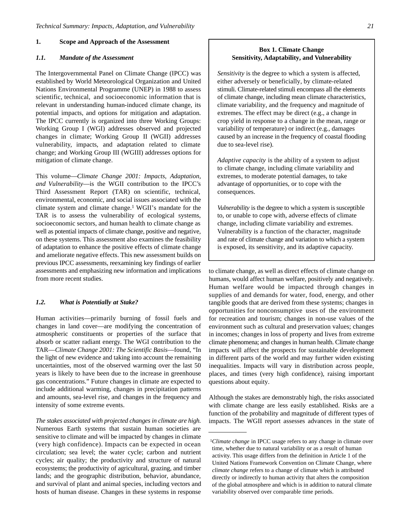#### **1. Scope and Approach of the Assessment**

## *1.1. Mandate of the Assessment*

The Intergovernmental Panel on Climate Change (IPCC) was established by World Meteorological Organization and United Nations Environmental Programme (UNEP) in 1988 to assess scientific, technical, and socioeconomic information that is relevant in understanding human-induced climate change, its potential impacts, and options for mitigation and adaptation. The IPCC currently is organized into three Working Groups: Working Group I (WGI) addresses observed and projected changes in climate; Working Group II (WGII) addresses vulnerability, impacts, and adaptation related to climate change; and Working Group III (WGIII) addresses options for mitigation of climate change.

This volume—*Climate Change 2001: Impacts, Adaptation, and Vulnerability*—is the WGII contribution to the IPCC's Third Assessment Report (TAR) on scientific, technical, environmental, economic, and social issues associated with the climate system and climate change.<sup>1</sup> WGII's mandate for the TAR is to assess the vulnerability of ecological systems, socioeconomic sectors, and human health to climate change as well as potential impacts of climate change, positive and negative, on these systems. This assessment also examines the feasibility of adaptation to enhance the positive effects of climate change and ameliorate negative effects. This new assessment builds on previous IPCC assessments, reexamining key findings of earlier assessments and emphasizing new information and implications from more recent studies.

#### *1.2. What is Potentially at Stake?*

Human activities—primarily burning of fossil fuels and changes in land cover—are modifying the concentration of atmospheric constituents or properties of the surface that absorb or scatter radiant energy. The WGI contribution to the TAR—*Climate Change 2001: The Scientific Basis*—found, "In the light of new evidence and taking into account the remaining uncertainties, most of the observed warming over the last 50 years is likely to have been due to the increase in greenhouse gas concentrations." Future changes in climate are expected to include additional warming, changes in precipitation patterns and amounts, sea-level rise, and changes in the frequency and intensity of some extreme events.

*The stakes associated with projected changes in climate are high.* Numerous Earth systems that sustain human societies are sensitive to climate and will be impacted by changes in climate (very high confidence). Impacts can be expected in ocean circulation; sea level; the water cycle; carbon and nutrient cycles; air quality; the productivity and structure of natural ecosystems; the productivity of agricultural, grazing, and timber lands; and the geographic distribution, behavior, abundance, and survival of plant and animal species, including vectors and hosts of human disease. Changes in these systems in response *Sensitivity* is the degree to which a system is affected, either adversely or beneficially, by climate-related stimuli. Climate-related stimuli encompass all the elements of climate change, including mean climate characteristics, climate variability, and the frequency and magnitude of extremes. The effect may be direct (e.g., a change in crop yield in response to a change in the mean, range or variability of temperature) or indirect (e.g., damages caused by an increase in the frequency of coastal flooding due to sea-level rise).

*Adaptive capacity* is the ability of a system to adjust to climate change, including climate variability and extremes, to moderate potential damages, to take advantage of opportunities, or to cope with the consequences.

*Vulnerability* is the degree to which a system is susceptible to, or unable to cope with, adverse effects of climate change, including climate variability and extremes. Vulnerability is a function of the character, magnitude and rate of climate change and variation to which a system is exposed, its sensitivity, and its adaptive capacity.

to climate change, as well as direct effects of climate change on humans, would affect human welfare, positively and negatively. Human welfare would be impacted through changes in supplies of and demands for water, food, energy, and other tangible goods that are derived from these systems; changes in opportunities for nonconsumptive uses of the environment for recreation and tourism; changes in non-use values of the environment such as cultural and preservation values; changes in incomes; changes in loss of property and lives from extreme climate phenomena; and changes in human health. Climate change impacts will affect the prospects for sustainable development in different parts of the world and may further widen existing inequalities. Impacts will vary in distribution across people, places, and times (very high confidence), raising important questions about equity.

Although the stakes are demonstrably high, the risks associated with climate change are less easily established. Risks are a function of the probability and magnitude of different types of impacts. The WGII report assesses advances in the state of

<sup>1</sup>*Climate change* in IPCC usage refers to any change in climate over time, whether due to natural variability or as a result of human activity. This usage differs from the definition in Article 1 of the United Nations Framework Convention on Climate Change, where *climate change* refers to a change of climate which is attributed directly or indirectly to human activity that alters the composition of the global atmosphere and which is in addition to natural climate variability observed over comparable time periods.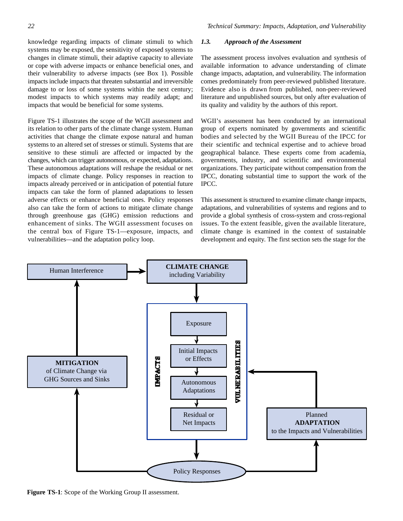knowledge regarding impacts of climate stimuli to which systems may be exposed, the sensitivity of exposed systems to changes in climate stimuli, their adaptive capacity to alleviate or cope with adverse impacts or enhance beneficial ones, and their vulnerability to adverse impacts (see Box 1). Possible impacts include impacts that threaten substantial and irreversible damage to or loss of some systems within the next century; modest impacts to which systems may readily adapt; and impacts that would be beneficial for some systems.

Figure TS-1 illustrates the scope of the WGII assessment and its relation to other parts of the climate change system. Human activities that change the climate expose natural and human systems to an altered set of stresses or stimuli. Systems that are sensitive to these stimuli are affected or impacted by the changes, which can trigger autonomous, or expected, adaptations. These autonomous adaptations will reshape the residual or net impacts of climate change. Policy responses in reaction to impacts already perceived or in anticipation of potential future impacts can take the form of planned adaptations to lessen adverse effects or enhance beneficial ones. Policy responses also can take the form of actions to mitigate climate change through greenhouse gas (GHG) emission reductions and enhancement of sinks. The WGII assessment focuses on the central box of Figure TS-1—exposure, impacts, and vulnerabilities—and the adaptation policy loop.

## *1.3. Approach of the Assessment*

The assessment process involves evaluation and synthesis of available information to advance understanding of climate change impacts, adaptation, and vulnerability. The information comes predominately from peer-reviewed published literature. Evidence also is drawn from published, non-peer-reviewed literature and unpublished sources, but only after evaluation of its quality and validity by the authors of this report.

WGII's assessment has been conducted by an international group of experts nominated by governments and scientific bodies and selected by the WGII Bureau of the IPCC for their scientific and technical expertise and to achieve broad geographical balance. These experts come from academia, governments, industry, and scientific and environmental organizations. They participate without compensation from the IPCC, donating substantial time to support the work of the IPCC.

This assessment is structured to examine climate change impacts, adaptations, and vulnerabilities of systems and regions and to provide a global synthesis of cross-system and cross-regional issues. To the extent feasible, given the available literature, climate change is examined in the context of sustainable development and equity. The first section sets the stage for the



**Figure TS-1**: Scope of the Working Group II assessment.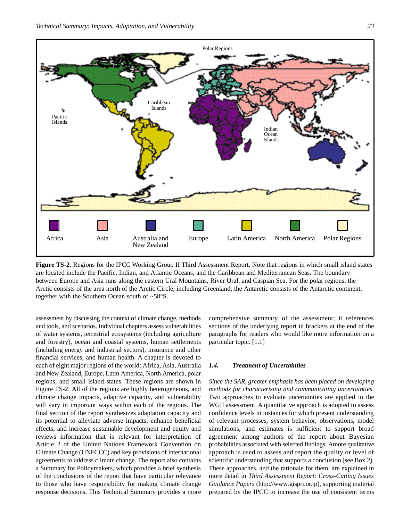

**Figure TS-2**: Regions for the IPCC Working Group II Third Assessment Report. Note that regions in which small island states are located include the Pacific, Indian, and Atlantic Oceans, and the Caribbean and Mediterranean Seas. The boundary between Europe and Asia runs along the eastern Ural Mountains, River Ural, and Caspian Sea. For the polar regions, the Arctic consists of the area north of the Arctic Circle, including Greenland; the Antarctic consists of the Antarctic continent, together with the Southern Ocean south of ~58°S.

assessment by discussing the context of climate change, methods and tools, and scenarios. Individual chapters assess vulnerabilities of water systems, terrestrial ecosystems (including agriculture and forestry), ocean and coastal systems, human settlements (including energy and industrial sectors), insurance and other financial services, and human health. A chapter is devoted to each of eight major regions of the world: Africa, Asia, Australia and New Zealand, Europe, Latin America, North America, polar regions, and small island states. These regions are shown in Figure TS-2. All of the regions are highly heterogeneous, and climate change impacts, adaptive capacity, and vulnerability will vary in important ways within each of the regions. The final section of the report synthesizes adaptation capacity and its potential to alleviate adverse impacts, enhance beneficial effects, and increase sustainable development and equity and reviews information that is relevant for interpretation of Article 2 of the United Nations Framework Convention on Climate Change (UNFCCC) and key provisions of international agreements to address climate change. The report also contains a Summary for Policymakers, which provides a brief synthesis of the conclusions of the report that have particular relevance to those who have responsibility for making climate change response decisions. This Technical Summary provides a more comprehensive summary of the assessment; it references sections of the underlying report in brackets at the end of the paragraphs for readers who would like more information on a particular topic. [1.1]

## *1.4. Treatment of Uncertainties*

*Since the SAR, greater emphasis has been placed on developing methods for characterizing and communicating uncertainties.* Two approaches to evaluate uncertainties are applied in the WGII assessment. A quantitative approach is adopted to assess confidence levels in instances for which present understanding of relevant processes, system behavior, observations, model simulations, and estimates is sufficient to support broad agreement among authors of the report about Bayesian probabilities associated with selected findings. Amore qualitative approach is used to assess and report the quality or level of scientific understanding that supports a conclusion (see Box 2). These approaches, and the rationale for them, are explained in more detail in *Third Assessment Report: Cross-Cutting Issues Guidance Papers* (http://www.gispri.or.jp), supporting material prepared by the IPCC to increase the use of consistent terms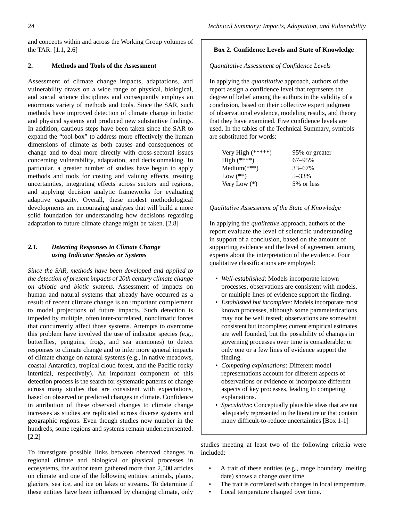and concepts within and across the Working Group volumes of the TAR. [1.1, 2.6]

## **2. Methods and Tools of the Assessment**

Assessment of climate change impacts, adaptations, and vulnerability draws on a wide range of physical, biological, and social science disciplines and consequently employs an enormous variety of methods and tools. Since the SAR, such methods have improved detection of climate change in biotic and physical systems and produced new substantive findings. In addition, cautious steps have been taken since the SAR to expand the "tool-box" to address more effectively the human dimensions of climate as both causes and consequences of change and to deal more directly with cross-sectoral issues concerning vulnerability, adaptation, and decisionmaking. In particular, a greater number of studies have begun to apply methods and tools for costing and valuing effects, treating uncertainties, integrating effects across sectors and regions, and applying decision analytic frameworks for evaluating adaptive capacity. Overall, these modest methodological developments are encouraging analyses that will build a more solid foundation for understanding how decisions regarding adaptation to future climate change might be taken. [2.8]

## *2.1. Detecting Responses to Climate Change using Indicator Species or Systems*

*Since the SAR, methods have been developed and applied to the detection of present impacts of 20th century climate change on abiotic and biotic systems.* Assessment of impacts on human and natural systems that already have occurred as a result of recent climate change is an important complement to model projections of future impacts. Such detection is impeded by multiple, often inter-correlated, nonclimatic forces that concurrently affect those systems. Attempts to overcome this problem have involved the use of indicator species (e.g., butterflies, penguins, frogs, and sea anemones) to detect responses to climate change and to infer more general impacts of climate change on natural systems (e.g., in native meadows, coastal Antarctica, tropical cloud forest, and the Pacific rocky intertidal, respectively). An important component of this detection process is the search for systematic patterns of change across many studies that are consistent with expectations, based on observed or predicted changes in climate. Confidence in attribution of these observed changes to climate change increases as studies are replicated across diverse systems and geographic regions. Even though studies now number in the hundreds, some regions and systems remain underrepresented. [2.2]

To investigate possible links between observed changes in regional climate and biological or physical processes in ecosystems, the author team gathered more than 2,500 articles on climate and one of the following entities: animals, plants, glaciers, sea ice, and ice on lakes or streams. To determine if these entities have been influenced by changing climate, only

## **Box 2. Confidence Levels and State of Knowledge**

*Quantitative Assessment of Confidence Levels*

In applying the *quantitative* approach, authors of the report assign a confidence level that represents the degree of belief among the authors in the validity of a conclusion, based on their collective expert judgment of observational evidence, modeling results, and theory that they have examined. Five confidence levels are used. In the tables of the Technical Summary, symbols are substituted for words:

| Very High $(*****)$ | 95% or greater |
|---------------------|----------------|
| $High (****)$       | 67–95%         |
| Medium $(***)$      | $33 - 67\%$    |
| Low $(**)$          | $5 - 33%$      |
| Very Low $(*)$      | 5% or less     |

## *Qualitative Assessment of the State of Knowledge*

In applying the *qualitative* approach, authors of the report evaluate the level of scientific understanding in support of a conclusion, based on the amount of supporting evidence and the level of agreement among experts about the interpretation of the evidence. Four qualitative classifications are employed:

- *Well-established*: Models incorporate known processes, observations are consistent with models, or multiple lines of evidence support the finding.
- *Established but incomplete*: Models incorporate most known processes, although some parameterizations may not be well tested; observations are somewhat consistent but incomplete; current empirical estimates are well founded, but the possibility of changes in governing processes over time is considerable; or only one or a few lines of evidence support the finding.
- *Competing explanations*: Different model representations account for different aspects of observations or evidence or incorporate different aspects of key processes, leading to competing explanations.
- *Speculative:* Conceptually plausible ideas that are not adequately represented in the literature or that contain many difficult-to-reduce uncertainties [Box 1-1]

studies meeting at least two of the following criteria were included:

- A trait of these entities (e.g., range boundary, melting date) shows a change over time.
- The trait is correlated with changes in local temperature.
- Local temperature changed over time.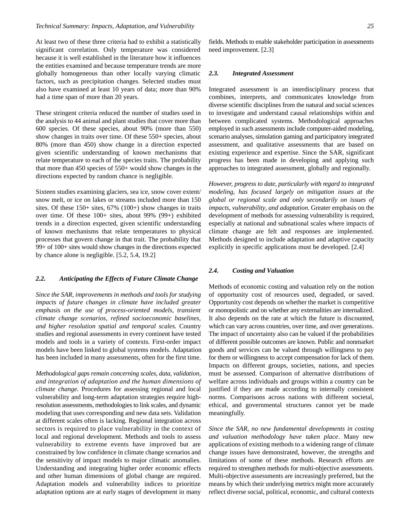At least two of these three criteria had to exhibit a statistically significant correlation. Only temperature was considered because it is well established in the literature how it influences the entities examined and because temperature trends are more globally homogeneous than other locally varying climatic factors, such as precipitation changes. Selected studies must also have examined at least 10 years of data; more than 90% had a time span of more than 20 years.

These stringent criteria reduced the number of studies used in the analysis to 44 animal and plant studies that cover more than 600 species. Of these species, about 90% (more than 550) show changes in traits over time. Of these 550+ species, about 80% (more than 450) show change in a direction expected given scientific understanding of known mechanisms that relate temperature to each of the species traits. The probability that more than 450 species of 550+ would show changes in the directions expected by random chance is negligible.

Sixteen studies examining glaciers, sea ice, snow cover extent/ snow melt, or ice on lakes or streams included more than 150 sites. Of these 150+ sites, 67% (100+) show changes in traits over time. Of these 100+ sites, about 99% (99+) exhibited trends in a direction expected, given scientific understanding of known mechanisms that relate temperatures to physical processes that govern change in that trait. The probability that 99+ of 100+ sites would show changes in the directions expected by chance alone is negligible. [5.2, 5.4, 19.2]

## *2.2. Anticipating the Effects of Future Climate Change*

*Since the SAR, improvements in methods and tools for studying impacts of future changes in climate have included greater emphasis on the use of process-oriented models, transient climate change scenarios, refined socioeconomic baselines, and higher resolution spatial and temporal scales*. Country studies and regional assessments in every continent have tested models and tools in a variety of contexts. First-order impact models have been linked to global systems models. Adaptation has been included in many assessments, often for the first time.

*Methodological gaps remain concerning scales, data, validation, and integration of adaptation and the human dimensions of climate change.* Procedures for assessing regional and local vulnerability and long-term adaptation strategies require highresolution assessments, methodologies to link scales, and dynamic modeling that uses corresponding and new data sets. Validation at different scales often is lacking. Regional integration across sectors is required to place vulnerability in the context of local and regional development. Methods and tools to assess vulnerability to extreme events have improved but are constrained by low confidence in climate change scenarios and the sensitivity of impact models to major climatic anomalies. Understanding and integrating higher order economic effects and other human dimensions of global change are required. Adaptation models and vulnerability indices to prioritize adaptation options are at early stages of development in many

fields. Methods to enable stakeholder participation in assessments need improvement. [2.3]

#### *2.3. Integrated Assessment*

Integrated assessment is an interdisciplinary process that combines, interprets, and communicates knowledge from diverse scientific disciplines from the natural and social sciences to investigate and understand causal relationships within and between complicated systems. Methodological approaches employed in such assessments include computer-aided modeling, scenario analyses, simulation gaming and participatory integrated assessment, and qualitative assessments that are based on existing experience and expertise. Since the SAR, significant progress has been made in developing and applying such approaches to integrated assessment, globally and regionally.

*However, progress to date, particularly with regard to integrated modeling, has focused largely on mitigation issues at the g l o bal or regional scale and only secondarily on issues of impacts, vulnerability, and adaptation.* Greater emphasis on the development of methods for assessing vulnerability is required, especially at national and subnational scales where impacts of climate change are felt and responses are implemented. Methods designed to include adaptation and adaptive capacity explicitly in specific applications must be developed. [2.4]

#### *2.4. Costing and Valuation*

Methods of economic costing and valuation rely on the notion of opportunity cost of resources used, degraded, or saved. Opportunity cost depends on whether the market is competitive or monopolistic and on whether any externalities are internalized. It also depends on the rate at which the future is discounted, which can vary across countries, over time, and over generations. The impact of uncertainty also can be valued if the probabilities of different possible outcomes are known. Public and nonmarket goods and services can be valued through willingness to pay for them or willingness to accept compensation for lack of them. Impacts on different groups, societies, nations, and species must be assessed. Comparison of alternative distributions of welfare across individuals and groups within a country can be justified if they are made according to internally consistent norms. Comparisons across nations with different societal, ethical, and governmental structures cannot yet be made meaningfully.

*Since the SAR, no new fundamental developments in costing and valuation methodology have taken place*. Many new applications of existing methods to a widening range of climate change issues have demonstrated, however, the strengths and limitations of some of these methods. Research efforts are required to strengthen methods for multi-objective assessments. Multi-objective assessments are increasingly preferred, but the means by which their underlying metrics might more accurately reflect diverse social, political, economic, and cultural contexts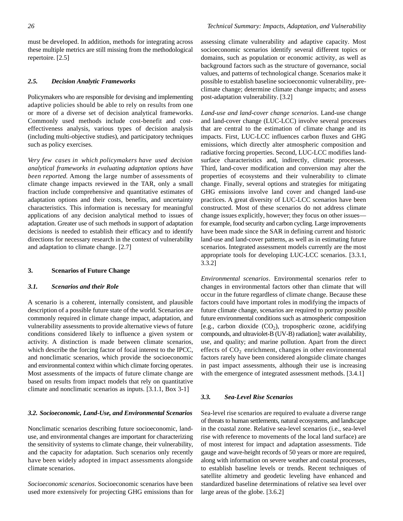must be developed. In addition, methods for integrating across these multiple metrics are still missing from the methodological repertoire. [2.5]

#### *2.5. Decision Analytic Frameworks*

Policymakers who are responsible for devising and implementing adaptive policies should be able to rely on results from one or more of a diverse set of decision analytical frameworks. Commonly used methods include cost-benefit and costeffectiveness analysis, various types of decision analysis (including multi-objective studies), and participatory techniques such as policy exercises.

*Ve ry few cases in which policymakers have used decision a n alytical frameworks in evaluating adaptation options have been reported*. Among the large number of assessments of climate change impacts reviewed in the TAR, only a small fraction include comprehensive and quantitative estimates of adaptation options and their costs, benefits, and uncertainty characteristics. This information is necessary for meaningful applications of any decision analytical method to issues of adaptation. Greater use of such methods in support of adaptation decisions is needed to establish their efficacy and to identify directions for necessary research in the context of vulnerability and adaptation to climate change. [2.7]

## **3. Scenarios of Future Change**

#### *3.1. Scenarios and their Role*

A scenario is a coherent, internally consistent, and plausible description of a possible future state of the world. Scenarios are commonly required in climate change impact, adaptation, and vulnerability assessments to provide alternative views of future conditions considered likely to influence a given system or activity. A distinction is made between climate scenarios, which describe the forcing factor of focal interest to the IPCC, and nonclimatic scenarios, which provide the socioeconomic and environmental context within which climate forcing operates. Most assessments of the impacts of future climate change are based on results from impact models that rely on quantitative climate and nonclimatic scenarios as inputs. [3.1.1, Box 3-1]

#### *3 . 2 . Socioeconomic, Land-Use, and Environmental Scenarios*

Nonclimatic scenarios describing future socioeconomic, landuse, and environmental changes are important for characterizing the sensitivity of systems to climate change, their vulnerability, and the capacity for adaptation. Such scenarios only recently have been widely adopted in impact assessments alongside climate scenarios.

*Socioeconomic scenarios*. Socioeconomic scenarios have been used more extensively for projecting GHG emissions than for assessing climate vulnerability and adaptive capacity. Most socioeconomic scenarios identify several different topics or domains, such as population or economic activity, as well as background factors such as the structure of governance, social values, and patterns of technological change. Scenarios make it possible to establish baseline socioeconomic vulnerability, preclimate change; determine climate change impacts; and assess post-adaptation vulnerability. [3.2]

*Land-use and land-cover change scenarios*. Land-use change and land-cover change (LUC-LCC) involve several processes that are central to the estimation of climate change and its impacts. First, LUC-LCC influences carbon fluxes and GHG emissions, which directly alter atmospheric composition and radiative forcing properties. Second, LUC-LCC modifies landsurface characteristics and, indirectly, climatic processes. Third, land-cover modification and conversion may alter the properties of ecosystems and their vulnerability to climate change. Finally, several options and strategies for mitigating GHG emissions involve land cover and changed land-use practices. A great diversity of LUC-LCC scenarios have been constructed. Most of these scenarios do not address climate change issues explicitly, however; they focus on other issues for example, food security and carbon cycling. Large improvements have been made since the SAR in defining current and historic land-use and land-cover patterns, as well as in estimating future scenarios. Integrated assessment models currently are the most appropriate tools for developing LUC-LCC scenarios. [3.3.1, 3.3.2]

*Environmental scenarios*. Environmental scenarios refer to changes in environmental factors other than climate that will occur in the future regardless of climate change. Because these factors could have important roles in modifying the impacts of future climate change, scenarios are required to portray possible future environmental conditions such as atmospheric composition [e.g., carbon dioxide  $(CO<sub>2</sub>)$ , tropospheric ozone, acidifying compounds, and ultraviolet-B (UV-B) radiation]; water availability, use, and quality; and marine pollution. Apart from the direct effects of  $CO_2$  enrichment, changes in other environmental factors rarely have been considered alongside climate changes in past impact assessments, although their use is increasing with the emergence of integrated assessment methods. [3.4.1]

#### *3.3. Sea-Level Rise Scenarios*

Sea-level rise scenarios are required to evaluate a diverse range of threats to human settlements, natural ecosystems, and landscape in the coastal zone. Relative sea-level scenarios (i.e., sea-level rise with reference to movements of the local land surface) are of most interest for impact and adaptation assessments. Tide gauge and wave-height records of 50 years or more are required, along with information on severe weather and coastal processes, to establish baseline levels or trends. Recent techniques of satellite altimetry and geodetic leveling have enhanced and standardized baseline determinations of relative sea level over large areas of the globe. [3.6.2]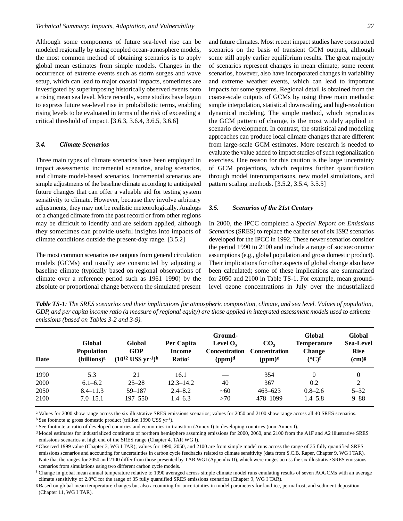Although some components of future sea-level rise can be modeled regionally by using coupled ocean-atmosphere models, the most common method of obtaining scenarios is to apply global mean estimates from simple models. Changes in the occurrence of extreme events such as storm surges and wave setup, which can lead to major coastal impacts, sometimes are investigated by superimposing historically observed events onto a rising mean sea level. More recently, some studies have begun to express future sea-level rise in probabilistic terms, enabling rising levels to be evaluated in terms of the risk of exceeding a critical threshold of impact. [3.6.3, 3.6.4, 3.6.5, 3.6.6]

#### *3.4. Climate Scenarios*

Three main types of climate scenarios have been employed in impact assessments: incremental scenarios, analog scenarios, and climate model-based scenarios. Incremental scenarios are simple adjustments of the baseline climate according to anticipated future changes that can offer a valuable aid for testing system sensitivity to climate. However, because they involve arbitrary adjustments, they may not be realistic meteorologically. Analogs of a changed climate from the past record or from other regions may be difficult to identify and are seldom applied, although they sometimes can provide useful insights into impacts of climate conditions outside the present-day range.  $[3.5.2]$ 

The most common scenarios use outputs from general circulation models (GCMs) and usually are constructed by adjusting a baseline climate (typically based on regional observations of climate over a reference period such as 1961–1990) by the absolute or proportional change between the simulated present

and future climates. Most recent impact studies have constructed scenarios on the basis of transient GCM outputs, although some still apply earlier equilibrium results. The great majority of scenarios represent changes in mean climate; some recent scenarios, however, also have incorporated changes in variability and extreme weather events, which can lead to important impacts for some systems. Regional detail is obtained from the coarse-scale outputs of GCMs by using three main methods: simple interpolation, statistical downscaling, and high-resolution dynamical modeling. The simple method, which reproduces the GCM pattern of change, is the most widely applied in scenario development. In contrast, the statistical and modeling approaches can produce local climate changes that are different from large-scale GCM estimates. More research is needed to evaluate the value added to impact studies of such regionalization exercises. One reason for this caution is the large uncertainty of GCM projections, which requires further quantification through model intercomparisons, new model simulations, and pattern scaling methods. [3.5.2, 3.5.4, 3.5.5]

#### *3.5. Scenarios of the 21st Century*

In 2000, the IPCC completed a *Special Report on Emissions Scenarios* (SRES) to replace the earlier set of six IS92 scenarios developed for the IPCC in 1992. These newer scenarios consider the period 1990 to 2100 and include a range of socioeconomic assumptions (e.g., global population and gross domestic product). Their implications for other aspects of global change also have been calculated; some of these implications are summarized for 2050 and 2100 in Table TS-1. For example, mean groundlevel ozone concentrations in July over the industrialized

*Table TS-1: The SRES scenarios and their implications for atmospheric composition, climate, and sea level. Values of population, GDP, and per capita income ratio (a measure of regional equity) are those applied in integrated assessment models used to estimate emissions (based on Tables 3-2 and 3-9).*

| Date | Global<br><b>Population</b><br>(billions) <sup>a</sup> | Global<br>GDP<br>$(10^{12}$ US\$ yr <sup>-1</sup> ) <sup>b</sup> | Per Capita<br><b>Income</b><br>Ratioc | Ground-<br>Level $O3$<br><b>Concentration</b><br>$(ppm)^d$ | CO <sub>2</sub><br><b>Concentration</b><br>(ppm) <sup>e</sup> | Global<br><b>Temperature</b><br><b>Change</b><br>$({}^{\circ}C)^{f}$ | Global<br><b>Sea-Level</b><br><b>Rise</b><br>(cm) <sup>g</sup> |
|------|--------------------------------------------------------|------------------------------------------------------------------|---------------------------------------|------------------------------------------------------------|---------------------------------------------------------------|----------------------------------------------------------------------|----------------------------------------------------------------|
| 1990 | 5.3                                                    | 21                                                               | 16.1                                  |                                                            | 354                                                           | $\Omega$                                                             | $\theta$                                                       |
| 2000 | $6.1 - 6.2$                                            | $25 - 28$                                                        | $12.3 - 14.2$                         | 40                                                         | 367                                                           | 0.2                                                                  | 2                                                              |
| 2050 | $8.4 - 11.3$                                           | 59-187                                                           | $2.4 - 8.2$                           | ~10                                                        | $463 - 623$                                                   | $0.8 - 2.6$                                                          | $5 - 32$                                                       |
| 2100 | $7.0 - 15.1$                                           | 197–550                                                          | $1.4 - 6.3$                           | >70                                                        | 478-1099                                                      | $1.4 - 5.8$                                                          | $9 - 88$                                                       |

a Values for 2000 show range across the six illustrative SRES emissions scenarios; values for 2050 and 2100 show range across all 40 SRES scenarios.

b See footnote a; gross domestic product (trillion 1990 US\$ yr-1).

c See footnote a; ratio of developed countries and economies-in-transition (Annex I) to developing countries (non-Annex I).

d Model estimates for industrialized continents of northern hemisphere assuming emissions for 2000, 2060, and 2100 from the A1F and A2 illustrative SRES emissions scenarios at high end of the SRES range (Chapter 4, TAR WG I).

e Observed 1999 value (Chapter 3, WG I TAR); values for 1990, 2050, and 2100 are from simple model runs across the range of 35 fully quantified SRES emissions scenarios and accounting for uncertainties in carbon cycle feedbacks related to climate sensitivity (data from S.C.B. Raper, Chapter 9, WG I TAR). Note that the ranges for 2050 and 2100 differ from those presented by TAR WGI (Appendix II), which were ranges across the six illustrative SRES emissions scenarios from simulations using two different carbon cycle models.

f Change in global mean annual temperature relative to 1990 averaged across simple climate model runs emulating results of seven AOGCMs with an average climate sensitivity of 2.8°C for the range of 35 fully quantified SRES emissions scenarios (Chapter 9, WG I TAR).

g Based on global mean temperature changes but also accounting for uncertainties in model parameters for land ice, permafrost, and sediment deposition (Chapter 11, WG I TAR).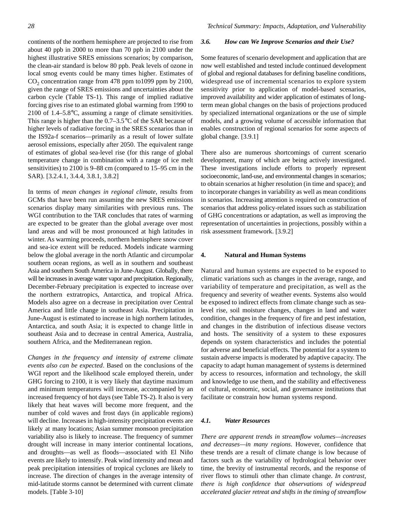*28 Technical Summary: Impacts, Adaptation, and Vulnerability*

continents of the northern hemisphere are projected to rise from about 40 ppb in 2000 to more than 70 ppb in 2100 under the highest illustrative SRES emissions scenarios; by comparison, the clean-air standard is below 80 ppb. Peak levels of ozone in local smog events could be many times higher. Estimates of  $CO<sub>2</sub>$  concentration range from 478 ppm to1099 ppm by 2100, given the range of SRES emissions and uncertainties about the carbon cycle (Table TS-1). This range of implied radiative forcing gives rise to an estimated global warming from 1990 to 2100 of 1.4–5.8°C, assuming a range of climate sensitivities. This range is higher than the 0.7–3.5°C of the SAR because of higher levels of radiative forcing in the SRES scenarios than in the IS92a-f scenarios—primarily as a result of lower sulfate aerosol emissions, especially after 2050. The equivalent range of estimates of global sea-level rise (for this range of global temperature change in combination with a range of ice melt sensitivities) to 2100 is 9–88 cm (compared to 15–95 cm in the SAR). [3.2.4.1, 3.4.4, 3.8.1, 3.8.2]

In terms of *mean changes in regional climate*, results from GCMs that have been run assuming the new SRES emissions scenarios display many similarities with previous runs. The WGI contribution to the TAR concludes that rates of warming are expected to be greater than the global average over most land areas and will be most pronounced at high latitudes in winter. As warming proceeds, northern hemisphere snow cover and sea-ice extent will be reduced. Models indicate warming below the global average in the north Atlantic and circumpolar southern ocean regions, as well as in southern and southeast Asia and southern South America in June-August. Globally, there will be increases in average water vapor and precipitation. Regionally, December-February precipitation is expected to increase over the northern extratropics, Antarctica, and tropical Africa. Models also agree on a decrease in precipitation over Central America and little change in southeast Asia. Precipitation in June-August is estimated to increase in high northern latitudes, Antarctica, and south Asia; it is expected to change little in southeast Asia and to decrease in central America, Australia, southern Africa, and the Mediterranean region.

*Changes in the frequency and intensity of extreme climate events also can be expected*. Based on the conclusions of the WGI report and the likelihood scale employed therein, under GHG forcing to 2100, it is very likely that daytime maximum and minimum temperatures will increase, accompanied by an increased frequency of hot days (see Table TS-2). It also is very likely that heat waves will become more frequent, and the number of cold waves and frost days (in applicable regions) will decline. Increases in high-intensity precipitation events are likely at many locations; Asian summer monsoon precipitation variability also is likely to increase. The frequency of summer drought will increase in many interior continental locations, and droughts—as well as floods—associated with El Niño events are likely to intensify. Peak wind intensity and mean and peak precipitation intensities of tropical cyclones are likely to increase. The direction of changes in the average intensity of mid-latitude storms cannot be determined with current climate models. [Table 3-10]

## *3.6. How can We Improve Scenarios and their Use?*

Some features of scenario development and application that are now well established and tested include continued development of global and regional databases for defining baseline conditions, widespread use of incremental scenarios to explore system sensitivity prior to application of model-based scenarios, improved availability and wider application of estimates of longterm mean global changes on the basis of projections produced by specialized international organizations or the use of simple models, and a growing volume of accessible information that enables construction of regional scenarios for some aspects of global change. [3.9.1]

There also are numerous shortcomings of current scenario development, many of which are being actively investigated. These investigations include efforts to properly represent socioeconomic, land-use, and environmental changes in scenarios; to obtain scenarios at higher resolution (in time and space); and to incorporate changes in variability as well as mean conditions in scenarios. Increasing attention is required on construction of scenarios that address policy-related issues such as stabilization of GHG concentrations or adaptation, as well as improving the representation of uncertainties in projections, possibly within a risk assessment framework. [3.9.2]

## **4. Natural and Human Systems**

Natural and human systems are expected to be exposed to climatic variations such as changes in the average, range, and variability of temperature and precipitation, as well as the frequency and severity of weather events. Systems also would be exposed to indirect effects from climate change such as sealevel rise, soil moisture changes, changes in land and water condition, changes in the frequency of fire and pest infestation, and changes in the distribution of infectious disease vectors and hosts. The sensitivity of a system to these exposures depends on system characteristics and includes the potential for adverse and beneficial effects. The potential for a system to sustain adverse impacts is moderated by adaptive capacity. The capacity to adapt human management of systems is determined by access to resources, information and technology, the skill and knowledge to use them, and the stability and effectiveness of cultural, economic, social, and governance institutions that facilitate or constrain how human systems respond.

## *4.1. Water Resources*

*There are apparent trends in streamflow volumes—increases and decreases—in many regions*. However, confidence that these trends are a result of climate change is low because of factors such as the variability of hydrological behavior over time, the brevity of instrumental records, and the response of river flows to stimuli other than climate change. *In contrast, there is high confidence that observations of widespread accelerated glacier retreat and shifts in the timing of streamflow*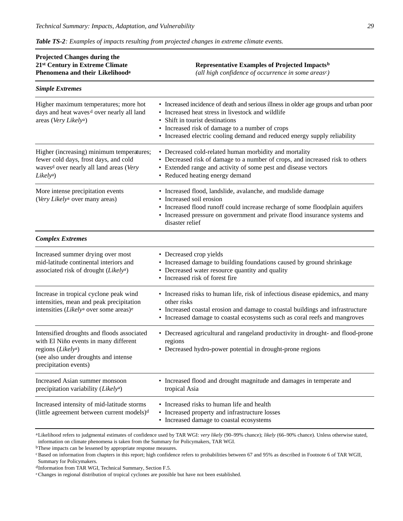|  | Table TS-2: Examples of impacts resulting from projected changes in extreme climate events. |  |  |  |  |
|--|---------------------------------------------------------------------------------------------|--|--|--|--|
|--|---------------------------------------------------------------------------------------------|--|--|--|--|

| <b>Projected Changes during the</b><br>21st Century in Extreme Climate<br>Phenomena and their Likelihood <sup>a</sup>                                                     | Representative Examples of Projected Impacts <sup>b</sup><br>(all high confidence of occurrence in some areasc)                                                                                                                                                                                               |
|---------------------------------------------------------------------------------------------------------------------------------------------------------------------------|---------------------------------------------------------------------------------------------------------------------------------------------------------------------------------------------------------------------------------------------------------------------------------------------------------------|
| <b>Simple Extremes</b>                                                                                                                                                    |                                                                                                                                                                                                                                                                                                               |
| Higher maximum temperatures; more hot<br>days and heat waves <sup>d</sup> over nearly all land<br>areas (Very Likelya)                                                    | • Increased incidence of death and serious illness in older age groups and urban poor<br>• Increased heat stress in livestock and wildlife<br>• Shift in tourist destinations<br>• Increased risk of damage to a number of crops<br>• Increased electric cooling demand and reduced energy supply reliability |
| Higher (increasing) minimum temperatures;<br>fewer cold days, frost days, and cold<br>waves <sup>d</sup> over nearly all land areas (Very<br>Likely <sup>a</sup> )        | • Decreased cold-related human morbidity and mortality<br>• Decreased risk of damage to a number of crops, and increased risk to others<br>• Extended range and activity of some pest and disease vectors<br>• Reduced heating energy demand                                                                  |
| More intense precipitation events<br>(Very Likely <sup>a</sup> over many areas)                                                                                           | • Increased flood, landslide, avalanche, and mudslide damage<br>• Increased soil erosion<br>• Increased flood runoff could increase recharge of some floodplain aquifers<br>• Increased pressure on government and private flood insurance systems and<br>disaster relief                                     |
| <b>Complex Extremes</b>                                                                                                                                                   |                                                                                                                                                                                                                                                                                                               |
| Increased summer drying over most<br>mid-latitude continental interiors and<br>associated risk of drought (Likely <sup>a</sup> )                                          | • Decreased crop yields<br>• Increased damage to building foundations caused by ground shrinkage<br>• Decreased water resource quantity and quality<br>• Increased risk of forest fire                                                                                                                        |
| Increase in tropical cyclone peak wind<br>intensities, mean and peak precipitation<br>intensities (Likely <sup>a</sup> over some areas) <sup>e</sup>                      | • Increased risks to human life, risk of infectious disease epidemics, and many<br>other risks<br>• Increased coastal erosion and damage to coastal buildings and infrastructure<br>• Increased damage to coastal ecosystems such as coral reefs and mangroves                                                |
| Intensified droughts and floods associated<br>with El Niño events in many different<br>regions (Likelya)<br>(see also under droughts and intense<br>precipitation events) | • Decreased agricultural and rangeland productivity in drought- and flood-prone<br>regions<br>• Decreased hydro-power potential in drought-prone regions                                                                                                                                                      |
| Increased Asian summer monsoon<br>precipitation variability (Likely <sup>a</sup> )                                                                                        | • Increased flood and drought magnitude and damages in temperate and<br>tropical Asia                                                                                                                                                                                                                         |
| Increased intensity of mid-latitude storms<br>(little agreement between current models) <sup>d</sup>                                                                      | • Increased risks to human life and health<br>• Increased property and infrastructure losses<br>• Increased damage to coastal ecosystems                                                                                                                                                                      |
|                                                                                                                                                                           | aLikelihood refers to judgmental estimates of confidence used by TAR WGI: very likely (90-99% chance); likely (66-90% chance). Unless otherwise stated,                                                                                                                                                       |

information on climate phenomena is taken from the Summary for Policymakers, TAR WGI.

bThese impacts can be lessened by appropriate response measures.

cBased on information from chapters in this report; high confidence refers to probabilities between 67 and 95% as described in Footnote 6 of TAR WGII, Summary for Policymakers.

dInformation from TAR WGI, Technical Summary, Section F.5.

<sup>e</sup>Changes in regional distribution of tropical cyclones are possible but have not been established.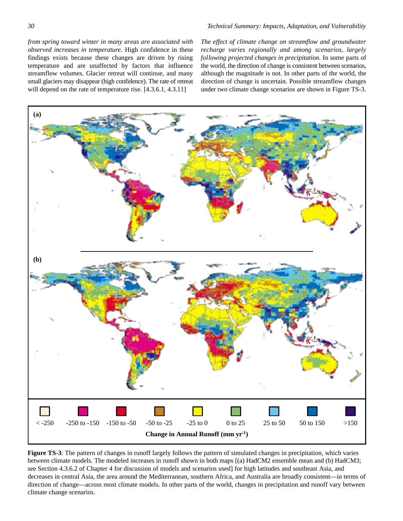*from spring toward winter in many areas are associated with observed increases in temperature*. High confidence in these findings exists because these changes are driven by rising temperature and are unaffected by factors that influence streamflow volumes. Glacier retreat will continue, and many small glaciers may disappear (high confidence). The rate of retreat will depend on the rate of temperature rise. [4.3.6.1, 4.3.11]

*The effect of climate change on streamflow and groundwater recharge varies regionally and among scenarios, largely f o llowing projected changes in precipitation.* In some parts of the world, the direction of change is consistent between scenarios, although the magnitude is not. In other parts of the world, the direction of change is uncertain. Possible streamflow changes under two climate change scenarios are shown in Figure TS-3.



**Figure TS-3**: The pattern of changes in runoff largely follows the pattern of simulated changes in precipitation, which varies between climate models. The modeled increases in runoff shown in both maps [(a) HadCM2 ensemble mean and (b) HadCM3; see Section 4.3.6.2 of Chapter 4 for discussion of models and scenarios used] for high latitudes and southeast Asia, and decreases in central Asia, the area around the Mediterranean, southern Africa, and Australia are broadly consistent—in terms of direction of change—across most climate models. In other parts of the world, changes in precipitation and runoff vary between climate change scenarios.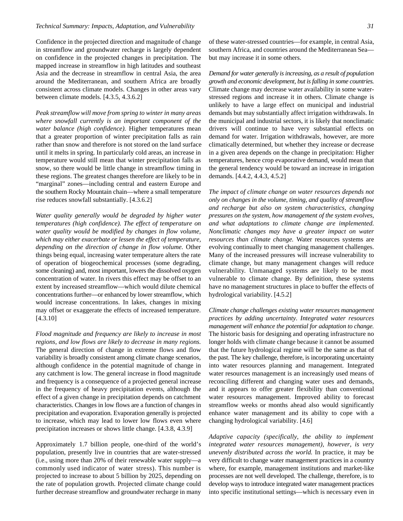Confidence in the projected direction and magnitude of change in streamflow and groundwater recharge is largely dependent on confidence in the projected changes in precipitation. The mapped increase in streamflow in high latitudes and southeast Asia and the decrease in streamflow in central Asia, the area around the Mediterranean, and southern Africa are broadly consistent across climate models. Changes in other areas vary between climate models. [4.3.5, 4.3.6.2]

*Peak streamflow will move from spring to winter in many areas where snowfall currently is an important component of the water balance (high confidence).* Higher temperatures mean that a greater proportion of winter precipitation falls as rain rather than snow and therefore is not stored on the land surface until it melts in spring. In particularly cold areas, an increase in temperature would still mean that winter precipitation falls as snow, so there would be little change in streamflow timing in these regions. The greatest changes therefore are likely to be in "marginal" zones—including central and eastern Europe and the southern Rocky Mountain chain—where a small temperature rise reduces snowfall substantially. [4.3.6.2]

*Water quality generally would be degraded by higher water temperatures (high confidence). The effect of temperature on water quality would be modified by changes in flow volume, which may either exacerbate or lessen the effect of temperature, depending on the direction of change in flow volume.* Other things being equal, increasing water temperature alters the rate of operation of biogeochemical processes (some degrading, some cleaning) and, most important, lowers the dissolved oxygen concentration of water. In rivers this effect may be offset to an extent by increased streamflow—which would dilute chemical concentrations further—or enhanced by lower streamflow, which would increase concentrations. In lakes, changes in mixing may offset or exaggerate the effects of increased temperature. [4.3.10]

*Flood magnitude and frequency are likely to increase in most regions, and low flows are likely to decrease in many regions.* The general direction of change in extreme flows and flow variability is broadly consistent among climate change scenarios, although confidence in the potential magnitude of change in any catchment is low. The general increase in flood magnitude and frequency is a consequence of a projected general increase in the frequency of heavy precipitation events, although the effect of a given change in precipitation depends on catchment characteristics. Changes in low flows are a function of changes in precipitation and evaporation. Evaporation generally is projected to increase, which may lead to lower low flows even where precipitation increases or shows little change. [4.3.8, 4.3.9]

Approximately 1.7 billion people, one-third of the world's population, presently live in countries that are water-stressed (i.e., using more than 20% of their renewable water supply—a commonly used indicator of water stress). This number is projected to increase to about 5 billion by 2025, depending on the rate of population growth. Projected climate change could further decrease streamflow and groundwater recharge in many of these water-stressed countries—for example, in central Asia, southern Africa, and countries around the Mediterranean Sea but may increase it in some others.

*Demand for water generally is increasing, as a result of population g rowth and economic development, but is falling in some countries.* Climate change may decrease water availability in some waterstressed regions and increase it in others. Climate change is unlikely to have a large effect on municipal and industrial demands but may substantially affect irrigation withdrawals. In the municipal and industrial sectors, it is likely that nonclimatic drivers will continue to have very substantial effects on demand for water. Irrigation withdrawals, however, are more climatically determined, but whether they increase or decrease in a given area depends on the change in precipitation: Higher temperatures, hence crop evaporative demand, would mean that the general tendency would be toward an increase in irrigation demands. [4.4.2, 4.4.3, 4.5.2]

*The impact of climate change on water resources depends not only on changes in the volume, timing, and quality of streamflow and recharge but also on system characteristics, changing pressures on the system, how management of the system evolves, and what adaptations to climate change are implemented. Nonclimatic changes may have a greater impact on water resources than climate change.* Water resources systems are evolving continually to meet changing management challenges. Many of the increased pressures will increase vulnerability to climate change, but many management changes will reduce vulnerability. Unmanaged systems are likely to be most vulnerable to climate change. By definition, these systems have no management structures in place to buffer the effects of hydrological variability. [4.5.2]

*Climate change challenges existing water resources management practices by adding uncertainty. Integrated water resources management will enhance the potential for adaptation to change.* The historic basis for designing and operating infrastructure no longer holds with climate change because it cannot be assumed that the future hydrological regime will be the same as that of the past. The key challenge, therefore, is incorporating uncertainty into water resources planning and management. Integrated water resources management is an increasingly used means of reconciling different and changing water uses and demands, and it appears to offer greater flexibility than conventional water resources management. Improved ability to forecast streamflow weeks or months ahead also would significantly enhance water management and its ability to cope with a changing hydrological variability. [4.6]

*Adaptive capacity (specifically, the ability to implement* integrated water resources management), however, is very *unevenly distributed across the world.* In practice, it may be very difficult to change water management practices in a country where, for example, management institutions and market-like processes are not well developed. The challenge, therefore, is to develop ways to introduce integrated water management practices into specific institutional settings—which is necessary even in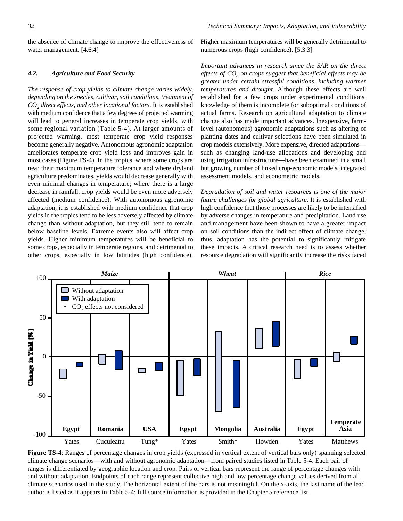the absence of climate change to improve the effectiveness of water management. [4.6.4]

## *4.2. Agriculture and Food Security*

*The response of crop yields to climate change varies widely, depending on the species, cultivar, soil conditions, treatment of C O<sup>2</sup> d i rect effects, and other locational factors*. It is established with medium confidence that a few degrees of projected warming will lead to general increases in temperate crop yields, with some regional variation (Table 5-4). At larger amounts of projected warming, most temperate crop yield responses become generally negative. Autonomous agronomic adaptation ameliorates temperate crop yield loss and improves gain in most cases (Figure TS-4). In the tropics, where some crops are near their maximum temperature tolerance and where dryland agriculture predominates, yields would decrease generally with even minimal changes in temperature; where there is a large decrease in rainfall, crop yields would be even more adversely affected (medium confidence). With autonomous agronomic adaptation, it is established with medium confidence that crop yields in the tropics tend to be less adversely affected by climate change than without adaptation, but they still tend to remain below baseline levels. Extreme events also will affect crop yields. Higher minimum temperatures will be beneficial to some crops, especially in temperate regions, and detrimental to other crops, especially in low latitudes (high confidence). Higher maximum temperatures will be generally detrimental to numerous crops (high confidence). [5.3.3]

*Important advances in research since the SAR on the direct effects of CO<sup>2</sup> on crops suggest that beneficial effects may be greater under certain stressful conditions, including warmer temperatures and drought.* Although these effects are well established for a few crops under experimental conditions, knowledge of them is incomplete for suboptimal conditions of actual farms. Research on agricultural adaptation to climate change also has made important advances. Inexpensive, farmlevel (autonomous) agronomic adaptations such as altering of planting dates and cultivar selections have been simulated in crop models extensively. More expensive, directed adaptations such as changing land-use allocations and developing and using irrigation infrastructure—have been examined in a small but growing number of linked crop-economic models, integrated assessment models, and econometric models.

*Degradation of soil and water resources is one of the major future challenges for global agriculture*. It is established with high confidence that those processes are likely to be intensified by adverse changes in temperature and precipitation. Land use and management have been shown to have a greater impact on soil conditions than the indirect effect of climate change; thus, adaptation has the potential to significantly mitigate these impacts. A critical research need is to assess whether resource degradation will significantly increase the risks faced



**Figure TS-4**: Ranges of percentage changes in crop yields (expressed in vertical extent of vertical bars only) spanning selected climate change scenarios—with and without agronomic adaptation—from paired studies listed in Table 5-4. Each pair of ranges is differentiated by geographic location and crop. Pairs of vertical bars represent the range of percentage changes with and without adaptation. Endpoints of each range represent collective high and low percentage change values derived from all climate scenarios used in the study. The horizontal extent of the bars is not meaningful. On the x-axis, the last name of the lead author is listed as it appears in Table 5-4; full source information is provided in the Chapter 5 reference list.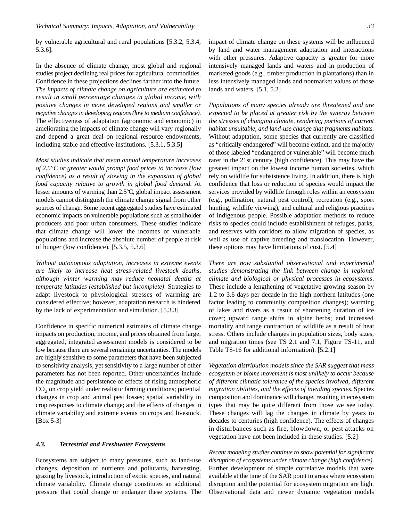by vulnerable agricultural and rural populations [5.3.2, 5.3.4, 5.3.6].

In the absence of climate change, most global and regional studies project declining real prices for agricultural commodities. Confidence in these projections declines farther into the future. *The impacts of climate change on agriculture are estimated to result in small percentage changes in global income, with p o sitive changes in more developed regions and smaller or negative changes in developing regions (low to medium confidence)*. The effectiveness of adaptation (agronomic and economic) in ameliorating the impacts of climate change will vary regionally and depend a great deal on regional resource endowments, including stable and effective institutions. [5.3.1, 5.3.5]

*Most studies indicate that mean annual temperature increases of 2.5 C or greater would prompt food prices to increase (low confidence) as a result of slowing in the expansion of global food capacity relative to growth in global food demand.* At lesser amounts of warming than 2.5ºC, global impact assessment models cannot distinguish the climate change signal from other sources of change. Some recent aggregated studies have estimated economic impacts on vulnerable populations such as smallholder producers and poor urban consumers. These studies indicate that climate change will lower the incomes of vulnerable populations and increase the absolute number of people at risk of hunger (low confidence). [5.3.5, 5.3.6]

*Without autonomous adaptation, increases in extreme events are likely to increase heat stress-related livestock deaths, although winter warming may reduce neonatal deaths at temperate latitudes (established but incomplete)*. Strategies to adapt livestock to physiological stresses of warming are considered effective; however, adaptation research is hindered by the lack of experimentation and simulation. [5.3.3]

Confidence in specific numerical estimates of climate change impacts on production, income, and prices obtained from large, aggregated, integrated assessment models is considered to be low because there are several remaining uncertainties. The models are highly sensitive to some parameters that have been subjected to sensitivity analysis, yet sensitivity to a large number of other parameters has not been reported. Other uncertainties include the magnitude and persistence of effects of rising atmospheric  $CO<sub>2</sub>$  on crop yield under realistic farming conditions; potential changes in crop and animal pest losses; spatial variability in crop responses to climate change; and the effects of changes in climate variability and extreme events on crops and livestock. [Box 5-3]

## *4.3. Terrestrial and Freshwater Ecosystems*

Ecosystems are subject to many pressures, such as land-use changes, deposition of nutrients and pollutants, harvesting, grazing by livestock, introduction of exotic species, and natural climate variability. Climate change constitutes an additional pressure that could change or endanger these systems. The impact of climate change on these systems will be influenced by land and water management adaptation and interactions with other pressures. Adaptive capacity is greater for more intensively managed lands and waters and in production of marketed goods (e.g., timber production in plantations) than in less intensively managed lands and nonmarket values of those lands and waters. [5.1, 5.2]

*Populations of many species already are threatened and are expected to be placed at greater risk by the synergy between the stresses of changing climate, rendering portions of current habitat unsuitable, and land-use change that fragments habitats.* Without adaptation, some species that currently are classified as "critically endangered" will become extinct, and the majority of those labeled "endangered or vulnerable" will become much rarer in the 21st century (high confidence). This may have the greatest impact on the lowest income human societies, which rely on wildlife for subsistence living. In addition, there is high confidence that loss or reduction of species would impact the services provided by wildlife through roles within an ecosystem (e.g., pollination, natural pest control), recreation (e.g., sport hunting, wildlife viewing), and cultural and religious practices of indigenous people. Possible adaptation methods to reduce risks to species could include establishment of refuges, parks, and reserves with corridors to allow migration of species, as well as use of captive breeding and translocation. However, these options may have limitations of cost. [5.4]

*There are now substantial observational and experimental studies demonstrating the link between change in regional climate and biological or physical processes in ecosystems.* These include a lengthening of vegetative growing season by 1.2 to 3.6 days per decade in the high northern latitudes (one factor leading to community composition changes); warming of lakes and rivers as a result of shortening duration of ice cover; upward range shifts in alpine herbs; and increased mortality and range contraction of wildlife as a result of heat stress. Others include changes in population sizes, body sizes, and migration times (see TS 2.1 and 7.1, Figure TS-11, and Table TS-16 for additional information). [5.2.1]

*Vegetation distribution models since the SAR suggest that mass ecosystem or biome movement is most unlikely to occur because of different climatic tolerance of the species involved, different migration abilities, and the effects of invading species*. Species composition and dominance will change, resulting in ecosystem types that may be quite different from those we see today. These changes will lag the changes in climate by years to decades to centuries (high confidence). The effects of changes in disturbances such as fire, blowdown, or pest attacks on vegetation have not been included in these studies. [5.2]

*Recent modeling studies continue to show potential for significant disruption of ecosystems under climate change (high confidence).* Further development of simple correlative models that were available at the time of the SAR point to areas where ecosystem disruption and the potential for ecosystem migration are high. Observational data and newer dynamic vegetation models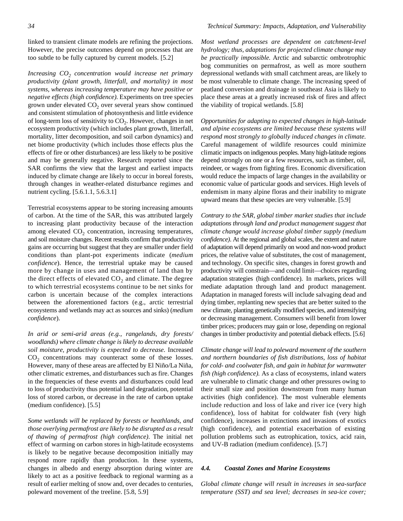linked to transient climate models are refining the projections. However, the precise outcomes depend on processes that are too subtle to be fully captured by current models. [5.2]

*I n c reasing CO<sup>2</sup> concentration would increase net primary p roductivity (plant growth, litterfall, and mortality) in most systems, whereas increasing temperature may have positive or negative effects (high confidence).* Experiments on tree species grown under elevated  $CO<sub>2</sub>$  over several years show continued and consistent stimulation of photosynthesis and little evidence of long-term loss of sensitivity to CO<sub>2</sub>. However, changes in net ecosystem productivity (which includes plant growth, litterfall, mortality, litter decomposition, and soil carbon dynamics) and net biome productivity (which includes those effects plus the e ffects of fire or other disturbances) are less likely to be positive and may be generally negative. Research reported since the SAR confirms the view that the largest and earliest impacts induced by climate change are likely to occur in boreal forests, through changes in weather-related disturbance regimes and nutrient cycling. [5.6.1.1, 5.6.3.1]

Terrestrial ecosystems appear to be storing increasing amounts of carbon. At the time of the SAR, this was attributed largely to increasing plant productivity because of the interaction among elevated  $CO<sub>2</sub>$  concentration, increasing temperatures, and soil moisture changes. Recent results confirm that productivity gains are occurring but suggest that they are smaller under field conditions than plant-pot experiments indicate (*medium confidence*). Hence, the terrestrial uptake may be caused more by change in uses and management of land than by the direct effects of elevated  $CO<sub>2</sub>$  and climate. The degree to which terrestrial ecosystems continue to be net sinks for carbon is uncertain because of the complex interactions between the aforementioned factors (e.g., arctic terrestrial ecosystems and wetlands may act as sources and sinks) (*medium confidence*).

*In arid or semi-arid areas (e.g., rangelands, dry forests/ w o o dlands) where climate change is likely to decrease available soil moisture, productivity is expected to decrease*. Increased CO<sup>2</sup> concentrations may counteract some of these losses. However, many of these areas are affected by El Niño/La Niña, other climatic extremes, and disturbances such as fire. Changes in the frequencies of these events and disturbances could lead to loss of productivity thus potential land degradation, potential loss of stored carbon, or decrease in the rate of carbon uptake (medium confidence). [5.5]

*Some wetlands will be replaced by forests or heathlands, and those overlying permafrost are likely to be disrupted as a result of thawing of permafrost (high confidence)*. The initial net effect of warming on carbon stores in high-latitude ecosystems is likely to be negative because decomposition initially may respond more rapidly than production. In these systems, changes in albedo and energy absorption during winter are likely to act as a positive feedback to regional warming as a result of earlier melting of snow and, over decades to centuries, poleward movement of the treeline. [5.8, 5.9]

*Most wetland processes are dependent on catchment-level hydrology; thus, adaptations for projected climate change may be practically impossible.* Arctic and subarctic ombrotrophic bog communities on permafrost, as well as more southern depressional wetlands with small catchment areas, are likely to be most vulnerable to climate change. The increasing speed of peatland conversion and drainage in southeast Asia is likely to place these areas at a greatly increased risk of fires and affect the viability of tropical wetlands. [5.8]

*Opportunities for adapting to expected changes in high-latitude and alpine ecosystems are limited because these systems will respond most strongly to globally induced changes in climate.* Careful management of wildlife resources could minimize c limatic impacts on indigenous peoples. Many high-latitude regions depend strongly on one or a few resources, such as timber, oil, reindeer, or wages from fighting fires. Economic diversification would reduce the impacts of large changes in the availability or economic value of particular goods and services. High levels of endemism in many alpine floras and their inability to migrate upward means that these species are very vulnerable. [5.9]

*Contrary to the SAR, global timber market studies that include adaptations through land and product management suggest that climate change would increase global timber supply (medium confidence*). At the regional and global scales, the extent and nature of adaptation will depend primarily on wood and non-wood product prices, the relative value of substitutes, the cost of management, and technology. On specific sites, changes in forest growth and productivity will constrain—and could limit—choices regarding adaptation strategies (high confidence). In markets, prices will mediate adaptation through land and product management. Adaptation in managed forests will include salvaging dead and dying timber, replanting new species that are better suited to the new climate, planting genetically modified species, and intensifying or decreasing management. Consumers will benefit from lower timber prices; producers may gain or lose, depending on regional changes in timber productivity and potential dieback effects. [5.6]

*Climate change will lead to poleward movement of the southern and northern boundaries of fish distributions, loss of habitat for cold- and coolwater fish, and gain in habitat for warmwater fish (high confidence).* As a class of ecosystems, inland waters are vulnerable to climatic change and other pressures owing to their small size and position downstream from many human activities (high confidence). The most vulnerable elements include reduction and loss of lake and river ice (very high confidence), loss of habitat for coldwater fish (very high confidence), increases in extinctions and invasions of exotics (high confidence), and potential exacerbation of existing pollution problems such as eutrophication, toxics, acid rain, and UV-B radiation (medium confidence). [5.7]

## *4.4. Coastal Zones and Marine Ecosystems*

*Global climate change will result in increases in sea-surface temperature (SST) and sea level; decreases in sea-ice cover;*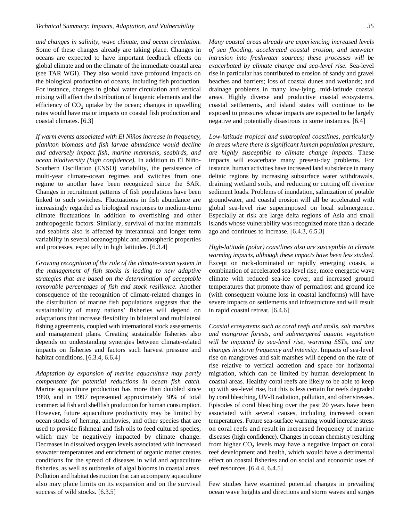*and changes in salinity, wave climate, and ocean circulation.* Some of these changes already are taking place. Changes in oceans are expected to have important feedback effects on global climate and on the climate of the immediate coastal area (see TAR WGI). They also would have profound impacts on the biological production of oceans, including fish production. For instance, changes in global water circulation and vertical mixing will affect the distribution of biogenic elements and the efficiency of  $CO<sub>2</sub>$  uptake by the ocean; changes in upwelling rates would have major impacts on coastal fish production and coastal climates. [6.3]

*If warm events associated with El Niños increase in frequency, plankton biomass and fish larvae abundance would decline and adversely impact fish, marine mammals, seabirds, and ocean biodiversity (high confidence).* In addition to El Niño-Southern Oscillation (ENSO) variability, the persistence of multi-year climate-ocean regimes and switches from one regime to another have been recognized since the SAR. Changes in recruitment patterns of fish populations have been linked to such switches. Fluctuations in fish abundance are increasingly regarded as biological responses to medium-term climate fluctuations in addition to overfishing and other anthropogenic factors. Similarly, survival of marine mammals and seabirds also is affected by interannual and longer term variability in several oceanographic and atmospheric properties and processes, especially in high latitudes. [6.3.4]

*Growing recognition of the role of the climate-ocean system in the management of fish stocks is leading to new adaptive strategies that are based on the determination of acceptable removable percentages of fish and stock resilience.* Another consequence of the recognition of climate-related changes in the distribution of marine fish populations suggests that the sustainability of many nations' fisheries will depend on adaptations that increase flexibility in bilateral and multilateral fishing agreements, coupled with international stock assessments and management plans. Creating sustainable fisheries also depends on understanding synergies between climate-related impacts on fisheries and factors such harvest pressure and habitat conditions. [6.3.4, 6.6.4]

*Adaptation by expansion of marine aquaculture may partly compensate for potential reductions in ocean fish catch.* Marine aquaculture production has more than doubled since 1990, and in 1997 represented approximately 30% of total commercial fish and shellfish production for human consumption. However, future aquaculture productivity may be limited by ocean stocks of herring, anchovies, and other species that are used to provide fishmeal and fish oils to feed cultured species, which may be negatively impacted by climate change. Decreases in dissolved oxygen levels associated with increased seawater temperatures and enrichment of organic matter creates conditions for the spread of diseases in wild and aquaculture fisheries, as well as outbreaks of algal blooms in coastal areas. Pollution and habitat destruction that can accompany aquaculture also may place limits on its expansion and on the survival success of wild stocks.  $[6.3.5]$ 

*Many coastal areas already are experiencing increased levels of sea flooding, accelerated coastal erosion, and seawater intrusion into freshwater sources; these processes will be e x a cerbated by climate change and sea-level rise.* Sea-level rise in particular has contributed to erosion of sandy and gravel beaches and barriers; loss of coastal dunes and wetlands; and drainage problems in many low-lying, mid-latitude coastal areas. Highly diverse and productive coastal ecosystems, coastal settlements, and island states will continue to be exposed to pressures whose impacts are expected to be largely negative and potentially disastrous in some instances. [6.4]

*Low-latitude tropical and subtropical coastlines, particularly in areas where there is significant human population pressure, are highly susceptible to climate change impacts.* These impacts will exacerbate many present-day problems. For instance, human activities have increased land subsidence in many deltaic regions by increasing subsurface water withdrawals, draining wetland soils, and reducing or cutting off riverine sediment loads. Problems of inundation, salinization of potable groundwater, and coastal erosion will all be accelerated with global sea-level rise superimposed on local submergence. Especially at risk are large delta regions of Asia and small islands whose vulnerability was recognized more than a decade ago and continues to increase. [6.4.3, 6.5.3]

*High-latitude (polar) coastlines also are susceptible to climate warming impacts, although these impacts have been less studied*. Except on rock-dominated or rapidly emerging coasts, a combination of accelerated sea-level rise, more energetic wave climate with reduced sea-ice cover, and increased ground temperatures that promote thaw of permafrost and ground ice (with consequent volume loss in coastal landforms) will have severe impacts on settlements and infrastructure and will result in rapid coastal retreat. [6.4.6]

*Coastal ecosystems such as coral reefs and atolls, salt marshes and mangrove forests, and submergered aquatic vegetation will be impacted by sea-level rise, warming SSTs, and any changes in storm frequency and intensity*. Impacts of sea-level rise on mangroves and salt marshes will depend on the rate of rise relative to vertical accretion and space for horizontal migration, which can be limited by human development in coastal areas. Healthy coral reefs are likely to be able to keep up with sea-level rise, but this is less certain for reefs degraded by coral bleaching, UV-B radiation, pollution, and other stresses. Episodes of coral bleaching over the past 20 years have been associated with several causes, including increased ocean temperatures. Future sea-surface warming would increase stress on coral reefs and result in increased frequency of marine diseases (high confidence). Changes in ocean chemistry resulting from higher  $CO<sub>2</sub>$  levels may have a negative impact on coral reef development and health, which would have a detrimental effect on coastal fisheries and on social and economic uses of reef resources. [6.4.4, 6.4.5]

Few studies have examined potential changes in prevailing ocean wave heights and directions and storm waves and surges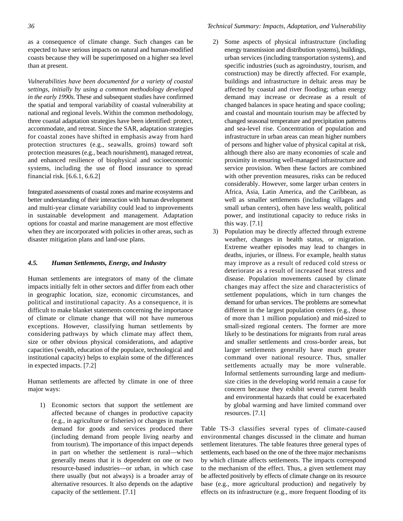as a consequence of climate change. Such changes can be expected to have serious impacts on natural and human-modified coasts because they will be superimposed on a higher sea level than at present.

*Vulnerabilities have been documented for a variety of coastal settings, initially by using a common methodology developed in the early 1990s.* These and subsequent studies have confirmed the spatial and temporal variability of coastal vulnerability at national and regional levels. Within the common methodology, three coastal adaptation strategies have been identified: protect, accommodate, and retreat. Since the SAR, adaptation strategies for coastal zones have shifted in emphasis away from hard protection structures (e.g., seawalls, groins) toward soft protection measures (e.g., beach nourishment), managed retreat, and enhanced resilience of biophysical and socioeconomic systems, including the use of flood insurance to spread financial risk.  $[6.6.1, 6.6.2]$ 

Integrated assessments of coastal zones and marine ecosystems and better understanding of their interaction with human development and multi-year climate variability could lead to improvements in sustainable development and management. Adaptation options for coastal and marine management are most effective when they are incorporated with policies in other areas, such as disaster mitigation plans and land-use plans.

## *4.5. Human Settlements, Energy, and Industry*

Human settlements are integrators of many of the climate impacts initially felt in other sectors and differ from each other in geographic location, size, economic circumstances, and political and institutional capacity. As a consequence, it is difficult to make blanket statements concerning the importance of climate or climate change that will not have numerous exceptions. However, classifying human settlements by considering pathways by which climate may affect them, size or other obvious physical considerations, and adaptive capacities (wealth, education of the populace, technological and institutional capacity) helps to explain some of the differences in expected impacts. [7.2]

Human settlements are affected by climate in one of three major ways:

1) Economic sectors that support the settlement are affected because of changes in productive capacity (e.g., in agriculture or fisheries) or changes in market demand for goods and services produced there (including demand from people living nearby and from tourism). The importance of this impact depends in part on whether the settlement is rural—which generally means that it is dependent on one or two resource-based industries—or urban, in which case there usually (but not always) is a broader array of alternative resources. It also depends on the adaptive capacity of the settlement. [7.1]

*36 Technical Summary: Impacts, Adaptation, and Vulnerability*

- 2) Some aspects of physical infrastructure (including energy transmission and distribution systems), buildings, urban services (including transportation systems), and specific industries (such as agroindustry, tourism, and construction) may be directly affected. For example, buildings and infrastructure in deltaic areas may be affected by coastal and river flooding; urban energy demand may increase or decrease as a result of changed balances in space heating and space cooling; and coastal and mountain tourism may be affected by changed seasonal temperature and precipitation patterns and sea-level rise. Concentration of population and infrastructure in urban areas can mean higher numbers of persons and higher value of physical capital at risk, although there also are many economies of scale and proximity in ensuring well-managed infrastructure and service provision. When these factors are combined with other prevention measures, risks can be reduced considerably. However, some larger urban centers in Africa, Asia, Latin America, and the Caribbean, as well as smaller settlements (including villages and small urban centers), often have less wealth, political power, and institutional capacity to reduce risks in this way. [7.1]
- 3) Population may be directly affected through extreme weather, changes in health status, or migration. Extreme weather episodes may lead to changes in deaths, injuries, or illness. For example, health status may improve as a result of reduced cold stress or deteriorate as a result of increased heat stress and disease. Population movements caused by climate changes may affect the size and characteristics of settlement populations, which in turn changes the demand for urban services. The problems are somewhat different in the largest population centers (e.g., those of more than 1 million population) and mid-sized to small-sized regional centers. The former are more likely to be destinations for migrants from rural areas and smaller settlements and cross-border areas, but larger settlements generally have much greater command over national resource. Thus, smaller settlements actually may be more vulnerable. Informal settlements surrounding large and mediumsize cities in the developing world remain a cause for concern because they exhibit several current health and environmental hazards that could be exacerbated by global warming and have limited command over resources. [7.1]

Table TS-3 classifies several types of climate-caused environmental changes discussed in the climate and human settlement literatures. The table features three general types of settlements, each based on the one of the three major mechanisms by which climate affects settlements. The impacts correspond to the mechanism of the effect. Thus, a given settlement may be affected positively by effects of climate change on its resource base (e.g., more agricultural production) and negatively by effects on its infrastructure (e.g., more frequent flooding of its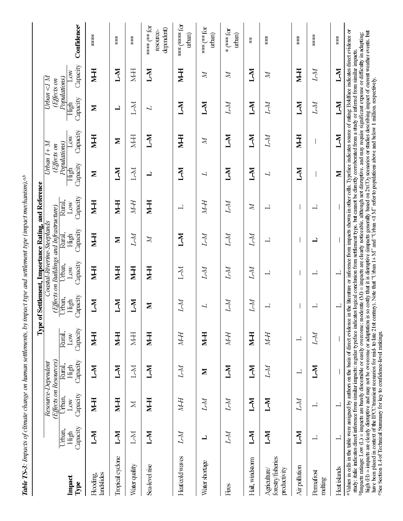| í                                           |
|---------------------------------------------|
| j                                           |
|                                             |
|                                             |
| l                                           |
|                                             |
|                                             |
|                                             |
| I                                           |
|                                             |
|                                             |
|                                             |
|                                             |
|                                             |
|                                             |
|                                             |
|                                             |
|                                             |
|                                             |
|                                             |
|                                             |
|                                             |
|                                             |
|                                             |
|                                             |
|                                             |
|                                             |
|                                             |
|                                             |
|                                             |
|                                             |
| ֖֖֖֖֖֖֖֪ׅ֪ׅ֪ׅ֖֧֪ׅ֖֧֚֚֚֚֚֚֚֚֚֚֚֚֚֚֚֚֚֚֬֝֝֝֝֝ |
|                                             |
|                                             |
|                                             |
|                                             |
|                                             |
|                                             |
|                                             |
|                                             |
|                                             |
| i<br>I                                      |
|                                             |
|                                             |
|                                             |
|                                             |
| į                                           |
| Ì                                           |
|                                             |
|                                             |
|                                             |
|                                             |
|                                             |
|                                             |
|                                             |
|                                             |
|                                             |
| ١                                           |
|                                             |
|                                             |
|                                             |
|                                             |
|                                             |
|                                             |
|                                             |
|                                             |
|                                             |
|                                             |
|                                             |
|                                             |
|                                             |
|                                             |
|                                             |
|                                             |
|                                             |
|                                             |
|                                             |
| l                                           |
|                                             |
| ï                                           |
|                                             |
|                                             |
| $\ddot{\phantom{a}}$<br>l                   |

ı

|                                                                                                                                                                                                                                                                                                                                                                                                                                                                                                                                                                                                                                                                                                                                                                                                                                                                                                                                                                                                                                                                                                                                                                                                                  |                          |                                              |                  | Type of         |                       | Settlement, Importance Rating, and Reference                             |                  |                 |                              |                             |                                |                            |                                         |
|------------------------------------------------------------------------------------------------------------------------------------------------------------------------------------------------------------------------------------------------------------------------------------------------------------------------------------------------------------------------------------------------------------------------------------------------------------------------------------------------------------------------------------------------------------------------------------------------------------------------------------------------------------------------------------------------------------------------------------------------------------------------------------------------------------------------------------------------------------------------------------------------------------------------------------------------------------------------------------------------------------------------------------------------------------------------------------------------------------------------------------------------------------------------------------------------------------------|--------------------------|----------------------------------------------|------------------|-----------------|-----------------------|--------------------------------------------------------------------------|------------------|-----------------|------------------------------|-----------------------------|--------------------------------|----------------------------|-----------------------------------------|
|                                                                                                                                                                                                                                                                                                                                                                                                                                                                                                                                                                                                                                                                                                                                                                                                                                                                                                                                                                                                                                                                                                                                                                                                                  |                          | (Effects on Resources)<br>Resource-Dependent |                  |                 |                       | (Effects on Buildings and Infrastructure)<br>Coastal-Riverine-Steeplands |                  |                 | Urban $I + M$<br>(Effects on |                             | Urban $\lt l$ M<br>(Effects on |                            |                                         |
|                                                                                                                                                                                                                                                                                                                                                                                                                                                                                                                                                                                                                                                                                                                                                                                                                                                                                                                                                                                                                                                                                                                                                                                                                  | Urban,                   | Urban,                                       | Rural,           | Rural,          | Urban,                | Urban,                                                                   | Rural,           | Rural,          | Populations)                 |                             | Populations)                   |                            |                                         |
| Impact<br>Type                                                                                                                                                                                                                                                                                                                                                                                                                                                                                                                                                                                                                                                                                                                                                                                                                                                                                                                                                                                                                                                                                                                                                                                                   | Capacity<br>High         | Capacity<br>Low                              | Capacity<br>High | Capacity<br>Low | Apacity<br>$\rm High$ | Capacity<br>$_{\rm low}$                                                 | Capacity<br>High | Capacity<br>Low | Capacity<br>High             | Capacity<br><b>MOT</b>      | Capacity<br>High               | Capacity<br><b>WOT</b>     | Confidence <sup>c</sup>                 |
| landslides<br><b>Flooding</b>                                                                                                                                                                                                                                                                                                                                                                                                                                                                                                                                                                                                                                                                                                                                                                                                                                                                                                                                                                                                                                                                                                                                                                                    | NLI                      | HHN                                          | <b>K</b>         | H-N             | NLI                   | HHN                                                                      | HHN              | HHN             | Σ                            | HHN                         | Σ                              | H-N                        | ****                                    |
| Tropical cyclone                                                                                                                                                                                                                                                                                                                                                                                                                                                                                                                                                                                                                                                                                                                                                                                                                                                                                                                                                                                                                                                                                                                                                                                                 | NLI                      | HHM                                          | NLI              | <b>H-N</b>      | <b>NLT</b>            | HHN                                                                      | Σ                | H-N             | KLI                          | Σ                           | ب                              | NLI                        | $***$                                   |
| Water quality                                                                                                                                                                                                                                                                                                                                                                                                                                                                                                                                                                                                                                                                                                                                                                                                                                                                                                                                                                                                                                                                                                                                                                                                    | KLI                      | $\geq$                                       | NLI              | HW              | <b>NLI</b>            | HHN                                                                      | $\mathbb{M}$     | HW              | KLI                          | HH                          | KLI                            | HH                         | $\frac{*}{*}$                           |
| Sea-level rise                                                                                                                                                                                                                                                                                                                                                                                                                                                                                                                                                                                                                                                                                                                                                                                                                                                                                                                                                                                                                                                                                                                                                                                                   | <b>NLT</b>               | HHN                                          | N<br>L           | HHN             | Σ                     | HHN                                                                      | $\mathbb{Z}$     | HHN             | 山                            | MLI                         | L                              | NLI                        | **** (** for<br>dependent)<br>resource- |
| Heat/cold waves                                                                                                                                                                                                                                                                                                                                                                                                                                                                                                                                                                                                                                                                                                                                                                                                                                                                                                                                                                                                                                                                                                                                                                                                  | $\mathbb{M}$             | H-W                                          | $\mathbb{M}$     | H-W             | $\mathbb{H}^1$        | NLI                                                                      | KLI              | コ               | NL<br>J                      | HHN                         | KL                             | HHN                        | *** (**** for<br>urban)                 |
| Water shortage                                                                                                                                                                                                                                                                                                                                                                                                                                                                                                                                                                                                                                                                                                                                                                                                                                                                                                                                                                                                                                                                                                                                                                                                   | ᆜ                        | N-7                                          | Σ                | <b>H-N</b>      | L                     | $\mathbb{M}$                                                             | $\mathbb{H}^1$   | HW              | L                            | $\mathcal{N}_{\mathcal{N}}$ | KLI                            | $\mathbb{Z}$               | *** (** for<br>urban)                   |
| Fires                                                                                                                                                                                                                                                                                                                                                                                                                                                                                                                                                                                                                                                                                                                                                                                                                                                                                                                                                                                                                                                                                                                                                                                                            | $\mathbb{H}^1$           | M <sub>1</sub>                               | NLI              | HW              | $\mathbb{H}_I$        | $\mathbb{M}$                                                             | $M_{-1}$         | $\mathbb{H}^1$  | <b>NLI</b>                   | MLI                         | $\mathbb{H}^7$                 | $\boldsymbol{\mathcal{Z}}$ | * (*** for<br>urban)                    |
| Hail, windstorm                                                                                                                                                                                                                                                                                                                                                                                                                                                                                                                                                                                                                                                                                                                                                                                                                                                                                                                                                                                                                                                                                                                                                                                                  | <b>NLI</b>               | NLI                                          | NLI              | <b>H-N</b>      | N-7                   | M                                                                        | $\mathbb{H}^1$   | $\mathbb{Z}$    | <b>NHI</b>                   | <b>NLT</b>                  | NLI                            | <b>N-1</b>                 | $\ddot{*}$                              |
| foresty/fisheries<br>productivity<br>Agriculture/                                                                                                                                                                                                                                                                                                                                                                                                                                                                                                                                                                                                                                                                                                                                                                                                                                                                                                                                                                                                                                                                                                                                                                | <b>NLI</b>               | NLI                                          | M <sub>1</sub>   | HW              |                       | 言                                                                        |                  |                 | L                            | M                           | $\mathbb{M}$                   | $\mathbb{Z}$               | $***$                                   |
| Air pollution                                                                                                                                                                                                                                                                                                                                                                                                                                                                                                                                                                                                                                                                                                                                                                                                                                                                                                                                                                                                                                                                                                                                                                                                    | KLI                      | M <sub>1</sub>                               | 凵                | ー               |                       |                                                                          |                  |                 | KLI                          | HHN                         | NLI                            | <b>H-N</b>                 | $**\atop**$                             |
| Pernafrost<br>melting                                                                                                                                                                                                                                                                                                                                                                                                                                                                                                                                                                                                                                                                                                                                                                                                                                                                                                                                                                                                                                                                                                                                                                                            | 凵                        | $\overline{\phantom{0}}$                     | <b>N-T</b>       | $\mathbb{M}$    |                       | 凵                                                                        |                  |                 |                              |                             | $\mathbb{M}$                   | $\mathbb{M}$               | ****                                    |
| <b>Heat islands</b>                                                                                                                                                                                                                                                                                                                                                                                                                                                                                                                                                                                                                                                                                                                                                                                                                                                                                                                                                                                                                                                                                                                                                                                              | $\overline{\phantom{0}}$ | $\overline{\phantom{0}}$                     |                  |                 | Ë                     | $\overline{\phantom{0}}$                                                 |                  |                 | Σ                            | <b>N-T</b>                  | <b>NHT</b>                     | <b>N-1</b>                 | $***$                                   |
| a Values in cells in the table were assigned by authors on the basis of direct evidence in the literature or inference from impacts shown in other cells. Typeface indicates source of rating: Boldface indicates direct evide<br>high (H) = impacts are clearly disruptive and may not be overcome or adaptation is so costly that it is disruptive (impacts generally based on 2xCO <sub>2</sub> scenarios or studies describing impact of current weather events, but<br>$b$ Impacts ratings: Low (L) = impacts are barely discemible or easily overcome; moderate (M) = impacts are clearly noticeable, although not disruptive, and may require significant expense or difficulty in adapting.<br>study; italic indicates direct inference from similar impacts; regular typeface indicates logical conclusion from settlement type, but cannot be directly corroborated from a study or inferred from similar impacts.<br>have been placed in context of the IPCC transient scenarios for mid- to late 21st century). Note that "Urban 1+ M" and "Urban <1 M" refer to populations above and below 1 million, respectively.<br>°See Section 1.4 of Technical Summary for key to confidence-level rankings. |                          |                                              |                  |                 |                       |                                                                          |                  |                 |                              |                             |                                |                            |                                         |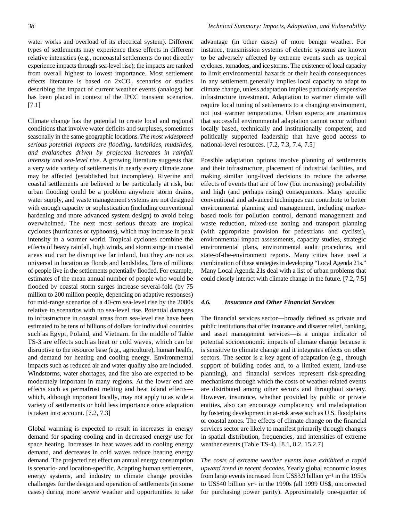water works and overload of its electrical system). Different types of settlements may experience these effects in different relative intensities (e.g., noncoastal settlements do not directly experience impacts through sea-level rise); the impacts are ranked from overall highest to lowest importance. Most settlement effects literature is based on  $2xCO_2$  scenarios or studies describing the impact of current weather events (analogs) but has been placed in context of the IPCC transient scenarios. [7.1]

Climate change has the potential to create local and regional conditions that involve water deficits and surpluses, sometimes seasonally in the same geographic locations. *The most widespread serious potential impacts are flooding, landslides, mudslides, and avalanches driven by projected increases in rainfall intensity and sea-level rise.* A growing literature suggests that a very wide variety of settlements in nearly every climate zone may be affected (established but incomplete). Riverine and coastal settlements are believed to be particularly at risk, but urban flooding could be a problem anywhere storm drains, water supply, and waste management systems are not designed with enough capacity or sophistication (including conventional hardening and more advanced system design) to avoid being overwhelmed. The next most serious threats are tropical cyclones (hurricanes or typhoons), which may increase in peak intensity in a warmer world. Tropical cyclones combine the effects of heavy rainfall, high winds, and storm surge in coastal areas and can be disruptive far inland, but they are not as universal in location as floods and landslides. Tens of millions of people live in the settlements potentially flooded. For example, estimates of the mean annual number of people who would be flooded by coastal storm surges increase several-fold (by 75 million to 200 million people, depending on adaptive responses) for mid-range scenarios of a 40-cm sea-level rise by the 2080s relative to scenarios with no sea-level rise. Potential damages to infrastructure in coastal areas from sea-level rise have been estimated to be tens of billions of dollars for individual countries such as Egypt, Poland, and Vietnam. In the middle of Table TS-3 are effects such as heat or cold waves, which can be disruptive to the resource base (e.g., agriculture), human health, and demand for heating and cooling energy. Environmental impacts such as reduced air and water quality also are included. Windstorms, water shortages, and fire also are expected to be moderately important in many regions. At the lower end are effects such as permafrost melting and heat island effects which, although important locally, may not apply to as wide a variety of settlements or hold less importance once adaptation is taken into account. [7.2, 7.3]

Global warming is expected to result in increases in energy demand for spacing cooling and in decreased energy use for space heating. Increases in heat waves add to cooling energy demand, and decreases in cold waves reduce heating energy demand. The projected net effect on annual energy consumption is scenario- and location-specific. Adapting human settlements, energy systems, and industry to climate change provides challenges for the design and operation of settlements (in some cases) during more severe weather and opportunities to take advantage (in other cases) of more benign weather. For instance, transmission systems of electric systems are known to be adversely affected by extreme events such as tropical cyclones, tornadoes, and ice storms. The existence of local capacity to limit environmental hazards or their health consequences in any settlement generally implies local capacity to adapt to climate change, unless adaptation implies particularly expensive infrastructure investment. Adaptation to warmer climate will require local tuning of settlements to a changing environment, not just warmer temperatures. Urban experts are unanimous that successful environmental adaptation cannot occur without locally based, technically and institutionally competent, and politically supported leadership that have good access to national-level resources. [7.2, 7.3, 7.4, 7.5]

Possible adaptation options involve planning of settlements and their infrastructure, placement of industrial facilities, and making similar long-lived decisions to reduce the adverse e ffects of events that are of low (but increasing) probability and high (and perhaps rising) consequences. Many specific conventional and advanced techniques can contribute to better environmental planning and management, including marketbased tools for pollution control, demand management and waste reduction, mixed-use zoning and transport planning (with appropriate provision for pedestrians and cyclists), environmental impact assessments, capacity studies, strategic environmental plans, environmental audit procedures, and state-of-the-environment reports. Many cities have used a combination of these strategies in developing "Local Agenda 21s." Many Local Agenda 21s deal with a list of urban problems that could closely interact with climate change in the future. [7.2, 7.5]

#### *4.6. Insurance and Other Financial Services*

The financial services sector—broadly defined as private and public institutions that offer insurance and disaster relief, banking, and asset management services—is a unique indicator of potential socioeconomic impacts of climate change because it is sensitive to climate change and it integrates effects on other sectors. The sector is a key agent of adaptation (e.g., through support of building codes and, to a limited extent, land-use planning), and financial services represent risk-spreading mechanisms through which the costs of weather-related events are distributed among other sectors and throughout society. However, insurance, whether provided by public or private entities, also can encourage complacency and maladaptation by fostering development in at-risk areas such as U.S. floodplains or coastal zones. The effects of climate change on the financial services sector are likely to manifest primarily through changes in spatial distribution, frequencies, and intensities of extreme weather events (Table TS-4). [8.1, 8.2, 15.2.7]

*The costs of extreme weather events have exhibited a rapid upward trend in recent decades.* Yearly global economic losses from large events increased from US\$3.9 billion  $yr<sup>1</sup>$  in the 1950s to US\$40 billion yr-1 in the 1990s (all 1999 US\$, uncorrected for purchasing power parity). Approximately one-quarter of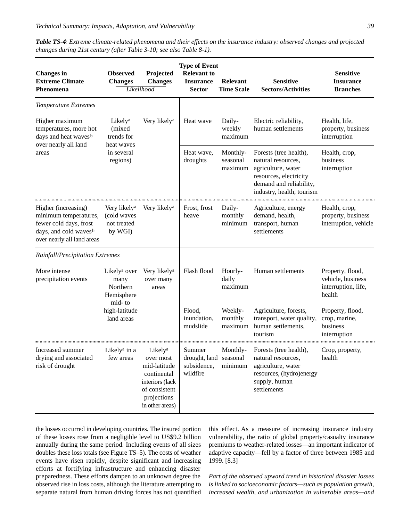| Table TS-4: Extreme climate-related phenomena and their effects on the insurance industry: observed changes and projected |  |
|---------------------------------------------------------------------------------------------------------------------------|--|
| changes during 21st century (after Table 3-10; see also Table 8-1).                                                       |  |

| <b>Changes</b> in<br><b>Extreme Climate</b><br>Phenomena                                                                                  | <b>Observed</b><br><b>Changes</b>                                    | Projected<br><b>Changes</b><br>Likelihood                                                                                 | <b>Type of Event</b><br><b>Relevant to</b><br><b>Insurance</b><br><b>Sector</b> | <b>Relevant</b><br><b>Time Scale</b> | <b>Sensitive</b><br><b>Sectors/Activities</b>                                                                                                        | <b>Sensitive</b><br><b>Insurance</b><br><b>Branches</b>                |
|-------------------------------------------------------------------------------------------------------------------------------------------|----------------------------------------------------------------------|---------------------------------------------------------------------------------------------------------------------------|---------------------------------------------------------------------------------|--------------------------------------|------------------------------------------------------------------------------------------------------------------------------------------------------|------------------------------------------------------------------------|
| Temperature Extremes                                                                                                                      |                                                                      |                                                                                                                           |                                                                                 |                                      |                                                                                                                                                      |                                                                        |
| Higher maximum<br>temperatures, more hot<br>days and heat waves <sup>b</sup>                                                              | Likelya<br>(mixed<br>trends for                                      | Very likely <sup>a</sup>                                                                                                  | Heat wave                                                                       | Daily-<br>weekly<br>maximum          | Electric reliability,<br>human settlements                                                                                                           | Health, life,<br>property, business<br>interruption                    |
| over nearly all land<br>areas                                                                                                             | heat waves<br>in several<br>regions)                                 |                                                                                                                           | Heat wave,<br>droughts                                                          | Monthly-<br>seasonal<br>maximum      | Forests (tree health),<br>natural resources,<br>agriculture, water<br>resources, electricity<br>demand and reliability,<br>industry, health, tourism | Health, crop,<br>business<br>interruption                              |
| Higher (increasing)<br>minimum temperatures,<br>fewer cold days, frost<br>days, and cold waves <sup>b</sup><br>over nearly all land areas | Very likely <sup>a</sup><br>(cold waves<br>not treated<br>by WGI)    | Very likely <sup>a</sup>                                                                                                  | Frost, frost<br>heave                                                           | Daily-<br>monthly<br>minimum         | Agriculture, energy<br>demand, health,<br>transport, human<br>settlements                                                                            | Health, crop,<br>property, business<br>interruption, vehicle           |
| Rainfall/Precipitation Extremes                                                                                                           |                                                                      |                                                                                                                           |                                                                                 |                                      |                                                                                                                                                      |                                                                        |
| More intense<br>precipitation events                                                                                                      | Likely <sup>a</sup> over<br>many<br>Northern<br>Hemisphere<br>mid-to | Very likely <sup>a</sup><br>over many<br>areas                                                                            | Flash flood                                                                     | Hourly-<br>daily<br>maximum          | Human settlements                                                                                                                                    | Property, flood,<br>vehicle, business<br>interruption, life,<br>health |
|                                                                                                                                           | high-latitude<br>land areas                                          |                                                                                                                           | Flood,<br>inundation,<br>mudslide                                               | Weekly-<br>monthly<br>maximum        | Agriculture, forests,<br>transport, water quality,<br>human settlements,<br>tourism                                                                  | Property, flood,<br>crop, marine,<br>business<br>interruption          |
| Increased summer<br>drying and associated<br>risk of drought                                                                              | Likely <sup>a</sup> in a<br>few areas                                | Likelya<br>over most<br>mid-latitude<br>continental<br>interiors (lack<br>of consistent<br>projections<br>in other areas) | Summer<br>drought, land seasonal<br>subsidence,<br>wildfire                     | Monthly-<br>minimum                  | Forests (tree health),<br>natural resources,<br>agriculture, water<br>resources, (hydro)energy<br>supply, human<br>settlements                       | Crop, property,<br>health                                              |

the losses occurred in developing countries. The insured portion of these losses rose from a negligible level to US\$9.2 billion annually during the same period. Including events of all sizes doubles these loss totals (see Figure TS–5). The costs of weather events have risen rapidly, despite significant and increasing e fforts at fortifying infrastructure and enhancing disaster preparedness. These efforts dampen to an unknown degree the observed rise in loss costs, although the literature attempting to separate natural from human driving forces has not quantified this effect. As a measure of increasing insurance industry vulnerability, the ratio of global property/casualty insurance premiums to weather-related losses—an important indicator of adaptive capacity—fell by a factor of three between 1985 and 1999. [8.3]

*Part of the observed upward trend in historical disaster losses is linked to socioeconomic factors—such as population growth, increased wealth, and urbanization in vulnerable areas—and*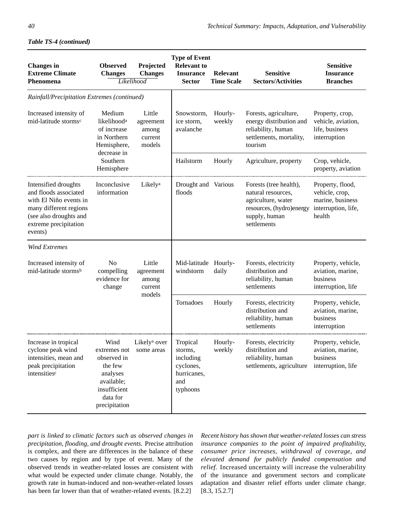| <b>Changes</b> in<br><b>Extreme Climate</b><br>Phenomena<br>Rainfall/Precipitation Extremes (continued)<br>Increased intensity of<br>mid-latitude storms <sup>c</sup> | <b>Observed</b><br><b>Changes</b><br>Medium<br>likelihooda<br>of increase                                             | Projected<br><b>Changes</b><br>Likelihood<br>Little<br>agreement<br>among | <b>Type of Event</b><br><b>Relevant to</b><br><b>Insurance</b><br><b>Sector</b><br>Snowstorm,<br>ice storm,<br>avalanche | <b>Relevant</b><br><b>Time Scale</b><br>Hourly-<br>weekly | <b>Sensitive</b><br><b>Sectors/Activities</b><br>Forests, agriculture,<br>energy distribution and<br>reliability, human        | <b>Sensitive</b><br><b>Insurance</b><br><b>Branches</b><br>Property, crop,<br>vehicle, aviation,<br>life, business |
|-----------------------------------------------------------------------------------------------------------------------------------------------------------------------|-----------------------------------------------------------------------------------------------------------------------|---------------------------------------------------------------------------|--------------------------------------------------------------------------------------------------------------------------|-----------------------------------------------------------|--------------------------------------------------------------------------------------------------------------------------------|--------------------------------------------------------------------------------------------------------------------|
|                                                                                                                                                                       | in Northern<br>Hemisphere,<br>decrease in<br>Southern<br>Hemisphere                                                   | current<br>models                                                         | Hailstorm                                                                                                                | Hourly                                                    | settlements, mortality,<br>tourism<br>Agriculture, property                                                                    | interruption<br>Crop, vehicle,<br>property, aviation                                                               |
| Intensified droughts<br>and floods associated<br>with El Niño events in<br>many different regions<br>(see also droughts and<br>extreme precipitation<br>events)       | Inconclusive<br>information                                                                                           | Likelya                                                                   | Drought and Various<br>floods                                                                                            |                                                           | Forests (tree health),<br>natural resources,<br>agriculture, water<br>resources, (hydro)energy<br>supply, human<br>settlements | Property, flood,<br>vehicle, crop,<br>marine, business<br>interruption, life,<br>health                            |
| <b>Wind Extremes</b>                                                                                                                                                  |                                                                                                                       |                                                                           |                                                                                                                          |                                                           |                                                                                                                                |                                                                                                                    |
| Increased intensity of<br>mid-latitude storms <sup>b</sup>                                                                                                            | No<br>compelling<br>evidence for<br>change                                                                            | Little<br>agreement<br>among<br>current                                   | Mid-latitude<br>windstorm                                                                                                | Hourly-<br>daily                                          | Forests, electricity<br>distribution and<br>reliability, human<br>settlements                                                  | Property, vehicle,<br>aviation, marine,<br>business<br>interruption, life                                          |
|                                                                                                                                                                       |                                                                                                                       | models                                                                    | Tornadoes                                                                                                                | Hourly                                                    | Forests, electricity<br>distribution and<br>reliability, human<br>settlements                                                  | Property, vehicle,<br>aviation, marine,<br>business<br>interruption                                                |
| Increase in tropical<br>cyclone peak wind<br>intensities, mean and<br>peak precipitation<br>intensitiesc                                                              | Wind<br>extremes not<br>observed in<br>the few<br>analyses<br>available;<br>insufficient<br>data for<br>precipitation | Likely <sup>a</sup> over<br>some areas                                    | Tropical<br>storms,<br>including<br>cyclones,<br>hurricanes,<br>and<br>typhoons                                          | Hourly-<br>weekly                                         | Forests, electricity<br>distribution and<br>reliability, human<br>settlements, agriculture                                     | Property, vehicle,<br>aviation, marine,<br>business<br>interruption, life                                          |

## *Table TS-4 (continued)*

*part is linked to climatic factors such as observed changes in precipitation, flooding, and drought events.* Precise attribution is complex, and there are differences in the balance of these two causes by region and by type of event. Many of the observed trends in weather-related losses are consistent with what would be expected under climate change. Notably, the growth rate in human-induced and non-weather-related losses has been far lower than that of weather-related events. [8.2.2]

*Recent history has shown that weather-related losses can stress insurance companies to the point of impaired profitability, consumer price increases, withdrawal of coverage, and*  $e$ *levated demand for publicly funded compensation and relief.* Increased uncertainty will increase the vulnerability of the insurance and government sectors and complicate adaptation and disaster relief efforts under climate change. [8.3, 15.2.7]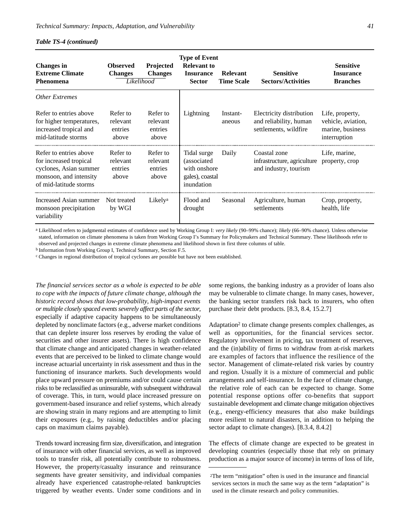#### *Table TS-4 (continued)*

| <b>Changes</b> in<br><b>Extreme Climate</b><br><b>Phenomena</b>                                                                | <b>Observed</b><br><b>Changes</b><br>Likelihood | Projected<br><b>Changes</b>              | <b>Type of Event</b><br><b>Relevant to</b><br><b>Insurance</b><br><b>Sector</b> | Relevant<br><b>Time Scale</b> | <b>Sensitive</b><br><b>Sectors/Activities</b>                                       | <b>Sensitive</b><br><b>Insurance</b><br><b>Branches</b>                   |
|--------------------------------------------------------------------------------------------------------------------------------|-------------------------------------------------|------------------------------------------|---------------------------------------------------------------------------------|-------------------------------|-------------------------------------------------------------------------------------|---------------------------------------------------------------------------|
| <b>Other Extremes</b>                                                                                                          |                                                 |                                          |                                                                                 |                               |                                                                                     |                                                                           |
| Refer to entries above<br>for higher temperatures,<br>increased tropical and<br>mid-latitude storms                            | Refer to<br>relevant<br>entries<br>above        | Refer to<br>relevant<br>entries<br>above | Lightning                                                                       | Instant-<br>aneous            | Electricity distribution<br>and reliability, human<br>settlements, wildfire         | Life, property,<br>vehicle, aviation,<br>marine, business<br>interruption |
| Refer to entries above<br>for increased tropical<br>cyclones, Asian summer<br>monsoon, and intensity<br>of mid-latitude storms | Refer to<br>relevant<br>entries<br>above        | Refer to<br>relevant<br>entries<br>above | Tidal surge<br>(associated)<br>with onshore<br>gales), coastal<br>inundation    | Daily                         | Coastal zone<br>infrastructure, agriculture property, crop<br>and industry, tourism | Life, marine,                                                             |
| Increased Asian summer<br>monsoon precipitation<br>variability                                                                 | Not treated<br>by WGI                           | Likelya                                  | Flood and<br>drought                                                            | Seasonal                      | Agriculture, human<br>settlements                                                   | Crop, property,<br>health, life                                           |

a Likelihood refers to judgmental estimates of confidence used by Working Group I: *very likely* (90–99% chance); *likely* (66–90% chance). Unless otherwise stated, information on climate phenomena is taken from Working Group I's Summary for Policymakers and Technical Summary. These likelihoods refer to observed and projected changes in extreme climate phenomena and likelihood shown in first three columns of table.

b Information from Working Group I, Technical Summary, Section F.5.

c Changes in regional distribution of tropical cyclones are possible but have not been established.

*The financial services sector as a whole is expected to be able to cope with the impacts of future climate change, although the historic record shows that low-probability, high-impact events or multiple closely spaced events severely affect parts of the sector*, especially if adaptive capacity happens to be simultaneously depleted by nonclimate factors (e.g., adverse market conditions that can deplete insurer loss reserves by eroding the value of securities and other insurer assets). There is high confidence that climate change and anticipated changes in weather-related events that are perceived to be linked to climate change would increase actuarial uncertainty in risk assessment and thus in the functioning of insurance markets. Such developments would place upward pressure on premiums and/or could cause certain risks to be reclassified as uninsurable, with subsequent withdrawal of coverage. This, in turn, would place increased pressure on government-based insurance and relief systems, which already are showing strain in many regions and are attempting to limit their exposures (e.g., by raising deductibles and/or placing caps on maximum claims payable)*.*

Trends toward increasing firm size, diversification, and integration of insurance with other financial services, as well as improved tools to transfer risk, all potentially contribute to robustness. However, the property/casualty insurance and reinsurance segments have greater sensitivity, and individual companies already have experienced catastrophe-related bankruptcies triggered by weather events. Under some conditions and in some regions, the banking industry as a provider of loans also may be vulnerable to climate change. In many cases, however, the banking sector transfers risk back to insurers, who often purchase their debt products. [8.3, 8.4, 15.2.7]

Adaptation<sup>2</sup> to climate change presents complex challenges, as well as opportunities, for the financial services sector. Regulatory involvement in pricing, tax treatment of reserves, and the (in)ability of firms to withdraw from at-risk markets are examples of factors that influence the resilience of the sector. Management of climate-related risk varies by country and region. Usually it is a mixture of commercial and public arrangements and self-insurance. In the face of climate change, the relative role of each can be expected to change. Some potential response options offer co-benefits that support sustainable development and climate change mitigation objectives (e.g., energy-efficiency measures that also make buildings more resilient to natural disasters, in addition to helping the sector adapt to climate changes). [8.3.4, 8.4.2]

The effects of climate change are expected to be greatest in developing countries (especially those that rely on primary production as a major source of income) in terms of loss of life,

<sup>2</sup>The term "mitigation" often is used in the insurance and financial services sectors in much the same way as the term "adaptation" is used in the climate research and policy communities.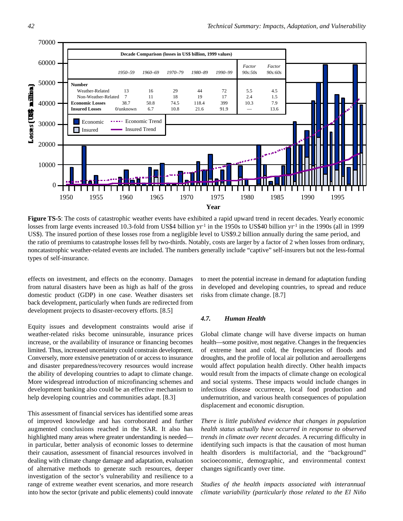

**Figure TS-5**: The costs of catastrophic weather events have exhibited a rapid upward trend in recent decades. Yearly economic losses from large events increased 10.3-fold from US\$4 billion yr-1 in the 1950s to US\$40 billion yr-1 in the 1990s (all in 1999 US\$). The insured portion of these losses rose from a negligible level to US\$9.2 billion annually during the same period, and the ratio of premiums to catastrophe losses fell by two-thirds. Notably, costs are larger by a factor of 2 when losses from ordinary, noncatastrophic weather-related events are included. The numbers generally include "captive" self-insurers but not the less-formal types of self-insurance.

effects on investment, and effects on the economy. Damages from natural disasters have been as high as half of the gross domestic product (GDP) in one case. Weather disasters set back development, particularly when funds are redirected from development projects to disaster-recovery efforts. [8.5]

Equity issues and development constraints would arise if weather-related risks become uninsurable, insurance prices increase, or the availability of insurance or financing becomes limited. Thus, increased uncertainty could constrain development. Conversely, more extensive penetration of or access to insurance and disaster preparedness/recovery resources would increase the ability of developing countries to adapt to climate change. More widespread introduction of microfinancing schemes and development banking also could be an effective mechanism to help developing countries and communities adapt. [8.3]

This assessment of financial services has identified some areas of improved knowledge and has corroborated and further augmented conclusions reached in the SAR. It also has highlighted many areas where greater understanding is needed in particular, better analysis of economic losses to determine their causation, assessment of financial resources involved in dealing with climate change damage and adaptation, evaluation of alternative methods to generate such resources, deeper investigation of the sector's vulnerability and resilience to a range of extreme weather event scenarios, and more research into how the sector (private and public elements) could innovate to meet the potential increase in demand for adaptation funding in developed and developing countries, to spread and reduce risks from climate change. [8.7]

## *4.7. Human Health*

Global climate change will have diverse impacts on human health—some positive, most negative. Changes in the frequencies of extreme heat and cold, the frequencies of floods and droughts, and the profile of local air pollution and aeroallergens would affect population health directly. Other health impacts would result from the impacts of climate change on ecological and social systems. These impacts would include changes in infectious disease occurrence, local food production and undernutrition, and various health consequences of population displacement and economic disruption.

*There is little published evidence that changes in population health status actually have occurred in response to observed trends in climate over recent decades.* A recurring difficulty in identifying such impacts is that the causation of most human health disorders is multifactorial, and the "background" socioeconomic, demographic, and environmental context changes significantly over time.

*Studies of the health impacts associated with interannual climate variability (particularly those related to the El Niño*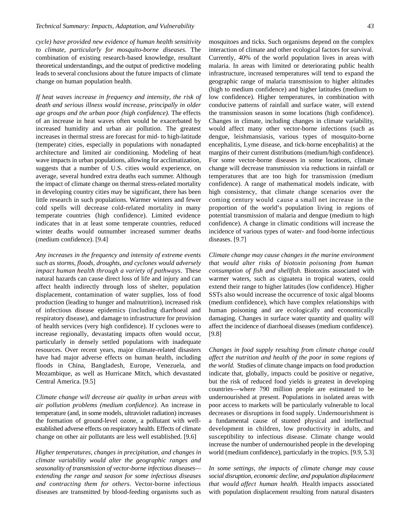*cycle) have provided new evidence of human health sensitivity to climate, particularly for mosquito-borne diseases.* The combination of existing research-based knowledge, resultant theoretical understandings, and the output of predictive modeling leads to several conclusions about the future impacts of climate change on human population health.

*If heat waves increase in frequency and intensity, the risk of death and serious illness would increase, principally in older age groups and the urban poor (high confidence).* The effects of an increase in heat waves often would be exacerbated by increased humidity and urban air pollution. The greatest increases in thermal stress are forecast for mid- to high-latitude (temperate) cities, especially in populations with nonadapted architecture and limited air conditioning. Modeling of heat wave impacts in urban populations, allowing for acclimatization, suggests that a number of U.S. cities would experience, on average, several hundred extra deaths each summer. Although the impact of climate change on thermal stress-related mortality in developing country cities may be significant, there has been little research in such populations. Warmer winters and fewer cold spells will decrease cold-related mortality in many temperate countries (high confidence). Limited evidence indicates that in at least some temperate countries, reduced winter deaths would outnumber increased summer deaths (medium confidence). [9.4]

*Any increases in the frequency and intensity of extreme events such as storms, floods, droughts, and cyclones would adversely impact human health through a variety of pathways.* These natural hazards can cause direct loss of life and injury and can a ffect health indirectly through loss of shelter, population displacement, contamination of water supplies, loss of food production (leading to hunger and malnutrition), increased risk of infectious disease epidemics (including diarrhoeal and respiratory disease), and damage to infrastructure for provision of health services (very high confidence). If cyclones were to increase regionally, devastating impacts often would occur, particularly in densely settled populations with inadequate resources. Over recent years, major climate-related disasters have had major adverse effects on human health, including floods in China, Bangladesh, Europe, Venezuela, and Mozambique, as well as Hurricane Mitch, which devastated Central America. [9.5]

*Climate change will decrease air quality in urban areas with air pollution problems (medium confidence)*. An increase in temperature (and, in some models, ultraviolet radiation) increases the formation of ground-level ozone, a pollutant with wellestablished adverse effects on respiratory health. Effects of climate change on other air pollutants are less well established. [9.6]

*Higher temperatures, changes in precipitation, and changes in climate variability would alter the geographic ranges and s e asonality of transmission of vector-borne infectious diseases extending the range and season for some infectious diseases and contracting them for others.* Vector-borne infectious diseases are transmitted by blood-feeding organisms such as

mosquitoes and ticks. Such organisms depend on the complex interaction of climate and other ecological factors for survival. Currently, 40% of the world population lives in areas with malaria. In areas with limited or deteriorating public health infrastructure, increased temperatures will tend to expand the geographic range of malaria transmission to higher altitudes (high to medium confidence) and higher latitudes (medium to low confidence). Higher temperatures, in combination with conducive patterns of rainfall and surface water, will extend the transmission season in some locations (high confidence). Changes in climate, including changes in climate variability, would affect many other vector-borne infections (such as dengue, leishmansiasis, various types of mosquito-borne encephalitis, Lyme disease, and tick-borne encephalitis) at the margins of their current distributions (medium/high confidence). For some vector-borne diseases in some locations, climate change will decrease transmission via reductions in rainfall or temperatures that are too high for transmission (medium confidence). A range of mathematical models indicate, with high consistency, that climate change scenarios over the coming century would cause a small net increase in the proportion of the world's population living in regions of potential transmission of malaria and dengue (medium to high confidence). A change in climatic conditions will increase the incidence of various types of water- and food-borne infectious diseases. [9.7]

*Climate change may cause changes in the marine environment that would alter risks of biotoxin poisoning from human consumption of fish and shellfish.* Biotoxins associated with warmer waters, such as ciguatera in tropical waters, could extend their range to higher latitudes (low confidence). Higher SSTs also would increase the occurrence of toxic algal blooms (medium confidence), which have complex relationships with human poisoning and are ecologically and economically damaging. Changes in surface water quantity and quality will a ffect the incidence of diarrhoeal diseases (medium confidence). [9.8]

*Changes in food supply resulting from climate change could affect the nutrition and health of the poor in some regions of the world.* Studies of climate change impacts on food production indicate that, globally, impacts could be positive or negative, but the risk of reduced food yields is greatest in developing countries—where 790 million people are estimated to be undernourished at present. Populations in isolated areas with poor access to markets will be particularly vulnerable to local decreases or disruptions in food supply. Undernourishment is a fundamental cause of stunted physical and intellectual development in children, low productivity in adults, and susceptibility to infectious disease. Climate change would increase the number of undernourished people in the developing world (medium confidence), particularly in the tropics. [9.9, 5.3]

*In some settings, the impacts of climate change may cause social disruption, economic decline, and population displacement that would affect human health.* Health impacts associated with population displacement resulting from natural disasters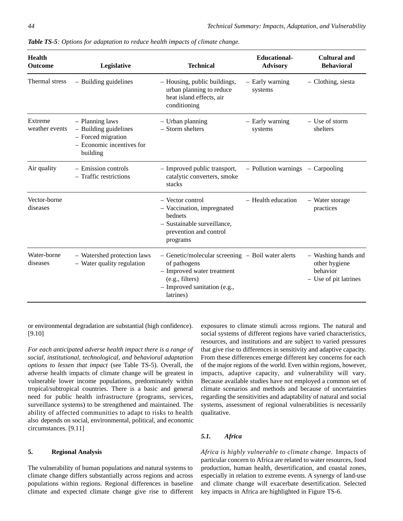| <b>Health</b><br><b>Outcome</b> | Legislative                                                                                             | <b>Technical</b>                                                                                                                                                  | <b>Educational-</b><br><b>Advisory</b> | <b>Cultural and</b><br><b>Behavioral</b>                                  |
|---------------------------------|---------------------------------------------------------------------------------------------------------|-------------------------------------------------------------------------------------------------------------------------------------------------------------------|----------------------------------------|---------------------------------------------------------------------------|
| Thermal stress                  | - Building guidelines                                                                                   | - Housing, public buildings,<br>urban planning to reduce<br>heat island effects, air<br>conditioning                                                              | - Early warning<br>systems             | - Clothing, siesta                                                        |
| Extreme<br>weather events       | - Planning laws<br>- Building guidelines<br>- Forced migration<br>- Economic incentives for<br>building | - Urban planning<br>$-$ Storm shelters                                                                                                                            | - Early warning<br>systems             | - Use of storm<br>shelters                                                |
| Air quality                     | $-$ Emission controls<br>- Traffic restrictions                                                         | - Improved public transport,<br>catalytic converters, smoke<br>stacks                                                                                             | $-$ Pollution warnings $-$ Carpooling  |                                                                           |
| Vector-borne<br>diseases        |                                                                                                         | - Vector control<br>- Vaccination, impregnated<br>bednets<br>- Sustainable surveillance,<br>prevention and control<br>programs                                    | - Health education                     | - Water storage<br>practices                                              |
| Water-borne<br>diseases         | - Watershed protection laws<br>- Water quality regulation                                               | - Genetic/molecular screening - Boil water alerts<br>of pathogens<br>- Improved water treatment<br>(e.g., filters)<br>$-$ Improved sanitation (e.g.,<br>latrines) |                                        | - Washing hands and<br>other hygiene<br>behavior<br>- Use of pit latrines |

*Table TS-5: Options for adaptation to reduce health impacts of climate change.*

or environmental degradation are substantial (high confidence). [9.10]

*For each anticipated adverse health impact there is a range of social, institutional, technological, and behavioral adaptation options to lessen that impact* (see Table TS-5). Overall, the adverse health impacts of climate change will be greatest in vulnerable lower income populations, predominately within tropical/subtropical countries. There is a basic and general need for public health infrastructure (programs, services, surveillance systems) to be strengthened and maintained. The ability of affected communities to adapt to risks to health also depends on social, environmental, political, and economic circumstances. [9.11]

## **5. Regional Analysis**

The vulnerability of human populations and natural systems to climate change differs substantially across regions and across populations within regions. Regional differences in baseline climate and expected climate change give rise to different exposures to climate stimuli across regions. The natural and social systems of different regions have varied characteristics, resources, and institutions and are subject to varied pressures that give rise to differences in sensitivity and adaptive capacity. From these differences emerge different key concerns for each of the major regions of the world. Even within regions, however, impacts, adaptive capacity, and vulnerability will vary. Because available studies have not employed a common set of climate scenarios and methods and because of uncertainties regarding the sensitivities and adaptability of natural and social systems, assessment of regional vulnerabilities is necessarily qualitative.

## *5.1. Africa*

*Africa is highly vulnerable to climate change.* Impacts of particular concern to Africa are related to water resources, food production, human health, desertification, and coastal zones, especially in relation to extreme events. A synergy of land-use and climate change will exacerbate desertification. Selected key impacts in Africa are highlighted in Figure TS-6.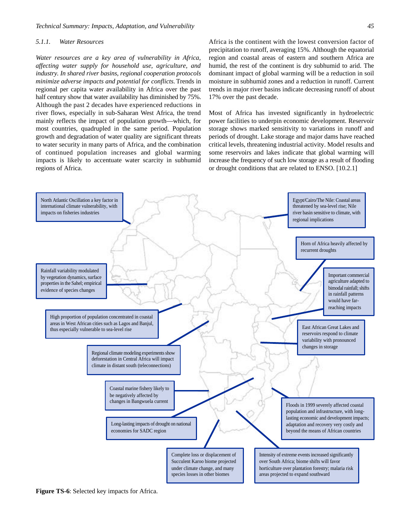## *5.1.1. Water Resources*

*Water resources are a key area of vulnerability in Africa, affecting water supply for household use, agriculture, and industry. In shared river basins, regional cooperation protocols minimize adverse impacts and potential for conflicts.* Trends in regional per capita water availability in Africa over the past half century show that water availability has diminished by 75%. Although the past 2 decades have experienced reductions in river flows, especially in sub-Saharan West Africa, the trend mainly reflects the impact of population growth—which, for most countries, quadrupled in the same period. Population growth and degradation of water quality are significant threats to water security in many parts of Africa, and the combination of continued population increases and global warming impacts is likely to accentuate water scarcity in subhumid regions of Africa.

Africa is the continent with the lowest conversion factor of precipitation to runoff, averaging 15%. Although the equatorial region and coastal areas of eastern and southern Africa are humid, the rest of the continent is dry subhumid to arid. The dominant impact of global warming will be a reduction in soil moisture in subhumid zones and a reduction in runoff. Current trends in major river basins indicate decreasing runoff of about 17% over the past decade.

Most of Africa has invested significantly in hydroelectric power facilities to underpin economic development. Reservoir storage shows marked sensitivity to variations in runoff and periods of drought. Lake storage and major dams have reached critical levels, threatening industrial activity. Model results and some reservoirs and lakes indicate that global warming will increase the frequency of such low storage as a result of flooding or drought conditions that are related to ENSO. [10.2.1]



**Figure TS-6**: Selected key impacts for Africa.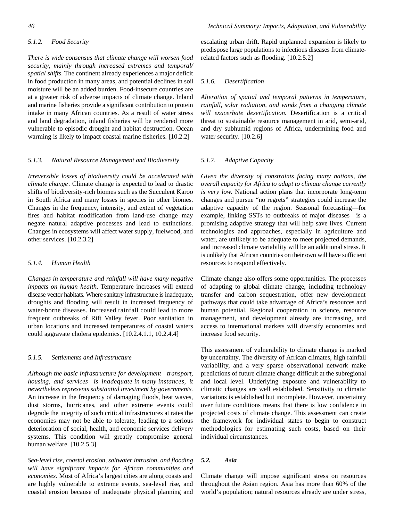## *5.1.2. Food Security*

*There is wide consensus that climate change will worsen food security, mainly through increased extremes and temporal/ spatial shifts.* The continent already experiences a major deficit in food production in many areas, and potential declines in soil moisture will be an added burden. Food-insecure countries are at a greater risk of adverse impacts of climate change. Inland and marine fisheries provide a significant contribution to protein intake in many African countries. As a result of water stress and land degradation, inland fisheries will be rendered more vulnerable to episodic drought and habitat destruction. Ocean warming is likely to impact coastal marine fisheries. [10.2.2]

## *5.1.3. Natural Resource Management and Biodiversity*

*Irreversible losses of biodiversity could be accelerated with climate change*. Climate change is expected to lead to drastic shifts of biodiversity-rich biomes such as the Succulent Karoo in South Africa and many losses in species in other biomes. Changes in the frequency, intensity, and extent of vegetation fires and habitat modification from land-use change may negate natural adaptive processes and lead to extinctions. Changes in ecosystems will affect water supply, fuelwood, and other services. [10.2.3.2]

#### *5.1.4. Human Health*

*Changes in temperature and rainfall will have many negative impacts on human health.* Temperature increases will extend disease vector habitats. Where sanitary infrastructure is inadequate, droughts and flooding will result in increased frequency of water-borne diseases. Increased rainfall could lead to more frequent outbreaks of Rift Valley fever. Poor sanitation in urban locations and increased temperatures of coastal waters could aggravate cholera epidemics. [10.2.4.1.1, 10.2.4.4]

#### *5.1.5. Settlements and Infrastructure*

*Although the basic infrastructure for development—transport, housing, and services—is inadequate in many instances, it n e vertheless represents substantial investment by governments.* An increase in the frequency of damaging floods, heat waves, dust storms, hurricanes, and other extreme events could degrade the integrity of such critical infrastructures at rates the economies may not be able to tolerate, leading to a serious deterioration of social, health, and economic services delivery systems. This condition will greatly compromise general human welfare. [10.2.5.3]

*Sea-level rise, coastal erosion, saltwater intrusion, and flooding will have significant impacts for African communities and economies.* Most of Africa's largest cities are along coasts and are highly vulnerable to extreme events, sea-level rise, and coastal erosion because of inadequate physical planning and escalating urban drift. Rapid unplanned expansion is likely to predispose large populations to infectious diseases from climaterelated factors such as flooding. [10.2.5.2]

#### *5.1.6. Desertification*

*Alteration of spatial and temporal patterns in temperature, rainfall, solar radiation, and winds from a changing climate will exacerbate desertification.* Desertification is a critical threat to sustainable resource management in arid, semi-arid, and dry subhumid regions of Africa, undermining food and water security. [10.2.6]

## *5.1.7. Adaptive Capacity*

*Given the diversity of constraints facing many nations, the overall capacity for Africa to adapt to climate change currently is very low.* National action plans that incorporate long-term changes and pursue "no regrets" strategies could increase the adaptive capacity of the region. Seasonal forecasting—for example, linking SSTs to outbreaks of major diseases—is a promising adaptive strategy that will help save lives. Current technologies and approaches, especially in agriculture and water, are unlikely to be adequate to meet projected demands, and increased climate variability will be an additional stress. It is unlikely that African countries on their own will have sufficient resources to respond effectively.

Climate change also offers some opportunities. The processes of adapting to global climate change, including technology transfer and carbon sequestration, offer new development pathways that could take advantage of Africa's resources and human potential. Regional cooperation in science, resource management, and development already are increasing, and access to international markets will diversify economies and increase food security.

This assessment of vulnerability to climate change is marked by uncertainty. The diversity of African climates, high rainfall variability, and a very sparse observational network make predictions of future climate change difficult at the subregional and local level. Underlying exposure and vulnerability to climatic changes are well established. Sensitivity to climatic variations is established but incomplete. However, uncertainty over future conditions means that there is low confidence in projected costs of climate change. This assessment can create the framework for individual states to begin to construct methodologies for estimating such costs, based on their individual circumstances.

## *5.2. Asia*

Climate change will impose significant stress on resources throughout the Asian region. Asia has more than 60% of the world's population; natural resources already are under stress,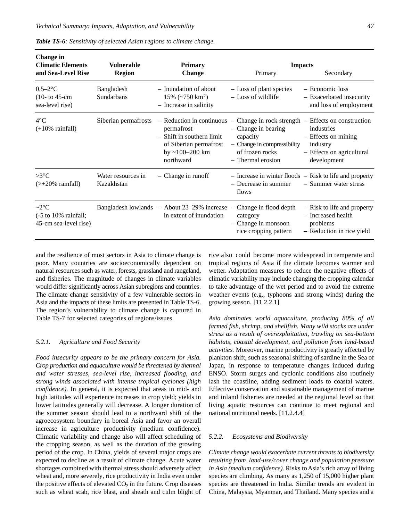| Change in<br><b>Climatic Elements</b><br>and Sea-Level Rise                       | <b>Vulnerable</b><br><b>Region</b> | <b>Primary</b><br><b>Change</b>                                                                        | <b>Impacts</b><br>Primary<br>Secondary                                                                                                                                                    |                                                                                            |  |
|-----------------------------------------------------------------------------------|------------------------------------|--------------------------------------------------------------------------------------------------------|-------------------------------------------------------------------------------------------------------------------------------------------------------------------------------------------|--------------------------------------------------------------------------------------------|--|
| $0.5 - 2$ °C<br>$(10 - to 45-cm)$<br>sea-level rise)                              | Bangladesh<br>Sundarbans           | - Inundation of about<br>15% $({\sim}750 \text{ km}^2)$<br>- Increase in salinity                      | - Loss of plant species<br>- Loss of wildlife                                                                                                                                             | - Economic loss<br>- Exacerbated insecurity<br>and loss of employment                      |  |
| $4^{\circ}C$<br>$(+10\% \text{ rainfall})$                                        | Siberian permafrosts               | permafrost<br>- Shift in southern limit<br>of Siberian permafrost<br>by $\sim$ 100–200 km<br>northward | - Reduction in continuous - Change in rock strength - Effects on construction<br>$-$ Change in bearing<br>capacity<br>- Change in compressibility<br>of frozen rocks<br>- Thermal erosion | industries<br>- Effects on mining<br>industry<br>- Effects on agricultural<br>development  |  |
| $>3^{\circ}C$<br>$(\geq +20\%$ rainfall)                                          | Water resources in<br>Kazakhstan   | - Change in runoff                                                                                     | - Decrease in summer<br>flows                                                                                                                                                             | $-$ Increase in winter floods $-$ Risk to life and property<br>- Summer water stress       |  |
| $\sim$ 2°C<br>$(-5 \text{ to } 10\% \text{ rainfall})$ ;<br>45-cm sea-level rise) |                                    | Bangladesh lowlands $-$ About 23–29% increase $-$ Change in flood depth<br>in extent of inundation     | category<br>- Change in monsoon<br>rice cropping pattern                                                                                                                                  | - Risk to life and property<br>- Increased health<br>problems<br>- Reduction in rice yield |  |

*Table TS-6: Sensitivity of selected Asian regions to climate change.*

and the resilience of most sectors in Asia to climate change is poor. Many countries are socioeconomically dependent on natural resources such as water, forests, grassland and rangeland, and fisheries. The magnitude of changes in climate variables would differ significantly across Asian subregions and countries. The climate change sensitivity of a few vulnerable sectors in Asia and the impacts of these limits are presented in Table TS-6. The region's vulnerability to climate change is captured in Table TS-7 for selected categories of regions/issues.

#### *5.2.1. Agriculture and Food Security*

*Food insecurity appears to be the primary concern for Asia. C rop production and aquaculture would be threatened by thermal and water stresses, sea-level rise, increased flooding, and strong winds associated with intense tropical cyclones (high confidence).* In general, it is expected that areas in mid- and high latitudes will experience increases in crop yield; yields in lower latitudes generally will decrease. A longer duration of the summer season should lead to a northward shift of the agroecosystem boundary in boreal Asia and favor an overall increase in agriculture productivity (medium confidence). Climatic variability and change also will affect scheduling of the cropping season, as well as the duration of the growing period of the crop. In China, yields of several major crops are expected to decline as a result of climate change. Acute water shortages combined with thermal stress should adversely affect wheat and, more severely, rice productivity in India even under the positive effects of elevated  $CO<sub>2</sub>$  in the future. Crop diseases such as wheat scab, rice blast, and sheath and culm blight of

rice also could become more widespread in temperate and tropical regions of Asia if the climate becomes warmer and wetter. Adaptation measures to reduce the negative effects of climatic variability may include changing the cropping calendar to take advantage of the wet period and to avoid the extreme weather events (e.g., typhoons and strong winds) during the growing season. [11.2.2.1]

*Asia dominates world aquaculture, producing 80% of all farmed fish, shrimp, and shellfish. Many wild stocks are under stress as a result of overexploitation, trawling on sea-bottom habitats, coastal development, and pollution from land-based activities.* Moreover, marine productivity is greatly affected by plankton shift, such as seasonal shifting of sardine in the Sea of Japan, in response to temperature changes induced during ENSO. Storm surges and cyclonic conditions also routinely lash the coastline, adding sediment loads to coastal waters. Effective conservation and sustainable management of marine and inland fisheries are needed at the regional level so that living aquatic resources can continue to meet regional and national nutritional needs. [11.2.4.4]

## *5.2.2. Ecosystems and Biodiversity*

*Climate change would exacerbate current threats to biodiversity resulting from land-use/cover change and population pressure in Asia (medium confidence).* Risks to Asia's rich array of living species are climbing. As many as 1,250 of 15,000 higher plant species are threatened in India. Similar trends are evident in China, Malaysia, Myanmar, and Thailand. Many species and a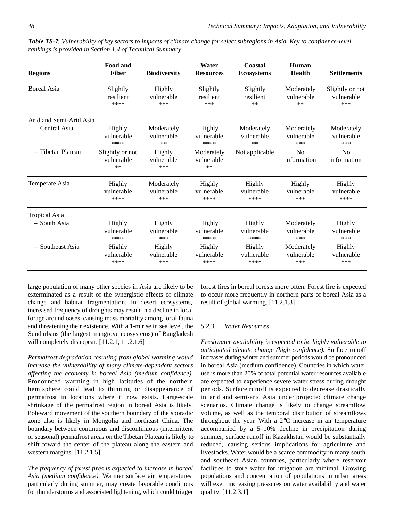| <b>Regions</b>          | Food and<br><b>Fiber</b>              | <b>Biodiversity</b>         | Water<br><b>Resources</b>         | Coastal<br><b>Ecosystems</b> | Human<br>Health               | <b>Settlements</b>            |
|-------------------------|---------------------------------------|-----------------------------|-----------------------------------|------------------------------|-------------------------------|-------------------------------|
| <b>Boreal Asia</b>      | Slightly                              | Highly                      | Slightly                          | Slightly                     | Moderately                    | Slightly or not               |
|                         | resilient                             | vulnerable                  | resilient                         | resilient                    | vulnerable                    | vulnerable                    |
|                         | ****                                  | ***                         | ***                               | $***$                        | $***$                         | ***                           |
| Arid and Semi-Arid Asia |                                       |                             |                                   |                              |                               |                               |
| - Central Asia          | Highly                                | Moderately                  | Highly                            | Moderately                   | Moderately                    | Moderately                    |
|                         | vulnerable                            | vulnerable                  | vulnerable                        | vulnerable                   | vulnerable                    | vulnerable                    |
|                         | ****                                  | $**$                        | ****                              | $**$                         | ***                           | ***                           |
| - Tibetan Plateau       | Slightly or not<br>vulnerable<br>$**$ | Highly<br>vulnerable<br>*** | Moderately<br>vulnerable<br>$***$ | Not applicable               | N <sub>0</sub><br>information | N <sub>0</sub><br>information |
| Temperate Asia          | Highly                                | Moderately                  | Highly                            | Highly                       | Highly                        | Highly                        |
|                         | vulnerable                            | vulnerable                  | vulnerable                        | vulnerable                   | vulnerable                    | vulnerable                    |
|                         | ****                                  | ***                         | ****                              | ****                         | ***                           | ****                          |
| <b>Tropical Asia</b>    |                                       |                             |                                   |                              |                               |                               |
| - South Asia            | Highly                                | Highly                      | Highly                            | Highly                       | Moderately                    | Highly                        |
|                         | vulnerable                            | vulnerable                  | vulnerable                        | vulnerable                   | vulnerable                    | vulnerable                    |
|                         | ****                                  | ***                         | ****                              | ****                         | ***                           | ***                           |
| - Southeast Asia        | Highly                                | Highly                      | Highly                            | Highly                       | Moderately                    | Highly                        |
|                         | vulnerable                            | vulnerable                  | vulnerable                        | vulnerable                   | vulnerable                    | vulnerable                    |
|                         | ****                                  | ***                         | ****                              | ****                         | ***                           | ***                           |

*Table TS-7: Vulnerability of key sectors to impacts of climate change for select subregions in Asia. Key to confidence-level rankings is provided in Section 1.4 of Technical Summary.*

large population of many other species in Asia are likely to be exterminated as a result of the synergistic effects of climate change and habitat fragmentation. In desert ecosystems, increased frequency of droughts may result in a decline in local forage around oases, causing mass mortality among local fauna and threatening their existence. With a 1-m rise in sea level, the Sundarbans (the largest mangrove ecosystems) of Bangladesh will completely disappear. [11.2.1, 11.2.1.6]

*Permafrost degradation resulting from global warming would increase the vulnerability of many climate-dependent sectors affecting the economy in boreal Asia (medium confidence).* Pronounced warming in high latitudes of the northern he m is phere could lead to thinning or disappearance of permafrost in locations where it now exists. Large-scale shrinkage of the permafrost region in boreal Asia is likely. Poleward movement of the southern boundary of the sporadic zone also is likely in Mongolia and northeast China. The boundary between continuous and discontinuous (intermittent or seasonal) permafrost areas on the Tibetan Plateau is likely to shift toward the center of the plateau along the eastern and western margins. [11.2.1.5]

*The frequency of forest fires is expected to increase in boreal Asia (medium confidence).* Warmer surface air temperatures, particularly during summer, may create favorable conditions for thunderstorms and associated lightening, which could trigger forest fires in boreal forests more often. Forest fire is expected to occur more frequently in northern parts of boreal Asia as a result of global warming. [11.2.1.3]

#### *5.2.3. Water Resources*

*Freshwater availability is expected to be highly vulnerable to anticipated climate change (high confidence).* Surface runoff increases during winter and summer periods would be pronounced in boreal Asia (medium confidence). Countries in which water use is more than 20% of total potential water resources available are expected to experience severe water stress during drought periods. Surface runoff is expected to decrease drastically in arid and semi-arid Asia under projected climate change scenarios. Climate change is likely to change streamflow volume, as well as the temporal distribution of streamflows throughout the year. With a 2°C increase in air temperature accompanied by a 5–10% decline in precipitation during summer, surface runoff in Kazakhstan would be substantially reduced, causing serious implications for agriculture and livestocks. Water would be a scarce commodity in many south and southeast Asian countries, particularly where reservoir facilities to store water for irrigation are minimal. Growing populations and concentration of populations in urban areas will exert increasing pressures on water availability and water quality. [11.2.3.1]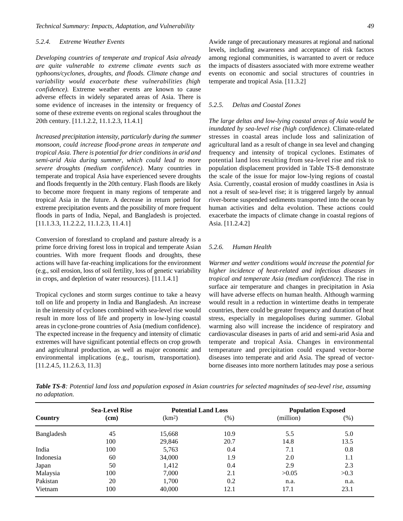## *5.2.4. Extreme Weather Events*

*Developing countries of temperate and tropical Asia already a re quite vulnerable to extreme climate events such as typhoons/cyclones, droughts, and floods. Climate change and variability would exacerbate these vulnerabilities (high confidence*). Extreme weather events are known to cause adverse effects in widely separated areas of Asia. There is some evidence of increases in the intensity or frequency of some of these extreme events on regional scales throughout the 20th century. [11.1.2.2, 11.1.2.3, 11.4.1]

*Increased precipitation intensity, particularly during the summer monsoon, could increase flood-prone areas in temperate and tropical Asia. There is potential for drier conditions in arid and semi-arid Asia during summer, which could lead to more severe droughts (medium confidence).* Many countries in temperate and tropical Asia have experienced severe droughts and floods frequently in the 20th century. Flash floods are likely to become more frequent in many regions of temperate and tropical Asia in the future. A decrease in return period for extreme precipitation events and the possibility of more frequent floods in parts of India, Nepal, and Bangladesh is projected. [11.1.3.3, 11.2.2.2, 11.1.2.3, 11.4.1]

Conversion of forestland to cropland and pasture already is a prime force driving forest loss in tropical and temperate Asian countries. With more frequent floods and droughts, these actions will have far-reaching implications for the environment (e.g., soil erosion, loss of soil fertility, loss of genetic variability in crops, and depletion of water resources). [11.1.4.1]

Tropical cyclones and storm surges continue to take a heavy toll on life and property in India and Bangladesh. An increase in the intensity of cyclones combined with sea-level rise would result in more loss of life and property in low-lying coastal areas in cyclone-prone countries of Asia (medium confidence). The expected increase in the frequency and intensity of climatic extremes will have significant potential effects on crop growth and agricultural production, as well as major economic and environmental implications (e.g., tourism, transportation). [11.2.4.5, 11.2.6.3, 11.3]

Awide range of precautionary measures at regional and national levels, including awareness and acceptance of risk factors among regional communities, is warranted to avert or reduce the impacts of disasters associated with more extreme weather events on economic and social structures of countries in temperate and tropical Asia. [11.3.2]

## *5.2.5. Deltas and Coastal Zones*

*The large deltas and low-lying coastal areas of Asia would be inundated by sea-level rise (high confidence).* Climate-related stresses in coastal areas include loss and salinization of agricultural land as a result of change in sea level and changing frequency and intensity of tropical cyclones. Estimates of potential land loss resulting from sea-level rise and risk to population displacement provided in Table TS-8 demonstrate the scale of the issue for major low-lying regions of coastal Asia. Currently, coastal erosion of muddy coastlines in Asia is not a result of sea-level rise; it is triggered largely by annual river-borne suspended sediments transported into the ocean by human activities and delta evolution. These actions could exacerbate the impacts of climate change in coastal regions of Asia. [11.2.4.2]

## *5.2.6. Human Health*

*Warmer and wetter conditions would increase the potential for higher incidence of heat-related and infectious diseases in tropical and temperate Asia (medium confidence).* The rise in surface air temperature and changes in precipitation in Asia will have adverse effects on human health. Although warming would result in a reduction in wintertime deaths in temperate countries, there could be greater frequency and duration of heat stress, especially in megalopolises during summer. Global warming also will increase the incidence of respiratory and cardiovascular diseases in parts of arid and semi-arid Asia and temperate and tropical Asia. Changes in environmental temperature and precipitation could expand vector-borne diseases into temperate and arid Asia. The spread of vectorborne diseases into more northern latitudes may pose a serious

*Table TS-8: Potential land loss and population exposed in Asian countries for selected magnitudes of sea-level rise, assuming no adaptation.*

|            | <b>Sea-Level Rise</b> | <b>Potential Land Loss</b> |      | <b>Population Exposed</b> |        |
|------------|-----------------------|----------------------------|------|---------------------------|--------|
| Country    | (cm)                  | (km <sup>2</sup> )         | (%)  | (million)                 | $(\%)$ |
| Bangladesh | 45                    | 15,668                     | 10.9 | 5.5                       | 5.0    |
|            | 100                   | 29,846                     | 20.7 | 14.8                      | 13.5   |
| India      | 100                   | 5,763                      | 0.4  | 7.1                       | 0.8    |
| Indonesia  | 60                    | 34,000                     | 1.9  | 2.0                       | 1.1    |
| Japan      | 50                    | 1,412                      | 0.4  | 2.9                       | 2.3    |
| Malaysia   | 100                   | 7,000                      | 2.1  | >0.05                     | >0.3   |
| Pakistan   | 20                    | 1,700                      | 0.2  | n.a.                      | n.a.   |
| Vietnam    | 100                   | 40,000                     | 12.1 | 17.1                      | 23.1   |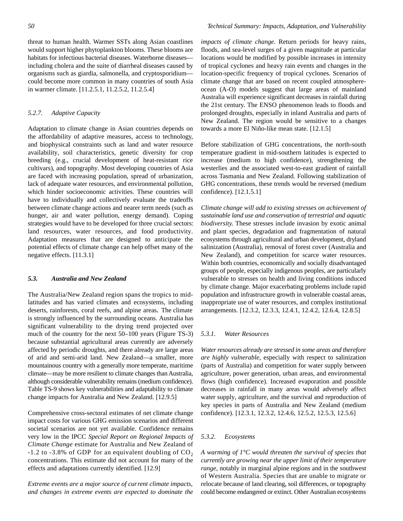threat to human health. Warmer SSTs along Asian coastlines would support higher phytoplankton blooms. These blooms are habitats for infectious bacterial diseases. Waterborne diseases including cholera and the suite of diarrheal diseases caused by organisms such as giardia, salmonella, and cryptosporidium could become more common in many countries of south Asia in warmer climate. [11.2.5.1, 11.2.5.2, 11.2.5.4]

### *5.2.7. Adaptive Capacity*

Adaptation to climate change in Asian countries depends on the affordability of adaptive measures, access to technology, and biophysical constraints such as land and water resource availability, soil characteristics, genetic diversity for crop breeding (e.g., crucial development of heat-resistant rice cultivars), and topography. Most developing countries of Asia are faced with increasing population, spread of urbanization, lack of adequate water resources, and environmental pollution, which hinder socioeconomic activities. These countries will have to individually and collectively evaluate the tradeoffs between climate change actions and nearer term needs (such as hunger, air and water pollution, energy demand). Coping strategies would have to be developed for three crucial sectors: land resources, water resources, and food productivity. Adaptation measures that are designed to anticipate the potential effects of climate change can help offset many of the negative effects. [11.3.1]

## *5.3. Australia and New Zealand*

The Australia/New Zealand region spans the tropics to midlatitudes and has varied climates and ecosystems, including deserts, rainforests, coral reefs, and alpine areas. The climate is strongly influenced by the surrounding oceans. Australia has significant vulnerability to the drying trend projected over much of the country for the next 50–100 years (Figure TS-3) because substantial agricultural areas currently are adversely affected by periodic droughts, and there already are large areas of arid and semi-arid land. New Zealand—a smaller, more mountainous country with a generally more temperate, maritime climate—may be more resilient to climate changes than Australia, although considerable vulnerability remains (medium confidence). Table TS-9 shows key vulnerabilities and adaptability to climate change impacts for Australia and New Zealand. [12.9.5]

Comprehensive cross-sectoral estimates of net climate change impact costs for various GHG emission scenarios and different societal scenarios are not yet available. Confidence remains very low in the IPCC *Special Report on Regional Impacts of Climate Change* estimate for Australia and New Zealand of -1.2 to -3.8% of GDP for an equivalent doubling of  $CO<sub>2</sub>$ concentrations. This estimate did not account for many of the effects and adaptations currently identified. [12.9]

*Extreme events are a major source of current climate impacts, and changes in extreme events are expected to dominate the* *impacts of climate change.* Return periods for heavy rains, floods, and sea-level surges of a given magnitude at particular locations would be modified by possible increases in intensity of tropical cyclones and heavy rain events and changes in the location-specific frequency of tropical cyclones. Scenarios of climate change that are based on recent coupled atmosphereocean (A-O) models suggest that large areas of mainland Australia will experience significant decreases in rainfall during the 21st century. The ENSO phenomenon leads to floods and prolonged droughts, especially in inland Australia and parts of New Zealand. The region would be sensitive to a changes towards a more El Niño-like mean state. [12.1.5]

Before stabilization of GHG concentrations, the north-south temperature gradient in mid-southern latitudes is expected to increase (medium to high confidence), strengthening the we sterlies and the associated west-to-east gradient of rainfall across Tasmania and New Zealand. Following stabilization of GHG concentrations, these trends would be reversed (medium confidence). [12.1.5.1]

*Climate change will add to existing stresses on achievement of sustainable land use and conservation of terrestrial and aquatic biodiversity.* These stresses include invasion by exotic animal and plant species, degradation and fragmentation of natural ecosystems through agricultural and urban development, dryland salinization (Australia), removal of forest cover (Australia and New Zealand), and competition for scarce water resources. Within both countries, economically and socially disadvantaged groups of people, especially indigenous peoples, are particularly vulnerable to stresses on health and living conditions induced by climate change. Major exacerbating problems include rapid population and infrastructure growth in vulnerable coastal areas, inappropriate use of water resources, and complex institutional arrangements. [12.3.2, 12.3.3, 12.4.1, 12.4.2, 12.6.4, 12.8.5]

#### *5.3.1. Water Resources*

Water resources already are stressed in some areas and therefore *are highly vulnerable*, especially with respect to salinization (parts of Australia) and competition for water supply between agriculture, power generation, urban areas, and environmental flows (high confidence). Increased evaporation and possible decreases in rainfall in many areas would adversely affect water supply, agriculture, and the survival and reproduction of key species in parts of Australia and New Zealand (medium confidence). [12.3.1, 12.3.2, 12.4.6, 12.5.2, 12.5.3, 12.5.6]

## *5.3.2. Ecosystems*

*A warming of 1°C would threaten the survival of species that currently are growing near the upper limit of their temperature range*, notably in marginal alpine regions and in the southwest of Western Australia. Species that are unable to migrate or relocate because of land clearing, soil differences, or topography could become endangered or extinct. Other Australian ecosystems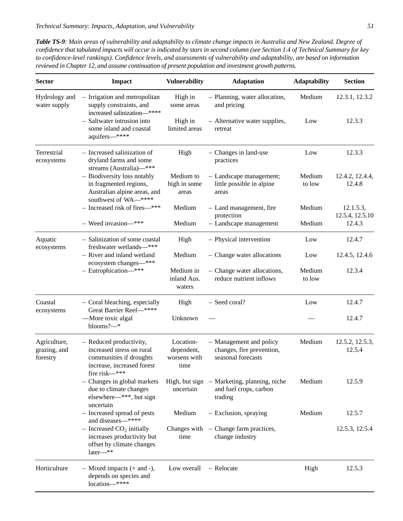*Table TS-9: Main areas of vulnerability and adaptability to climate change impacts in Australia and New Zealand. Degree of confidence that tabulated impacts will occur is indicated by stars in second column (see Section 1.4 of Technical Summary for key* to confidence-level rankings). Confidence levels, and assessments of vulnerability and adaptability, are based on information *reviewed in Chapter 12, and assume continuation of present population and investment growth patterns.*

| <b>Sector</b>                            | <b>Impact</b>                                                                                                                  | <b>Vulnerability</b>                            | <b>Adaptation</b>                                                                | <b>Adaptability</b> | <b>Section</b>               |
|------------------------------------------|--------------------------------------------------------------------------------------------------------------------------------|-------------------------------------------------|----------------------------------------------------------------------------------|---------------------|------------------------------|
| Hydrology and<br>water supply            | - Irrigation and metropolitan<br>supply constraints, and<br>increased salinization-****                                        | High in<br>some areas                           | - Planning, water allocation,<br>and pricing                                     | Medium              | 12.3.1, 12.3.2               |
|                                          | - Saltwater intrusion into<br>some island and coastal<br>aquifers-****                                                         | High in<br>limited areas                        | - Alternative water supplies,<br>retreat                                         | Low                 | 12.3.3                       |
| Terrestrial<br>ecosystems                | - Increased salinization of<br>dryland farms and some<br>streams (Australia) <sup>-***</sup>                                   | High                                            | - Changes in land-use<br>practices                                               | Low                 | 12.3.3                       |
|                                          | - Biodiversity loss notably<br>in fragmented regions,<br>Australian alpine areas, and<br>southwest of WA-****                  | Medium to<br>high in some<br>areas              | - Landscape management;<br>little possible in alpine<br>areas                    | Medium<br>to low    | 12.4.2, 12.4.4,<br>12.4.8    |
|                                          | - Increased risk of fires—***                                                                                                  | Medium                                          | - Land management, fire<br>protection                                            | Medium              | 12.1.5.3,<br>12.5.4, 12.5.10 |
|                                          | - Weed invasion-***                                                                                                            | Medium                                          | - Landscape management                                                           | Medium              | 12.4.3                       |
| Aquatic<br>ecosystems                    | - Salinization of some coastal<br>freshwater wetlands-***                                                                      | High                                            | - Physical intervention                                                          | Low                 | 12.4.7                       |
|                                          | - River and inland wetland<br>ecosystem changes—***                                                                            | Medium                                          | - Change water allocations                                                       | Low                 | 12.4.5, 12.4.6               |
|                                          | - Eutrophication-***                                                                                                           | Medium in<br>inland Aus.<br>waters              | - Change water allocations,<br>reduce nutrient inflows                           | Medium<br>to low    | 12.3.4                       |
| Coastal<br>ecosystems                    | - Coral bleaching, especially<br>Great Barrier Reef-****                                                                       | High                                            | - Seed coral?                                                                    | Low                 | 12.4.7                       |
|                                          | -More toxic algal<br>blooms?-*                                                                                                 | Unknown                                         |                                                                                  |                     | 12.4.7                       |
| Agriculture,<br>grazing, and<br>forestry | - Reduced productivity,<br>increased stress on rural<br>communities if droughts<br>increase, increased forest<br>fire risk-*** | Location-<br>dependent,<br>worsens with<br>time | - Management and policy<br>changes, fire prevention,<br>seasonal forecasts       | Medium              | 12.5.2, 12.5.3,<br>12.5.4    |
|                                          | - Changes in global markets<br>due to climate changes<br>elsewhere—***, but sign<br>uncertain                                  | uncertain                                       | High, but sign – Marketing, planning, niche<br>and fuel crops, carbon<br>trading | Medium              | 12.5.9                       |
|                                          | - Increased spread of pests<br>and diseases-****                                                                               | Medium                                          | - Exclusion, spraying                                                            | Medium              | 12.5.7                       |
|                                          | - Increased $CO2$ initially<br>increases productivity but<br>offset by climate changes<br>later-**                             | time                                            | Changes with $-$ Change farm practices,<br>change industry                       |                     | 12.5.3, 12.5.4               |
| Horticulture                             | $-$ Mixed impacts $(+$ and $-$ ),<br>depends on species and<br>location-****                                                   | Low overall                                     | - Relocate                                                                       | High                | 12.5.3                       |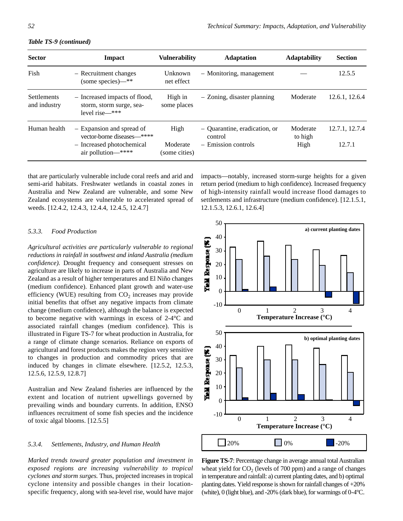| <b>Sector</b>                      | Impact                                                                      | <b>Vulnerability</b>      | <b>Adaptation</b>                        | <b>Adaptability</b> | <b>Section</b> |
|------------------------------------|-----------------------------------------------------------------------------|---------------------------|------------------------------------------|---------------------|----------------|
| Fish                               | - Recruitment changes<br>$(some species)$ <sup>**</sup>                     | Unknown<br>net effect     | - Monitoring, management                 |                     | 12.5.5         |
| <b>Settlements</b><br>and industry | - Increased impacts of flood,<br>storm, storm surge, sea-<br>level rise—*** | High in<br>some places    | - Zoning, disaster planning              | Moderate            | 12.6.1, 12.6.4 |
| Human health                       | - Expansion and spread of<br>vector-borne diseases—****                     | High                      | - Quarantine, eradication, or<br>control | Moderate<br>to high | 12.7.1, 12.7.4 |
|                                    | - Increased photochemical<br>air pollution—****                             | Moderate<br>(some cities) | $-$ Emission controls                    | High                | 12.7.1         |

*Table TS-9 (continued)*

that are particularly vulnerable include coral reefs and arid and semi-arid habitats. Freshwater wetlands in coastal zones in Australia and New Zealand are vulnerable, and some New Zealand ecosystems are vulnerable to accelerated spread of weeds. [12.4.2, 12.4.3, 12.4.4, 12.4.5, 12.4.7]

## *5.3.3. Food Production*

*Agricultural activities are particularly vulnerable to regional reductions in rainfall in southwest and inland Australia (medium confidence).* Drought frequency and consequent stresses on agriculture are likely to increase in parts of Australia and New Zealand as a result of higher temperatures and El Niño changes (medium confidence). Enhanced plant growth and water-use efficiency (WUE) resulting from  $CO_2$  increases may provide initial benefits that offset any negative impacts from climate change (medium confidence), although the balance is expected to become negative with warmings in excess of 2-4°C and associated rainfall changes (medium confidence). This is illustrated in Figure TS-7 for wheat production in Australia, for a range of climate change scenarios. Reliance on exports of agricultural and forest products makes the region very sensitive to changes in production and commodity prices that are induced by changes in climate elsewhere. [12.5.2, 12.5.3, 12.5.6, 12.5.9, 12.8.7]

Australian and New Zealand fisheries are influenced by the extent and location of nutrient upwellings governed by prevailing winds and boundary currents. In addition, ENSO influences recruitment of some fish species and the incidence of toxic algal blooms. [12.5.5]

## *5.3.4. Settlements, Industry, and Human Health*

*Marked trends toward greater population and investment in exposed regions are increasing vulnerability to tropical cyclones and storm surges*. Thus, projected increases in tropical cyclone intensity and possible changes in their locationspecific frequency, along with sea-level rise, would have major impacts—notably, increased storm-surge heights for a given return period (medium to high confidence). Increased frequency of high-intensity rainfall would increase flood damages to settlements and infrastructure (medium confidence). [12.1.5.1, 12.1.5.3, 12.6.1, 12.6.4]



**Figure TS-7**: Percentage change in average annual total Australian wheat yield for  $CO<sub>2</sub>$  (levels of 700 ppm) and a range of changes in temperature and rainfall: a) current planting dates, and b) optimal planting dates. Yield response is shown for rainfall changes of +20% (white), 0 (light blue), and -20% (dark blue), for warmings of  $0-4$ °C.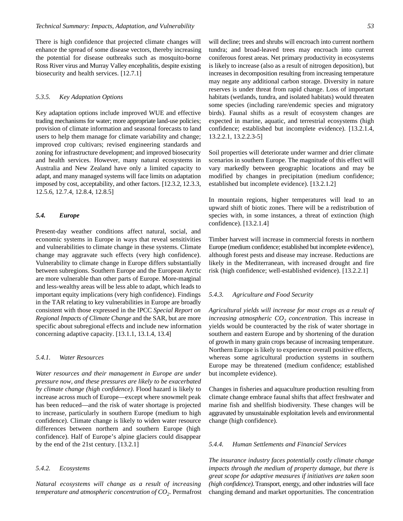There is high confidence that projected climate changes will enhance the spread of some disease vectors, thereby increasing the potential for disease outbreaks such as mosquito-borne Ross River virus and Murray Valley encephalitis, despite existing biosecurity and health services. [12.7.1]

## *5.3.5. Key Adaptation Options*

Key adaptation options include improved WUE and effective trading mechanisms for water; more appropriate land-use policies; provision of climate information and seasonal forecasts to land users to help them manage for climate variability and change; improved crop cultivars; revised engineering standards and zoning for infrastructure development; and improved biosecurity and health services. However, many natural ecosystems in Australia and New Zealand have only a limited capacity to adapt, and many managed systems will face limits on adaptation imposed by cost, acceptability, and other factors. [12.3.2, 12.3.3, 12.5.6, 12.7.4, 12.8.4, 12.8.5]

## *5.4. Europe*

Present-day weather conditions affect natural, social, and economic systems in Europe in ways that reveal sensitivities and vulnerabilities to climate change in these systems. Climate change may aggravate such effects (very high confidence). Vulnerability to climate change in Europe differs substantially between subregions. Southern Europe and the European Arctic are more vulnerable than other parts of Europe. More-marginal and less-wealthy areas will be less able to adapt, which leads to important equity implications (very high confidence). Findings in the TAR relating to key vulnerabilities in Europe are broadly consistent with those expressed in the IPCC *Special Report on Regional Impacts of Climate Change* and the SAR, but are more specific about subregional effects and include new information concerning adaptive capacity. [13.1.1, 13.1.4, 13.4]

## *5.4.1. Water Resources*

*Water resources and their management in Europe are under pressure now, and these pressures are likely to be exacerbated by climate change (high confidence)*. Flood hazard is likely to increase across much of Europe—except where snowmelt peak has been reduced—and the risk of water shortage is projected to increase, particularly in southern Europe (medium to high confidence). Climate change is likely to widen water resource differences between northern and southern Europe (high confidence). Half of Europe's alpine glaciers could disappear by the end of the 21st century. [13.2.1]

#### *5.4.2. Ecosystems*

*Natural ecosystems will change as a result of increasing*  $t$ *emperature and atmospheric concentration of*  $CO_2$ *.* Permafrost

will decline; trees and shrubs will encroach into current northern tundra; and broad-leaved trees may encroach into current coniferous forest areas. Net primary productivity in ecosystems is likely to increase (also as a result of nitrogen deposition), but increases in decomposition resulting from increasing temperature may negate any additional carbon storage. Diversity in nature reserves is under threat from rapid change. Loss of important habitats (wetlands, tundra, and isolated habitats) would threaten some species (including rare/endemic species and migratory birds). Faunal shifts as a result of ecosystem changes are expected in marine, aquatic, and terrestrial ecosystems (high confidence; established but incomplete evidence). [13.2.1.4, 13.2.2.1, 13.2.2.3-5]

Soil properties will deteriorate under warmer and drier climate scenarios in southern Europe. The magnitude of this effect will vary markedly between geographic locations and may be modified by changes in precipitation (medium confidence; established but incomplete evidence). [13.2.1.2]

In mountain regions, higher temperatures will lead to an upward shift of biotic zones. There will be a redistribution of species with, in some instances, a threat of extinction (high confidence). [13.2.1.4]

Timber harvest will increase in commercial forests in northern Europe (medium confidence; established but incomplete evidence), although forest pests and disease may increase. Reductions are likely in the Mediterranean, with increased drought and fire risk (high confidence; well-established evidence). [13.2.2.1]

#### *5.4.3. Agriculture and Food Security*

*Agricultural yields will increase for most crops as a result of increasing atmospheric CO<sup>2</sup> concentration*. This increase in yields would be counteracted by the risk of water shortage in southern and eastern Europe and by shortening of the duration of growth in many grain crops because of increasing temperature. Northern Europe is likely to experience overall positive effects, whereas some agricultural production systems in southern Europe may be threatened (medium confidence; established but incomplete evidence).

Changes in fisheries and aquaculture production resulting from climate change embrace faunal shifts that affect freshwater and marine fish and shellfish biodiversity. These changes will be aggravated by unsustainable exploitation levels and environmental change (high confidence).

#### *5.4.4. Human Settlements and Financial Services*

*The insurance industry faces potentially costly climate change impacts through the medium of property damage, but there is great scope for adaptive measures if initiatives are taken soon (high confidence)*. Transport, energy, and other industries will face changing demand and market opportunities. The concentration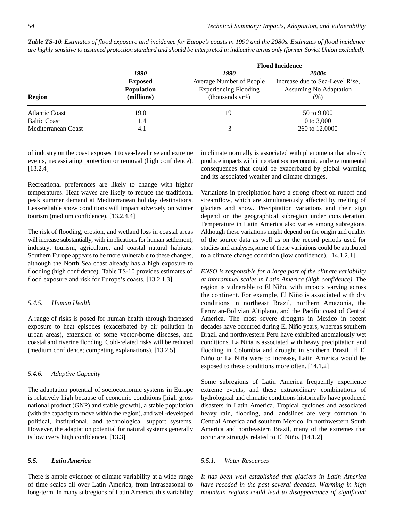|                       |                                 |                                                        | <b>Flood Incidence</b>                |
|-----------------------|---------------------------------|--------------------------------------------------------|---------------------------------------|
|                       | 1990                            | 1990                                                   | 2080s                                 |
|                       | <b>Exposed</b>                  | Average Number of People                               | Increase due to Sea-Level Rise,       |
| <b>Region</b>         | <b>Population</b><br>(millions) | <b>Experiencing Flooding</b><br>(thousands $yr^{-1}$ ) | <b>Assuming No Adaptation</b><br>(% ) |
| <b>Atlantic Coast</b> | 19.0                            | 19                                                     | 50 to 9,000                           |
| <b>Baltic Coast</b>   | 1.4                             |                                                        | 0 to 3,000                            |
| Mediterranean Coast   | 4.1                             | 3                                                      | 260 to 12,0000                        |

**Table TS-10***: Estimates of flood exposure and incidence for Europe's coasts in 1990 and the 2080s. Estimates of flood incidence a re highly sensitive to assumed protection standard and should be interpreted in indicative terms only (former Soviet Union excluded).*

of industry on the coast exposes it to sea-level rise and extreme events, necessitating protection or removal (high confidence). [13.2.4]

Recreational preferences are likely to change with higher temperatures. Heat waves are likely to reduce the traditional peak summer demand at Mediterranean holiday destinations. Less-reliable snow conditions will impact adversely on winter tourism (medium confidence). [13.2.4.4]

The risk of flooding, erosion, and wetland loss in coastal areas will increase substantially, with implications for human settlement, industry, tourism, agriculture, and coastal natural habitats. Southern Europe appears to be more vulnerable to these changes, although the North Sea coast already has a high exposure to flooding (high confidence). Table TS-10 provides estimates of flood exposure and risk for Europe's coasts. [13.2.1.3]

#### *5.4.5. Human Health*

A range of risks is posed for human health through increased exposure to heat episodes (exacerbated by air pollution in urban areas), extension of some vector-borne diseases, and coastal and riverine flooding. Cold-related risks will be reduced (medium confidence; competing explanations). [13.2.5]

#### *5.4.6. Adaptive Capacity*

The adaptation potential of socioeconomic systems in Europe is relatively high because of economic conditions [high gross national product (GNP) and stable growth], a stable population (with the capacity to move within the region), and well-developed political, institutional, and technological support systems. However, the adaptation potential for natural systems generally is low (very high confidence). [13.3]

## *5.5. Latin America*

There is ample evidence of climate variability at a wide range of time scales all over Latin America, from intraseasonal to long-term. In many subregions of Latin America, this variability in climate normally is associated with phenomena that already produce impacts with important socioeconomic and environmental consequences that could be exacerbated by global warming and its associated weather and climate changes.

Variations in precipitation have a strong effect on runoff and streamflow, which are simultaneously affected by melting of glaciers and snow. Precipitation variations and their sign depend on the geographical subregion under consideration. Temperature in Latin America also varies among subregions. Although these variations might depend on the origin and quality of the source data as well as on the record periods used for studies and analyses,some of these variations could be attributed to a climate change condition (low confidence). [14.1.2.1]

*ENSO is responsible for a large part of the climate variability at interannual scales in Latin America (high confidence).* The region is vulnerable to El Niño, with impacts varying across the continent. For example, El Niño is associated with dry conditions in northeast Brazil, northern Amazonia, the Peruvian-Bolivian Altiplano, and the Pacific coast of Central America. The most severe droughts in Mexico in recent decades have occurred during El Niño years, whereas southern Brazil and northwestern Peru have exhibited anomalously wet conditions. La Niña is associated with heavy precipitation and flooding in Colombia and drought in southern Brazil. If El Niño or La Niña were to increase, Latin America would be exposed to these conditions more often. [14.1.2]

Some subregions of Latin America frequently experience extreme events, and these extraordinary combinations of hydrological and climatic conditions historically have produced disasters in Latin America. Tropical cyclones and associated heavy rain, flooding, and landslides are very common in Central America and southern Mexico. In northwestern South America and northeastern Brazil, many of the extremes that occur are strongly related to El Niño. [14.1.2]

## *5.5.1. Water Resources*

*It has been well established that glaciers in Latin America have receded in the past several decades. Warming in high mountain regions could lead to disappearance of significant*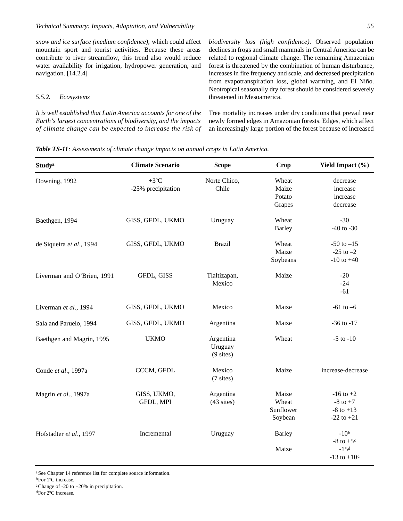*snow and ice surface (medium confidence),* which could affect mountain sport and tourist activities. Because these areas contribute to river streamflow, this trend also would reduce water availability for irrigation, hydropower generation, and navigation. [14.2.4]

## *5.5.2. Ecosystems*

*It is well established that Latin America accounts for one of the Earth's largest concentrations of biodiversity, and the impacts of climate change can be expected to increase the risk of* *biodiversity loss (high confidence)*. Observed population declines in frogs and small mammals in Central America can be related to regional climate change. The remaining Amazonian forest is threatened by the combination of human disturbance, increases in fire frequency and scale, and decreased precipitation from evapotranspiration loss, global warming, and El Niño. Neotropical seasonally dry forest should be considered severely threatened in Mesoamerica.

Tree mortality increases under dry conditions that prevail near newly formed edges in Amazonian forests. Edges, which affect an increasingly large portion of the forest because of increased

*Table TS-11: Assessments of climate change impacts on annual crops in Latin America.*

| <b>Studya</b>              | <b>Climate Scenario</b>       | <b>Scope</b>                                | <b>Crop</b>                            | Yield Impact (%)                                                 |
|----------------------------|-------------------------------|---------------------------------------------|----------------------------------------|------------------------------------------------------------------|
| Downing, 1992              | $+3$ °C<br>-25% precipitation | Norte Chico,<br>Chile                       | Wheat<br>Maize<br>Potato<br>Grapes     | decrease<br>increase<br>increase<br>decrease                     |
| Baethgen, 1994             | GISS, GFDL, UKMO              | Uruguay                                     | Wheat<br>Barley                        | $-30$<br>$-40$ to $-30$                                          |
| de Siqueira et al., 1994   | GISS, GFDL, UKMO              | <b>Brazil</b>                               | Wheat<br>Maize<br>Soybeans             | $-50$ to $-15$<br>$-25$ to $-2$<br>$-10$ to $+40$                |
| Liverman and O'Brien, 1991 | GFDL, GISS                    | Tlaltizapan,<br>Mexico                      | Maize                                  | $-20$<br>$-24$<br>$-61$                                          |
| Liverman et al., 1994      | GISS, GFDL, UKMO              | Mexico                                      | Maize                                  | $-61$ to $-6$                                                    |
| Sala and Paruelo, 1994     | GISS, GFDL, UKMO              | Argentina                                   | Maize                                  | $-36$ to $-17$                                                   |
| Baethgen and Magrin, 1995  | <b>UKMO</b>                   | Argentina<br>Uruguay<br>$(9 \text{ sites})$ | Wheat                                  | $-5$ to $-10$                                                    |
| Conde et al., 1997a        | CCCM, GFDL                    | Mexico<br>(7 sites)                         | Maize                                  | increase-decrease                                                |
| Magrin et al., 1997a       | GISS, UKMO,<br>GFDL, MPI      | Argentina<br>$(43 \text{ sites})$           | Maize<br>Wheat<br>Sunflower<br>Soybean | $-16$ to $+2$<br>$-8$ to $+7$<br>$-8$ to $+13$<br>$-22$ to $+21$ |
| Hofstadter et al., 1997    | Incremental                   | Uruguay                                     | <b>Barley</b><br>Maize                 | $-10b$<br>-8 to $+5^{\circ}$<br>$-15d$                           |
|                            |                               |                                             |                                        | $-13$ to $+10$ <sup>c</sup>                                      |

aSee Chapter 14 reference list for complete source information.

bFor 1ºC increase.

 $c$ Change of -20 to +20% in precipitation.

dFor 2ºC increase.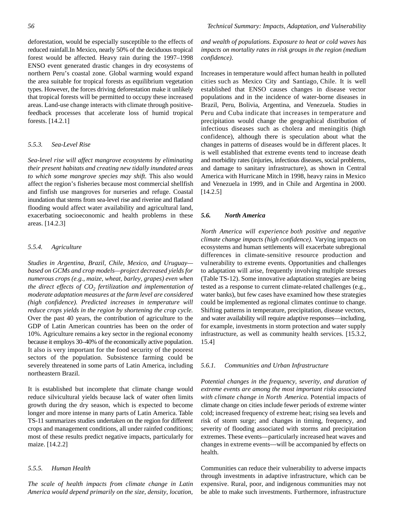deforestation, would be especially susceptible to the effects of reduced rainfall.In Mexico, nearly 50% of the deciduous tropical forest would be affected. Heavy rain during the 1997–1998 ENSO event generated drastic changes in dry ecosystems of northern Peru's coastal zone. Global warming would expand the area suitable for tropical forests as equilibrium vegetation types. However, the forces driving deforestation make it unlikely that tropical forests will be permitted to occupy these increased areas. Land-use change interacts with climate through positivefeedback processes that accelerate loss of humid tropical forests. [14.2.1]

## *5.5.3. Sea-Level Rise*

*Sea-level rise will affect mangrove ecosystems by eliminating their present habitats and creating new tidally inundated areas to which some mangrove species may shift.* This also would affect the region's fisheries because most commercial shellfish and finfish use mangroves for nurseries and refuge. Coastal inundation that stems from sea-level rise and riverine and flatland flooding would affect water availability and agricultural land, exacerbating socioeconomic and health problems in these areas. [14.2.3]

#### *5.5.4. Agriculture*

*Studies in Argentina, Brazil, Chile, Mexico, and Uruguay based on GCMs and crop models—project decreased yields for numerous crops (e.g., maize, wheat, barley, grapes) even when the direct effects of CO<sup>2</sup> fertilization and implementation of moderate adaptation measures at the farm level are considered (high confidence). Predicted increases in temperature will reduce crops yields in the region by shortening the crop cycle.* Over the past 40 years, the contribution of agriculture to the GDP of Latin American countries has been on the order of 10%. Agriculture remains a key sector in the regional economy because it employs 30–40% of the economically active population. It also is very important for the food security of the poorest sectors of the population. Subsistence farming could be severely threatened in some parts of Latin America, including northeastern Brazil.

It is established but incomplete that climate change would reduce silvicultural yields because lack of water often limits growth during the dry season, which is expected to become longer and more intense in many parts of Latin America. Table TS-11 summarizes studies undertaken on the region for different crops and management conditions, all under rainfed conditions; most of these results predict negative impacts, particularly for maize. [14.2.2]

#### *5.5.5. Human Health*

*The scale of health impacts from climate change in Latin America would depend primarily on the size, density, location,*

*and wealth of populations. Exposure to heat or cold waves has impacts on mortality rates in risk groups in the region (medium confidence).* 

Increases in temperature would affect human health in polluted cities such as Mexico City and Santiago, Chile. It is well established that ENSO causes changes in disease vector populations and in the incidence of water-borne diseases in Brazil, Peru, Bolivia, Argentina, and Venezuela. Studies in Peru and Cuba indicate that increases in temperature and precipitation would change the geographical distribution of infectious diseases such as cholera and meningitis (high confidence), although there is speculation about what the changes in patterns of diseases would be in different places. It is well established that extreme events tend to increase death and morbidity rates (injuries, infectious diseases, social problems, and damage to sanitary infrastructure), as shown in Central America with Hurricane Mitch in 1998, heavy rains in Mexico and Venezuela in 1999, and in Chile and Argentina in 2000. [14.2.5]

## *5.6. North America*

*North America will experience both positive and negative climate change impacts (high confidence)*. Varying impacts on ecosystems and human settlements will exacerbate subregional differences in climate-sensitive resource production and vulnerability to extreme events. Opportunities and challenges to adaptation will arise, frequently involving multiple stresses (Table TS-12). Some innovative adaptation strategies are being tested as a response to current climate-related challenges (e.g., water banks), but few cases have examined how these strategies could be implemented as regional climates continue to change. Shifting patterns in temperature, precipitation, disease vectors, and water availability will require adaptive responses—including, for example, investments in storm protection and water supply infrastructure, as well as community health services. [15.3.2, 15.4]

## *5.6.1. Communities and Urban Infrastructure*

*Potential changes in the frequency, severity, and duration of extreme events are among the most important risks associated* with climate change in North America. Potential impacts of climate change on cities include fewer periods of extreme winter cold; increased frequency of extreme heat; rising sea levels and risk of storm surge; and changes in timing, frequency, and severity of flooding associated with storms and precipitation extremes. These events—particularly increased heat waves and changes in extreme events—will be accompanied by effects on health.

Communities can reduce their vulnerability to adverse impacts through investments in adaptive infrastructure, which can be expensive. Rural, poor, and indigenous communities may not be able to make such investments. Furthermore, infrastructure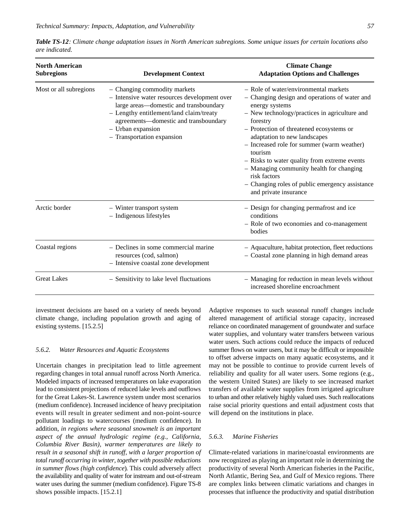| <b>North American</b><br><b>Subregions</b> | <b>Development Context</b>                                                                                                                                                                                                                                    | <b>Climate Change</b><br><b>Adaptation Options and Challenges</b>                                                                                                                                                                                                                                                                                                                                                                                                                                  |  |  |
|--------------------------------------------|---------------------------------------------------------------------------------------------------------------------------------------------------------------------------------------------------------------------------------------------------------------|----------------------------------------------------------------------------------------------------------------------------------------------------------------------------------------------------------------------------------------------------------------------------------------------------------------------------------------------------------------------------------------------------------------------------------------------------------------------------------------------------|--|--|
| Most or all subregions                     | - Changing commodity markets<br>- Intensive water resources development over<br>large areas-domestic and transboundary<br>- Lengthy entitlement/land claim/treaty<br>agreements-domestic and transboundary<br>- Urban expansion<br>- Transportation expansion | - Role of water/environmental markets<br>- Changing design and operations of water and<br>energy systems<br>- New technology/practices in agriculture and<br>forestry<br>- Protection of threatened ecosystems or<br>adaptation to new landscapes<br>- Increased role for summer (warm weather)<br>tourism<br>- Risks to water quality from extreme events<br>- Managing community health for changing<br>risk factors<br>- Changing roles of public emergency assistance<br>and private insurance |  |  |
| Arctic border                              | - Winter transport system<br>- Indigenous lifestyles                                                                                                                                                                                                          | - Design for changing permafrost and ice<br>conditions<br>- Role of two economies and co-management<br>bodies                                                                                                                                                                                                                                                                                                                                                                                      |  |  |
| Coastal regions                            | - Declines in some commercial marine<br>resources (cod, salmon)<br>- Intensive coastal zone development                                                                                                                                                       | - Aquaculture, habitat protection, fleet reductions<br>- Coastal zone planning in high demand areas                                                                                                                                                                                                                                                                                                                                                                                                |  |  |
| <b>Great Lakes</b>                         | - Sensitivity to lake level fluctuations                                                                                                                                                                                                                      | - Managing for reduction in mean levels without<br>increased shoreline encroachment                                                                                                                                                                                                                                                                                                                                                                                                                |  |  |

*Table TS-12: Climate change adaptation issues in North American subregions. Some unique issues for certain locations also are indicated.*

investment decisions are based on a variety of needs beyond climate change, including population growth and aging of existing systems. [15.2.5]

#### *5.6.2. Water Resources and Aquatic Ecosystems*

Uncertain changes in precipitation lead to little agreement regarding changes in total annual runoff across North America. Modeled impacts of increased temperatures on lake evaporation lead to consistent projections of reduced lake levels and outflows for the Great Lakes-St. Lawrence system under most scenarios (medium confidence). Increased incidence of heavy precipitation events will result in greater sediment and non-point-source pollutant loadings to watercourses (medium confidence). In addition*, in regions where seasonal snowmelt is an important aspect of the annual hydrologic regime (e.g., California, Columbia River Basin), warmer temperatures are likely to result in a seasonal shift in runoff, with a larger proportion of total runoff occurring in winter, together with possible reductions in summer flows (high confidence*)*.* This could adversely affect the availability and quality of water for instream and out-of-stream water uses during the summer (medium confidence). Figure TS-8 shows possible impacts. [15.2.1]

Adaptive responses to such seasonal runoff changes include altered management of artificial storage capacity, increased reliance on coordinated management of groundwater and surface water supplies, and voluntary water transfers between various water users. Such actions could reduce the impacts of reduced summer flows on water users, but it may be difficult or impossible to offset adverse impacts on many aquatic ecosystems, and it may not be possible to continue to provide current levels of reliability and quality for all water users. Some regions (e.g., the western United States) are likely to see increased market transfers of available water supplies from irrigated agriculture to urban and other relatively highly valued uses. Such reallocations raise social priority questions and entail adjustment costs that will depend on the institutions in place.

## *5.6.3. Marine Fisheries*

Climate-related variations in marine/coastal environments are now recognized as playing an important role in determining the productivity of several North American fisheries in the Pacific, North Atlantic, Bering Sea, and Gulf of Mexico regions. There are complex links between climatic variations and changes in processes that influence the productivity and spatial distribution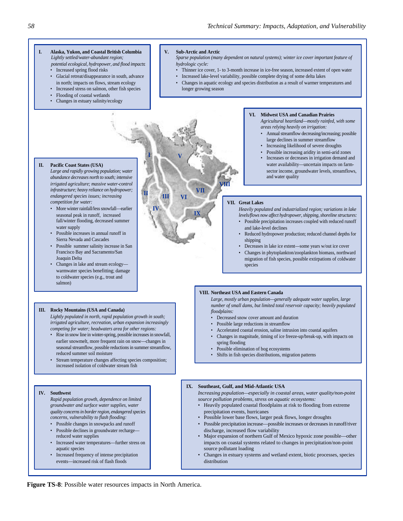

- aquatic species
- Increased frequency of intense precipitation events—increased risk of flash floods

source pollutant loading • Changes in estuary systems and wetland extent, biotic processes, species distribution

**Figure TS-8**: Possible water resources impacts in North America.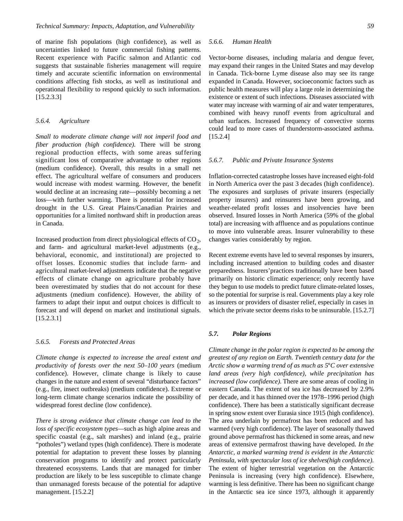of marine fish populations (high confidence), as well as uncertainties linked to future commercial fishing patterns. Recent experience with Pacific salmon and Atlantic cod suggests that sustainable fisheries management will require timely and accurate scientific information on environmental conditions affecting fish stocks, as well as institutional and operational flexibility to respond quickly to such information. [15.2.3.3]

## *5.6.4. Agriculture*

*Small to moderate climate change will not imperil food and fiber production (high confidence).* There will be strong regional production effects, with some areas suffering significant loss of comparative advantage to other regions (medium confidence). Overall, this results in a small net e ffect. The agricultural welfare of consumers and producers would increase with modest warming. However, the benefit would decline at an increasing rate—possibly becoming a net loss—with further warming. There is potential for increased drought in the U.S. Great Plains/Canadian Prairies and opportunities for a limited northward shift in production areas in Canada.

Increased production from direct physiological effects of  $\mathrm{CO}_2$ , and farm- and agricultural market-level adjustments (e.g., behavioral, economic, and institutional) are projected to o ffset losses. Economic studies that include farm- and a gricultural market-level adjustments indicate that the negative e ffects of climate change on agriculture probably have been overestimated by studies that do not account for these adjustments (medium confidence). However, the ability of farmers to adapt their input and output choices is difficult to forecast and will depend on market and institutional signals. [15.2.3.1]

#### *5.6.5. Forests and Protected Areas*

*Climate change is expected to increase the areal extent and productivity of forests over the next 50–100 years* (medium confidence). However, climate change is likely to cause changes in the nature and extent of several "disturbance factors" (e.g., fire, insect outbreaks) (medium confidence). Extreme or long-term climate change scenarios indicate the possibility of widespread forest decline (low confidence).

*There is strong evidence that climate change can lead to the loss of specific ecosystem types—*such as high alpine areas and specific coastal (e.g., salt marshes) and inland (e.g., prairie "potholes") wetland types (high confidence). There is moderate potential for adaptation to prevent these losses by planning conservation programs to identify and protect particularly threatened ecosystems. Lands that are managed for timber production are likely to be less susceptible to climate change than unmanaged forests because of the potential for adaptive management. [15.2.2]

#### *5.6.6. Human Health*

Vector-borne diseases, including malaria and dengue fever, may expand their ranges in the United States and may develop in Canada. Tick-borne Lyme disease also may see its range expanded in Canada. However, socioeconomic factors such as public health measures will play a large role in determining the existence or extent of such infections. Diseases associated with water may increase with warming of air and water temperatures, combined with heavy runoff events from agricultural and urban surfaces. Increased frequency of convective storms could lead to more cases of thunderstorm-associated asthma. [15.2.4]

#### *5.6.7. Public and Private Insurance Systems*

Inflation-corrected catastrophe losses have increased eight-fold in North America over the past 3 decades (high confidence). The exposures and surpluses of private insurers (especially property insurers) and reinsurers have been growing, and weather-related profit losses and insolvencies have been observed. Insured losses in North America (59% of the global total) are increasing with affluence and as populations continue to move into vulnerable areas. Insurer vulnerability to these changes varies considerably by region.

Recent extreme events have led to several responses by insurers, including increased attention to building codes and disaster preparedness. Insurers'practices traditionally have been based primarily on historic climatic experience; only recently have they begun to use models to predict future climate-related losses, so the potential for surprise is real. Governments play a key role as insurers or providers of disaster relief, especially in cases in which the private sector deems risks to be uninsurable. [15.2.7]

## *5.7. Polar Regions*

*Climate change in the polar region is expected to be among the greatest of any region on Earth. Twentieth century data for the Arctic show a warming trend of as much as 5 C over extensive land areas (very high confidence), while precipitation has increased (low confidence)*. There are some areas of cooling in eastern Canada. The extent of sea ice has decreased by 2.9% per decade, and it has thinned over the 1978–1996 period (high confidence). There has been a statistically significant decrease in spring snow extent over Eurasia since 1915 (high confidence). The area underlain by permafrost has been reduced and has warmed (very high confidence). The layer of seasonally thawed ground above permafrost has thickened in some areas, and new areas of extensive permafrost thawing have developed. *In the Antarctic, a marked warming trend is evident in the Antarctic Peninsula, with spectacular loss of ice shelves(high confidence).* The extent of higher terrestrial vegetation on the Antarctic Peninsula is increasing (very high confidence). Elsewhere, warming is less definitive. There has been no significant change in the Antarctic sea ice since 1973, although it apparently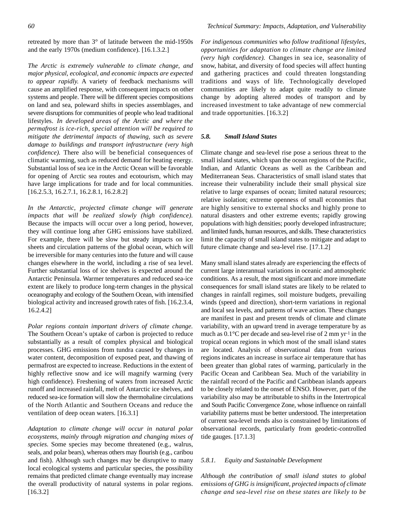retreated by more than 3° of latitude between the mid-1950s and the early 1970s (medium confidence). [16.1.3.2.]

*The Arctic is extremely vulnerable to climate change, and major physical, ecological, and economic impacts are expected to appear rapidly.* A variety of feedback mechanisms will cause an amplified response, with consequent impacts on other systems and people. There will be different species compositions on land and sea, poleward shifts in species assemblages, and severe disruptions for communities of people who lead traditional lifestyles. *In developed areas of the A rctic and where the permafrost is ice-rich, special attention will be required to mitigate the detrimental impacts of thawing, such as severe damage to buildings and transport infrastructure (very high confidence*). There also will be beneficial consequences of climatic warming, such as reduced demand for heating energy. Substantial loss of sea ice in the Arctic Ocean will be favorable for opening of Arctic sea routes and ecotourism, which may have large implications for trade and for local communities. [16.2.5.3, 16.2.7.1, 16.2.8.1, 16.2.8.2]

In the Antarctic, projected climate change will generate *impacts that will be realized slowly (high confidence).* Because the impacts will occur over a long period, however, they will continue long after GHG emissions have stabilized. For example, there will be slow but steady impacts on ice sheets and circulation patterns of the global ocean, which will be irreversible for many centuries into the future and will cause changes elsewhere in the world, including a rise of sea level. Further substantial loss of ice shelves is expected around the Antarctic Peninsula. Warmer temperatures and reduced sea-ice extent are likely to produce long-term changes in the physical oceanography and ecology of the Southern Ocean, with intensified biological activity and increased growth rates of fish. [16.2.3.4, 16.2.4.2]

*Polar regions contain important drivers of climate change.* The Southern Ocean's uptake of carbon is projected to reduce substantially as a result of complex physical and biological processes. GHG emissions from tundra caused by changes in water content, decomposition of exposed peat, and thawing of permafrost are expected to increase. Reductions in the extent of highly reflective snow and ice will magnify warming (very high confidence). Freshening of waters from increased Arctic runoff and increased rainfall, melt of Antarctic ice shelves, and reduced sea-ice formation will slow the thermohaline circulations of the North Atlantic and Southern Oceans and reduce the ventilation of deep ocean waters. [16.3.1]

*Adaptation to climate change will occur in natural polar ecosystems, mainly through migration and changing mixes of species.* Some species may become threatened (e.g., walrus, seals, and polar bears), whereas others may flourish (e.g., caribou and fish). Although such changes may be disruptive to many local ecological systems and particular species, the possibility remains that predicted climate change eventually may increase the overall productivity of natural systems in polar regions. [16.3.2]

*For indigenous communities who follow traditional lifestyles, o p p o rtunities for adaptation to climate change are limited (very high confidence).* Changes in sea ice, seasonality of snow, habitat, and diversity of food species will affect hunting and gathering practices and could threaten longstanding traditions and ways of life. Technologically developed communities are likely to adapt quite readily to climate change by adopting altered modes of transport and by increased investment to take advantage of new commercial and trade opportunities. [16.3.2]

## *5.8. Small Island States*

Climate change and sea-level rise pose a serious threat to the small island states, which span the ocean regions of the Pacific, Indian, and Atlantic Oceans as well as the Caribbean and Mediterranean Seas. Characteristics of small island states that increase their vulnerability include their small physical size relative to large expanses of ocean; limited natural resources; relative isolation; extreme openness of small economies that are highly sensitive to external shocks and highly prone to natural disasters and other extreme events; rapidly growing populations with high densities; poorly developed infrastructure; and limited funds, human resources, and skills. These characteristics limit the capacity of small island states to mitigate and adapt to future climate change and sea-level rise. [17.1.2]

Many small island states already are experiencing the effects of current large interannual variations in oceanic and atmospheric conditions. As a result, the most significant and more immediate consequences for small island states are likely to be related to changes in rainfall regimes, soil moisture budgets, prevailing winds (speed and direction), short-term variations in regional and local sea levels, and patterns of wave action. These changes are manifest in past and present trends of climate and climate variability, with an upward trend in average temperature by as much as 0.1°C per decade and sea-level rise of 2 mm yr-1 in the tropical ocean regions in which most of the small island states are located. Analysis of observational data from various regions indicates an increase in surface air temperature that has been greater than global rates of warming, particularly in the Pacific Ocean and Caribbean Sea. Much of the variability in the rainfall record of the Pacific and Caribbean islands appears to be closely related to the onset of ENSO. However, part of the variability also may be attributable to shifts in the Intertropical and South Pacific Convergence Zone, whose influence on rainfall variability patterns must be better understood. The interpretation of current sea-level trends also is constrained by limitations of observational records, particularly from geodetic-controlled tide gauges. [17.1.3]

## *5.8.1. Equity and Sustainable Development*

*Although the contribution of small island states to global e m i ssions of GHG is insignificant, projected impacts of climate change and sea-level rise on these states are likely to be*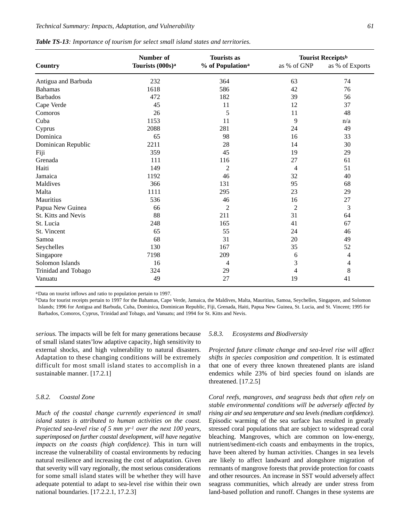|  | Table TS-13: Importance of tourism for select small island states and territories. |  |  |  |  |  |  |
|--|------------------------------------------------------------------------------------|--|--|--|--|--|--|
|--|------------------------------------------------------------------------------------|--|--|--|--|--|--|

|                     | Number of                    | <b>Tourists as</b>           |                | <b>Tourist Receiptsb</b> |
|---------------------|------------------------------|------------------------------|----------------|--------------------------|
| Country             | Tourists (000s) <sup>a</sup> | % of Population <sup>a</sup> | as % of GNP    | as % of Exports          |
| Antigua and Barbuda | 232                          | 364                          | 63             | 74                       |
| <b>Bahamas</b>      | 1618                         | 586                          | 42             | 76                       |
| <b>Barbados</b>     | 472                          | 182                          | 39             | 56                       |
| Cape Verde          | 45                           | 11                           | 12             | 37                       |
| Comoros             | 26                           | 5                            | 11             | 48                       |
| Cuba                | 1153                         | 11                           | 9              | n/a                      |
| Cyprus              | 2088                         | 281                          | 24             | 49                       |
| Dominica            | 65                           | 98                           | 16             | 33                       |
| Dominican Republic  | 2211                         | 28                           | 14             | 30                       |
| Fiji                | 359                          | 45                           | 19             | 29                       |
| Grenada             | 111                          | 116                          | 27             | 61                       |
| Haiti               | 149                          | $\overline{2}$               | 4              | 51                       |
| Jamaica             | 1192                         | 46                           | 32             | 40                       |
| Maldives            | 366                          | 131                          | 95             | 68                       |
| Malta               | 1111                         | 295                          | 23             | 29                       |
| Mauritius           | 536                          | 46                           | 16             | 27                       |
| Papua New Guinea    | 66                           | $\overline{2}$               | $\overline{2}$ | 3                        |
| St. Kitts and Nevis | 88                           | 211                          | 31             | 64                       |
| St. Lucia           | 248                          | 165                          | 41             | 67                       |
| St. Vincent         | 65                           | 55                           | 24             | 46                       |
| Samoa               | 68                           | 31                           | 20             | 49                       |
| Seychelles          | 130                          | 167                          | 35             | 52                       |
| Singapore           | 7198                         | 209                          | 6              | 4                        |
| Solomon Islands     | 16                           | 4                            | 3              | 4                        |
| Trinidad and Tobago | 324                          | 29                           | 4              | 8                        |
| Vanuatu             | 49                           | 27                           | 19             | 41                       |

aData on tourist inflows and ratio to population pertain to 1997.

bData for tourist receipts pertain to 1997 for the Bahamas, Cape Verde, Jamaica, the Maldives, Malta, Mauritius, Samoa, Seychelles, Singapore, and Solomon Islands; 1996 for Antigua and Barbuda, Cuba, Dominica, Dominican Republic, Fiji, Grenada, Haiti, Papua New Guinea, St. Lucia, and St. Vincent; 1995 for Barbados, Comoros, Cyprus, Trinidad and Tobago, and Vanuatu; and 1994 for St. Kitts and Nevis.

*s e r ious.* The impacts will be felt for many generations because of small island states'low adaptive capacity, high sensitivity to external shocks, and high vulnerability to natural disasters. Adaptation to these changing conditions will be extremely difficult for most small island states to accomplish in a sustainable manner. [17.2.1]

## *5.8.2. Coastal Zone*

*Much of the coastal change currently experienced in small island states is attributed to human activities on the coast. Projected sea-level rise of 5 mm yr-1 over the next 100 years, superimposed on further coastal development, will have negative impacts on the coasts (high confidence).* This in turn will increase the vulnerability of coastal environments by reducing natural resilience and increasing the cost of adaptation. Given that severity will vary regionally, the most serious considerations for some small island states will be whether they will have adequate potential to adapt to sea-level rise within their own national boundaries. [17.2.2.1, 17.2.3]

#### *5.8.3. Ecosystems and Biodiversity*

*Projected future climate change and sea-level rise will affect shifts in species composition and competition.* It is estimated that one of every three known threatened plants are island endemics while 23% of bird species found on islands are threatened. [17.2.5]

*Coral reefs, mangroves, and seagrass beds that often rely on stable environmental conditions will be adversely affected by rising air and sea temperature and sea levels (medium confidence).* Episodic warming of the sea surface has resulted in greatly stressed coral populations that are subject to widespread coral bleaching. Mangroves, which are common on low-energy, nutrient/sediment-rich coasts and embayments in the tropics, have been altered by human activities. Changes in sea levels are likely to affect landward and alongshore migration of remnants of mangrove forests that provide protection for coasts and other resources. An increase in SST would adversely affect seagrass communities, which already are under stress from land-based pollution and runoff. Changes in these systems are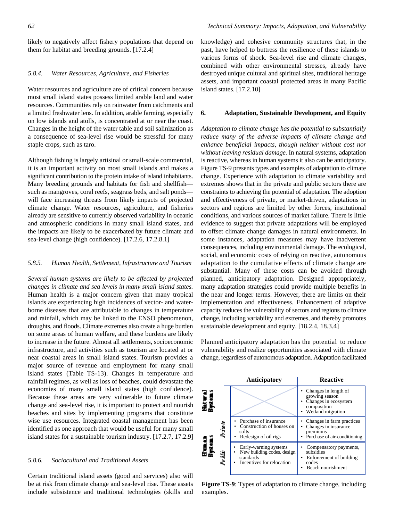## *5.8.4. Water Resources, Agriculture, and Fisheries*

Water resources and agriculture are of critical concern because most small island states possess limited arable land and water resources. Communities rely on rainwater from catchments and a limited freshwater lens. In addition, arable farming, especially on low islands and atolls, is concentrated at or near the coast. Changes in the height of the water table and soil salinization as a consequence of sea-level rise would be stressful for many staple crops, such as taro.

Although fishing is largely artisinal or small-scale commercial, it is an important activity on most small islands and makes a significant contribution to the protein intake of island inhabitants. Many breeding grounds and habitats for fish and shellfish such as mangroves, coral reefs, seagrass beds, and salt ponds will face increasing threats from likely impacts of projected climate change. Water resources, agriculture, and fisheries already are sensitive to currently observed variability in oceanic and atmospheric conditions in many small island states, and the impacts are likely to be exacerbated by future climate and sea-level change (high confidence). [17.2.6, 17.2.8.1]

## 5.8.5. Human Health, Settlement, Infrastructure and Tourism

*Several human systems are likely to be affected by projected changes in climate and sea levels in many small island states.* Human health is a major concern given that many tropical islands are experiencing high incidences of vector- and waterborne diseases that are attributable to changes in temperature and rainfall, which may be linked to the ENSO phenomenon, droughts, and floods. Climate extremes also create a huge burden on some areas of human welfare, and these burdens are likely to increase in the future. Almost all settlements, socioeconomic infrastructure, and activities such as tourism are located at or near coastal areas in small island states. Tourism provides a major source of revenue and employment for many small island states (Table TS-13). Changes in temperature and rainfall regimes, as well as loss of beaches, could devastate the economies of many small island states (high confidence). Because these areas are very vulnerable to future climate change and sea-level rise, it is important to protect and nourish beaches and sites by implementing programs that constitute wise use resources. Integrated coastal management has been identified as one approach that would be useful for many small island states for a sustainable tourism industry. [17.2.7, 17.2.9]

## *5.8.6. Sociocultural and Traditional Assets*

Certain traditional island assets (good and services) also will be at risk from climate change and sea-level rise. These assets include subsistence and traditional technologies (skills and knowledge) and cohesive community structures that, in the past, have helped to buttress the resilience of these islands to various forms of shock. Sea-level rise and climate changes, combined with other environmental stresses, already have destroyed unique cultural and spiritual sites, traditional heritage assets, and important coastal protected areas in many Pacific island states. [17.2.10]

## **6. Adaptation, Sustainable Development, and Equity**

*Adaptation to climate change has the potential to substantially reduce many of the adverse impacts of climate change and enhance beneficial impacts, though neither without cost nor without leaving residual damage.* In natural systems, adaptation is reactive, whereas in human systems it also can be anticipatory. Figure TS-9 presents types and examples of adaptation to climate change. Experience with adaptation to climate variability and extremes shows that in the private and public sectors there are constraints to achieving the potential of adaptation. The adoption and effectiveness of private, or market-driven, adaptations in sectors and regions are limited by other forces, institutional conditions, and various sources of market failure. There is little evidence to suggest that private adaptations will be employed to offset climate change damages in natural environments. In some instances, adaptation measures may have inadvertent consequences, including environmental damage. The ecological, social, and economic costs of relying on reactive, autonomous adaptation to the cumulative effects of climate change are substantial. Many of these costs can be avoided through planned, anticipatory adaptation. Designed appropriately, many adaptation strategies could provide multiple benefits in the near and longer terms. However, there are limits on their implementation and effectiveness. Enhancement of adaptive capacity reduces the vulnerability of sectors and regions to climate change, including variability and extremes, and thereby promotes sustainable development and equity. [18.2.4, 18.3.4]

Planned anticipatory adaptation has the potential to reduce vulnerability and realize opportunities associated with climate change, regardless of autonomous adaptation. Adaptation facilitated



**Figure TS-9**: Types of adaptation to climate change, including examples.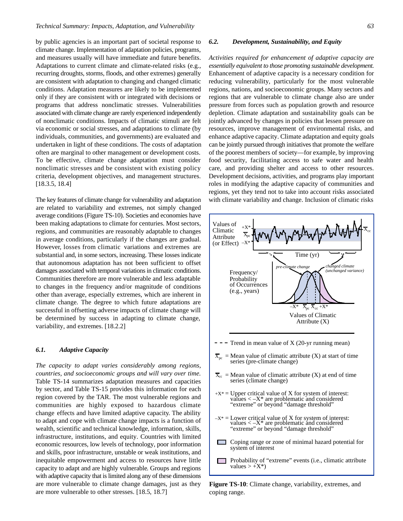by public agencies is an important part of societal response to climate change. Implementation of adaptation policies, programs, and measures usually will have immediate and future benefits. Adaptations to current climate and climate-related risks (e.g., recurring droughts, storms, floods, and other extremes) generally are consistent with adaptation to changing and changed climatic conditions. Adaptation measures are likely to be implemented only if they are consistent with or integrated with decisions or programs that address nonclimatic stresses. Vulnerabilities associated with climate change are rarely experienced independently of nonclimatic conditions. Impacts of climatic stimuli are felt via economic or social stresses, and adaptations to climate (by individuals, communities, and governments) are evaluated and undertaken in light of these conditions. The costs of adaptation often are marginal to other management or development costs. To be effective, climate change adaptation must consider nonclimatic stresses and be consistent with existing policy criteria, development objectives, and management structures. [18.3.5, 18.4]

The key features of climate change for vulnerability and adaptation are related to variability and extremes, not simply changed average conditions (Figure TS-10). Societies and economies have been making adaptations to climate for centuries. Most sectors, regions, and communities are reasonably adaptable to changes in average conditions, particularly if the changes are gradual. However, losses from climatic variations and extremes are substantial and, in some sectors, increasing. These losses indicate that autonomous adaptation has not been sufficient to offset damages associated with temporal variations in climatic conditions. Communities therefore are more vulnerable and less adaptable to changes in the frequency and/or magnitude of conditions other than average, especially extremes, which are inherent in climate change. The degree to which future adaptations are successful in offsetting adverse impacts of climate change will be determined by success in adapting to climate change, variability, and extremes. [18.2.2]

## *6.1. Adaptive Capacity*

*The capacity to adapt varies considerably among regions, countries, and socioeconomic groups and will vary over time.* Table TS-14 summarizes adaptation measures and capacities by sector, and Table TS-15 provides this information for each region covered by the TAR. The most vulnerable regions and communities are highly exposed to hazardous climate change effects and have limited adaptive capacity. The ability to adapt and cope with climate change impacts is a function of wealth, scientific and technical knowledge, information, skills, infrastructure, institutions, and equity. Countries with limited economic resources, low levels of technology, poor information and skills, poor infrastructure, unstable or weak institutions, and inequitable empowerment and access to resources have little capacity to adapt and are highly vulnerable*.* Groups and regions with adaptive capacity that is limited along any of these dimensions are more vulnerable to climate change damages, just as they are more vulnerable to other stresses. [18.5, 18.7]

#### *6.2. Development, Sustainability, and Equity*

*Activities required for enhancement of adaptive capacity are essentially equivalent to those promoting sustainable development.* Enhancement of adaptive capacity is a necessary condition for reducing vulnerability, particularly for the most vulnerable regions, nations, and socioeconomic groups. Many sectors and regions that are vulnerable to climate change also are under pressure from forces such as population growth and resource depletion. Climate adaptation and sustainability goals can be jointly advanced by changes in policies that lessen pressure on resources, improve management of environmental risks, and enhance adaptive capacity. Climate adaptation and equity goals can be jointly pursued through initiatives that promote the welfare of the poorest members of society—for example, by improving food security, facilitating access to safe water and health care, and providing shelter and access to other resources. Development decisions, activities, and programs play important roles in modifying the adaptive capacity of communities and regions, yet they tend not to take into account risks associated with climate variability and change. Inclusion of climatic risks



- Trend in mean value of X (20-yr running mean)
- $\overline{X}_{pc}$  = Mean value of climatic attribute (X) at start of time series (pre-climate change)
- $\overline{X}_{cc}$  = Mean value of climatic attribute (X) at end of time series (climate change)
- $+X^*$  = Upper critical value of X for system of interest: values  $\langle -X^* \rangle$  are problematic and considered "extreme" or beyond "damage threshold"
- = Lower critical value of X for system of interest:<br>values  $\langle -X^* \rangle$  are problematic and considered "extreme" or beyond "damage threshold"  $-X^* = I$
- Coping range or zone of minimal hazard potential for system of interest
- Probability of "extreme" events (i.e., climatic attribute - 1 values  $> +X^*$ )

**Figure TS-10**: Climate change, variability, extremes, and coping range.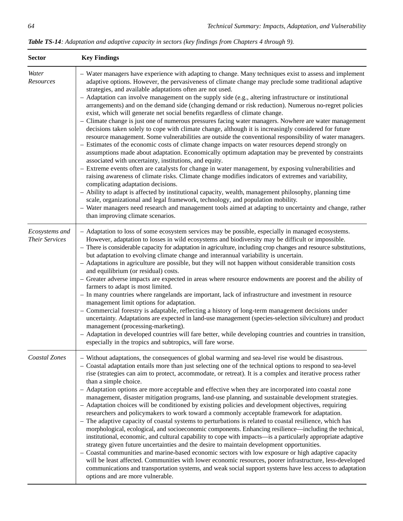|  | Table TS-14: Adaptation and adaptive capacity in sectors (key findings from Chapters 4 through 9). |  |  |  |  |  |  |
|--|----------------------------------------------------------------------------------------------------|--|--|--|--|--|--|
|--|----------------------------------------------------------------------------------------------------|--|--|--|--|--|--|

| <b>Sector</b>                           | <b>Key Findings</b>                                                                                                                                                                                                                                                                                                                                                                                                                                                                                                                                                                                                                                                                                                                                                                                                                                                                                                                                                                                                                                                                                                                                                                                                                                                                                                                                                                                                                                                                                                                                                                                                                                                                                                                                                                    |  |  |  |  |  |  |  |
|-----------------------------------------|----------------------------------------------------------------------------------------------------------------------------------------------------------------------------------------------------------------------------------------------------------------------------------------------------------------------------------------------------------------------------------------------------------------------------------------------------------------------------------------------------------------------------------------------------------------------------------------------------------------------------------------------------------------------------------------------------------------------------------------------------------------------------------------------------------------------------------------------------------------------------------------------------------------------------------------------------------------------------------------------------------------------------------------------------------------------------------------------------------------------------------------------------------------------------------------------------------------------------------------------------------------------------------------------------------------------------------------------------------------------------------------------------------------------------------------------------------------------------------------------------------------------------------------------------------------------------------------------------------------------------------------------------------------------------------------------------------------------------------------------------------------------------------------|--|--|--|--|--|--|--|
| Water<br>Resources                      | - Water managers have experience with adapting to change. Many techniques exist to assess and implement<br>adaptive options. However, the pervasiveness of climate change may preclude some traditional adaptive<br>strategies, and available adaptations often are not used.<br>- Adaptation can involve management on the supply side (e.g., altering infrastructure or institutional<br>arrangements) and on the demand side (changing demand or risk reduction). Numerous no-regret policies<br>exist, which will generate net social benefits regardless of climate change.<br>- Climate change is just one of numerous pressures facing water managers. Nowhere are water management<br>decisions taken solely to cope with climate change, although it is increasingly considered for future<br>resource management. Some vulnerabilities are outside the conventional responsibility of water managers.<br>- Estimates of the economic costs of climate change impacts on water resources depend strongly on<br>assumptions made about adaptation. Economically optimum adaptation may be prevented by constraints<br>associated with uncertainty, institutions, and equity.<br>- Extreme events often are catalysts for change in water management, by exposing vulnerabilities and<br>raising awareness of climate risks. Climate change modifies indicators of extremes and variability,<br>complicating adaptation decisions.<br>- Ability to adapt is affected by institutional capacity, wealth, management philosophy, planning time<br>scale, organizational and legal framework, technology, and population mobility.<br>- Water managers need research and management tools aimed at adapting to uncertainty and change, rather<br>than improving climate scenarios. |  |  |  |  |  |  |  |
| Ecosystems and<br><b>Their Services</b> | - Adaptation to loss of some ecosystem services may be possible, especially in managed ecosystems.<br>However, adaptation to losses in wild ecosystems and biodiversity may be difficult or impossible.<br>- There is considerable capacity for adaptation in agriculture, including crop changes and resource substitutions,<br>but adaptation to evolving climate change and interannual variability is uncertain.<br>- Adaptations in agriculture are possible, but they will not happen without considerable transition costs<br>and equilibrium (or residual) costs.<br>- Greater adverse impacts are expected in areas where resource endowments are poorest and the ability of<br>farmers to adapt is most limited.<br>- In many countries where rangelands are important, lack of infrastructure and investment in resource<br>management limit options for adaptation.<br>- Commercial forestry is adaptable, reflecting a history of long-term management decisions under<br>uncertainty. Adaptations are expected in land-use management (species-selection silviculture) and product<br>management (processing-marketing).<br>- Adaptation in developed countries will fare better, while developing countries and countries in transition,<br>especially in the tropics and subtropics, will fare worse.                                                                                                                                                                                                                                                                                                                                                                                                                                                                  |  |  |  |  |  |  |  |
| Coastal Zones                           | - Without adaptations, the consequences of global warming and sea-level rise would be disastrous.<br>- Coastal adaptation entails more than just selecting one of the technical options to respond to sea-level<br>rise (strategies can aim to protect, accommodate, or retreat). It is a complex and iterative process rather<br>than a simple choice.<br>- Adaptation options are more acceptable and effective when they are incorporated into coastal zone<br>management, disaster mitigation programs, land-use planning, and sustainable development strategies.<br>- Adaptation choices will be conditioned by existing policies and development objectives, requiring<br>researchers and policymakers to work toward a commonly acceptable framework for adaptation.<br>- The adaptive capacity of coastal systems to perturbations is related to coastal resilience, which has<br>morphological, ecological, and socioeconomic components. Enhancing resilience—including the technical,<br>institutional, economic, and cultural capability to cope with impacts—is a particularly appropriate adaptive<br>strategy given future uncertainties and the desire to maintain development opportunities.<br>- Coastal communities and marine-based economic sectors with low exposure or high adaptive capacity<br>will be least affected. Communities with lower economic resources, poorer infrastructure, less-developed<br>communications and transportation systems, and weak social support systems have less access to adaptation<br>options and are more vulnerable.                                                                                                                                                                                                     |  |  |  |  |  |  |  |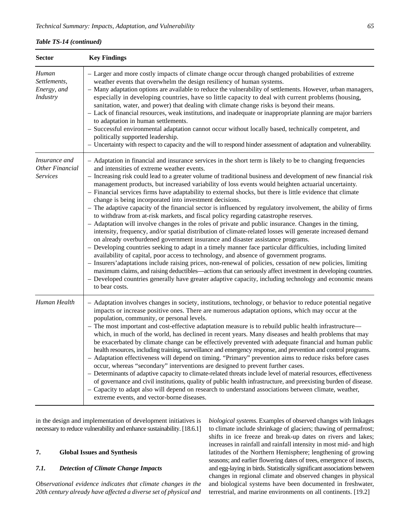| <b>Sector</b>                                       | <b>Key Findings</b>                                                                                                                                                                                                                                                                                                                                                                                                                                                                                                                                                                                                                                                                                                                                                                                                                                                                                                                                                                                                                                                                                                                                                                                                                                                                                                                                                                                                                                                                                                                                                                                                                                |  |  |  |  |  |  |  |
|-----------------------------------------------------|----------------------------------------------------------------------------------------------------------------------------------------------------------------------------------------------------------------------------------------------------------------------------------------------------------------------------------------------------------------------------------------------------------------------------------------------------------------------------------------------------------------------------------------------------------------------------------------------------------------------------------------------------------------------------------------------------------------------------------------------------------------------------------------------------------------------------------------------------------------------------------------------------------------------------------------------------------------------------------------------------------------------------------------------------------------------------------------------------------------------------------------------------------------------------------------------------------------------------------------------------------------------------------------------------------------------------------------------------------------------------------------------------------------------------------------------------------------------------------------------------------------------------------------------------------------------------------------------------------------------------------------------------|--|--|--|--|--|--|--|
| Human<br>Settlements,<br>Energy, and<br>Industry    | - Larger and more costly impacts of climate change occur through changed probabilities of extreme<br>weather events that overwhelm the design resiliency of human systems.<br>- Many adaptation options are available to reduce the vulnerability of settlements. However, urban managers,<br>especially in developing countries, have so little capacity to deal with current problems (housing,<br>sanitation, water, and power) that dealing with climate change risks is beyond their means.<br>- Lack of financial resources, weak institutions, and inadequate or inappropriate planning are major barriers<br>to adaptation in human settlements.<br>- Successful environmental adaptation cannot occur without locally based, technically competent, and<br>politically supported leadership.<br>- Uncertainty with respect to capacity and the will to respond hinder assessment of adaptation and vulnerability.                                                                                                                                                                                                                                                                                                                                                                                                                                                                                                                                                                                                                                                                                                                         |  |  |  |  |  |  |  |
| Insurance and<br>Other Financial<br><b>Services</b> | - Adaptation in financial and insurance services in the short term is likely to be to changing frequencies<br>and intensities of extreme weather events.<br>- Increasing risk could lead to a greater volume of traditional business and development of new financial risk<br>management products, but increased variability of loss events would heighten actuarial uncertainty.<br>- Financial services firms have adaptability to external shocks, but there is little evidence that climate<br>change is being incorporated into investment decisions.<br>- The adaptive capacity of the financial sector is influenced by regulatory involvement, the ability of firms<br>to withdraw from at-risk markets, and fiscal policy regarding catastrophe reserves.<br>- Adaptation will involve changes in the roles of private and public insurance. Changes in the timing,<br>intensity, frequency, and/or spatial distribution of climate-related losses will generate increased demand<br>on already overburdened government insurance and disaster assistance programs.<br>- Developing countries seeking to adapt in a timely manner face particular difficulties, including limited<br>availability of capital, poor access to technology, and absence of government programs.<br>- Insurers'adaptations include raising prices, non-renewal of policies, cessation of new policies, limiting<br>maximum claims, and raising deductibles—actions that can seriously affect investment in developing countries.<br>- Developed countries generally have greater adaptive capacity, including technology and economic means<br>to bear costs. |  |  |  |  |  |  |  |
| Human Health                                        | - Adaptation involves changes in society, institutions, technology, or behavior to reduce potential negative<br>impacts or increase positive ones. There are numerous adaptation options, which may occur at the<br>population, community, or personal levels.<br>- The most important and cost-effective adaptation measure is to rebuild public health infrastructure-<br>which, in much of the world, has declined in recent years. Many diseases and health problems that may<br>be exacerbated by climate change can be effectively prevented with adequate financial and human public<br>health resources, including training, surveillance and emergency response, and prevention and control programs.<br>- Adaptation effectiveness will depend on timing. "Primary" prevention aims to reduce risks before cases<br>occur, whereas "secondary" interventions are designed to prevent further cases.<br>- Determinants of adaptive capacity to climate-related threats include level of material resources, effectiveness<br>of governance and civil institutions, quality of public health infrastructure, and preexisting burden of disease.<br>- Capacity to adapt also will depend on research to understand associations between climate, weather,<br>extreme events, and vector-borne diseases.                                                                                                                                                                                                                                                                                                                                     |  |  |  |  |  |  |  |

in the design and implementation of development initiatives is necessary to reduce vulnerability and enhance sustainability. [18.6.1]

## **7. Global Issues and Synthesis**

## *7.1. Detection of Climate Change Impacts*

*Observational evidence indicates that climate changes in the 20th century already have affected a diverse set of physical and* *biological systems.* Examples of observed changes with linkages to climate include shrinkage of glaciers; thawing of permafrost; shifts in ice freeze and break-up dates on rivers and lakes; increases in rainfall and rainfall intensity in most mid- and high latitudes of the Northern Hemisphere; lengthening of growing seasons; and earlier flowering dates of trees, emergence of insects, and egg-laying in birds. Statistically significant associations between changes in regional climate and observed changes in physical and biological systems have been documented in freshwater, terrestrial, and marine environments on all continents. [19.2]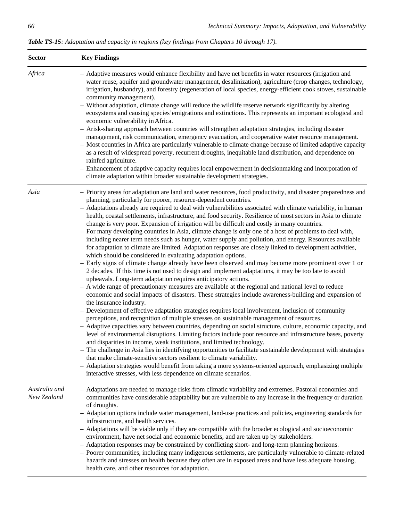*Table TS-15: Adaptation and capacity in regions (key findings from Chapters 10 through 17).*

| <b>Sector</b>                | <b>Key Findings</b>                                                                                                                                                                                                                                                                                                                                                                                                                                                                                                                                                                                                                                                                                                                                                                                                                                                                                                                                                                                                                                                                                                                                                                                                                                                                                                                                                                                                                                                                                                                                                                                                                                                                                                                                                                                                                                                                                                                                                                                                                                                                                                                                                                                                                                                                                                                          |  |  |  |  |  |  |  |
|------------------------------|----------------------------------------------------------------------------------------------------------------------------------------------------------------------------------------------------------------------------------------------------------------------------------------------------------------------------------------------------------------------------------------------------------------------------------------------------------------------------------------------------------------------------------------------------------------------------------------------------------------------------------------------------------------------------------------------------------------------------------------------------------------------------------------------------------------------------------------------------------------------------------------------------------------------------------------------------------------------------------------------------------------------------------------------------------------------------------------------------------------------------------------------------------------------------------------------------------------------------------------------------------------------------------------------------------------------------------------------------------------------------------------------------------------------------------------------------------------------------------------------------------------------------------------------------------------------------------------------------------------------------------------------------------------------------------------------------------------------------------------------------------------------------------------------------------------------------------------------------------------------------------------------------------------------------------------------------------------------------------------------------------------------------------------------------------------------------------------------------------------------------------------------------------------------------------------------------------------------------------------------------------------------------------------------------------------------------------------------|--|--|--|--|--|--|--|
| Africa                       | - Adaptive measures would enhance flexibility and have net benefits in water resources (irrigation and<br>water reuse, aquifer and groundwater management, desalinization), agriculture (crop changes, technology,<br>irrigation, husbandry), and forestry (regeneration of local species, energy-efficient cook stoves, sustainable<br>community management).<br>- Without adaptation, climate change will reduce the wildlife reserve network significantly by altering<br>ecosystems and causing species' emigrations and extinctions. This represents an important ecological and<br>economic vulnerability in Africa.<br>- Arisk-sharing approach between countries will strengthen adaptation strategies, including disaster<br>management, risk communication, emergency evacuation, and cooperative water resource management.<br>- Most countries in Africa are particularly vulnerable to climate change because of limited adaptive capacity<br>as a result of widespread poverty, recurrent droughts, inequitable land distribution, and dependence on<br>rainfed agriculture.<br>- Enhancement of adaptive capacity requires local empowerment in decisionmaking and incorporation of<br>climate adaptation within broader sustainable development strategies.                                                                                                                                                                                                                                                                                                                                                                                                                                                                                                                                                                                                                                                                                                                                                                                                                                                                                                                                                                                                                                                                  |  |  |  |  |  |  |  |
| Asia                         | - Priority areas for adaptation are land and water resources, food productivity, and disaster preparedness and<br>planning, particularly for poorer, resource-dependent countries.<br>- Adaptations already are required to deal with vulnerabilities associated with climate variability, in human<br>health, coastal settlements, infrastructure, and food security. Resilience of most sectors in Asia to climate<br>change is very poor. Expansion of irrigation will be difficult and costly in many countries.<br>- For many developing countries in Asia, climate change is only one of a host of problems to deal with,<br>including nearer term needs such as hunger, water supply and pollution, and energy. Resources available<br>for adaptation to climate are limited. Adaptation responses are closely linked to development activities,<br>which should be considered in evaluating adaptation options.<br>- Early signs of climate change already have been observed and may become more prominent over 1 or<br>2 decades. If this time is not used to design and implement adaptations, it may be too late to avoid<br>upheavals. Long-term adaptation requires anticipatory actions.<br>- A wide range of precautionary measures are available at the regional and national level to reduce<br>economic and social impacts of disasters. These strategies include awareness-building and expansion of<br>the insurance industry.<br>- Development of effective adaptation strategies requires local involvement, inclusion of community<br>perceptions, and recognition of multiple stresses on sustainable management of resources.<br>- Adaptive capacities vary between countries, depending on social structure, culture, economic capacity, and<br>level of environmental disruptions. Limiting factors include poor resource and infrastructure bases, poverty<br>and disparities in income, weak institutions, and limited technology.<br>- The challenge in Asia lies in identifying opportunities to facilitate sustainable development with strategies<br>that make climate-sensitive sectors resilient to climate variability.<br>- Adaptation strategies would benefit from taking a more systems-oriented approach, emphasizing multiple<br>interactive stresses, with less dependence on climate scenarios. |  |  |  |  |  |  |  |
| Australia and<br>New Zealand | - Adaptations are needed to manage risks from climatic variability and extremes. Pastoral economies and<br>communities have considerable adaptability but are vulnerable to any increase in the frequency or duration<br>of droughts.<br>- Adaptation options include water management, land-use practices and policies, engineering standards for<br>infrastructure, and health services.<br>- Adaptations will be viable only if they are compatible with the broader ecological and socioeconomic<br>environment, have net social and economic benefits, and are taken up by stakeholders.<br>- Adaptation responses may be constrained by conflicting short- and long-term planning horizons.<br>- Poorer communities, including many indigenous settlements, are particularly vulnerable to climate-related<br>hazards and stresses on health because they often are in exposed areas and have less adequate housing,<br>health care, and other resources for adaptation.                                                                                                                                                                                                                                                                                                                                                                                                                                                                                                                                                                                                                                                                                                                                                                                                                                                                                                                                                                                                                                                                                                                                                                                                                                                                                                                                                               |  |  |  |  |  |  |  |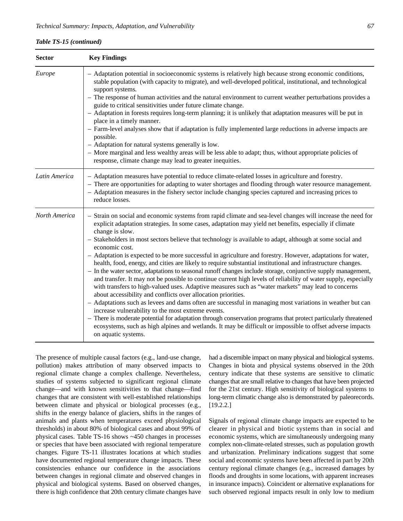|  |  | Table TS-15 (continued) |  |
|--|--|-------------------------|--|
|--|--|-------------------------|--|

| <b>Sector</b> | <b>Key Findings</b>                                                                                                                                                                                                                                                                                                                                                                                                                                                                                                                                                                                                                                                                                                                                                                                                                                                                                                                                                                                                                                                                                                                                                                                                                                                                                                                                                                                                                           |
|---------------|-----------------------------------------------------------------------------------------------------------------------------------------------------------------------------------------------------------------------------------------------------------------------------------------------------------------------------------------------------------------------------------------------------------------------------------------------------------------------------------------------------------------------------------------------------------------------------------------------------------------------------------------------------------------------------------------------------------------------------------------------------------------------------------------------------------------------------------------------------------------------------------------------------------------------------------------------------------------------------------------------------------------------------------------------------------------------------------------------------------------------------------------------------------------------------------------------------------------------------------------------------------------------------------------------------------------------------------------------------------------------------------------------------------------------------------------------|
| Europe        | - Adaptation potential in socioeconomic systems is relatively high because strong economic conditions,<br>stable population (with capacity to migrate), and well-developed political, institutional, and technological<br>support systems.<br>- The response of human activities and the natural environment to current weather perturbations provides a<br>guide to critical sensitivities under future climate change.<br>- Adaptation in forests requires long-term planning; it is unlikely that adaptation measures will be put in<br>place in a timely manner.<br>- Farm-level analyses show that if adaptation is fully implemented large reductions in adverse impacts are<br>possible.<br>- Adaptation for natural systems generally is low.<br>- More marginal and less wealthy areas will be less able to adapt; thus, without appropriate policies of<br>response, climate change may lead to greater inequities.                                                                                                                                                                                                                                                                                                                                                                                                                                                                                                                 |
| Latin America | - Adaptation measures have potential to reduce climate-related losses in agriculture and forestry.<br>- There are opportunities for adapting to water shortages and flooding through water resource management.<br>- Adaptation measures in the fishery sector include changing species captured and increasing prices to<br>reduce losses.                                                                                                                                                                                                                                                                                                                                                                                                                                                                                                                                                                                                                                                                                                                                                                                                                                                                                                                                                                                                                                                                                                   |
| North America | - Strain on social and economic systems from rapid climate and sea-level changes will increase the need for<br>explicit adaptation strategies. In some cases, adaptation may yield net benefits, especially if climate<br>change is slow.<br>- Stakeholders in most sectors believe that technology is available to adapt, although at some social and<br>economic cost.<br>- Adaptation is expected to be more successful in agriculture and forestry. However, adaptations for water,<br>health, food, energy, and cities are likely to require substantial institutional and infrastructure changes.<br>- In the water sector, adaptations to seasonal runoff changes include storage, conjunctive supply management,<br>and transfer. It may not be possible to continue current high levels of reliability of water supply, especially<br>with transfers to high-valued uses. Adaptive measures such as "water markets" may lead to concerns<br>about accessibility and conflicts over allocation priorities.<br>- Adaptations such as levees and dams often are successful in managing most variations in weather but can<br>increase vulnerability to the most extreme events.<br>- There is moderate potential for adaptation through conservation programs that protect particularly threatened<br>ecosystems, such as high alpines and wetlands. It may be difficult or impossible to offset adverse impacts<br>on aquatic systems. |

The presence of multiple causal factors (e.g., land-use change, pollution) makes attribution of many observed impacts to regional climate change a complex challenge. Nevertheless, studies of systems subjected to significant regional climate change—and with known sensitivities to that change—find changes that are consistent with well-established relationships between climate and physical or biological processes (e.g., shifts in the energy balance of glaciers, shifts in the ranges of animals and plants when temperatures exceed physiological thresholds) in about 80% of biological cases and about 99% of physical cases. Table TS-16 shows ~450 changes in processes or species that have been associated with regional temperature changes. Figure TS-11 illustrates locations at which studies have documented regional temperature change impacts. These consistencies enhance our confidence in the associations between changes in regional climate and observed changes in physical and biological systems. Based on observed changes, there is high confidence that 20th century climate changes have had a discernible impact on many physical and biological systems. Changes in biota and physical systems observed in the 20th century indicate that these systems are sensitive to climatic changes that are small relative to changes that have been projected for the 21st century. High sensitivity of biological systems to long-term climatic change also is demonstrated by paleorecords. [19.2.2.]

Signals of regional climate change impacts are expected to be clearer in physical and biotic systems than in social and economic systems, which are simultaneously undergoing many complex non-climate-related stresses, such as population growth and urbanization. Preliminary indications suggest that some social and economic systems have been affected in part by 20th century regional climate changes (e.g., increased damages by floods and droughts in some locations, with apparent increases in insurance impacts). Coincident or alternative explanations for such observed regional impacts result in only low to medium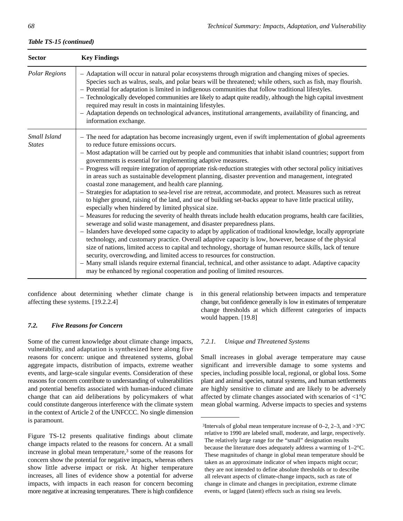## *Table TS-15 (continued)*

| <b>Sector</b>                 | <b>Key Findings</b>                                                                                                                                                                                                                                                                                                                                                                                                                                                                                                                                                                                                                                                                                                                                                                                                                                                                                                                                                                                                                                                                                                                                                                                                                                                                                                                                                                                                                                                                                                                                                                                                                                                                                                            |
|-------------------------------|--------------------------------------------------------------------------------------------------------------------------------------------------------------------------------------------------------------------------------------------------------------------------------------------------------------------------------------------------------------------------------------------------------------------------------------------------------------------------------------------------------------------------------------------------------------------------------------------------------------------------------------------------------------------------------------------------------------------------------------------------------------------------------------------------------------------------------------------------------------------------------------------------------------------------------------------------------------------------------------------------------------------------------------------------------------------------------------------------------------------------------------------------------------------------------------------------------------------------------------------------------------------------------------------------------------------------------------------------------------------------------------------------------------------------------------------------------------------------------------------------------------------------------------------------------------------------------------------------------------------------------------------------------------------------------------------------------------------------------|
| <b>Polar Regions</b>          | - Adaptation will occur in natural polar ecosystems through migration and changing mixes of species.<br>Species such as walrus, seals, and polar bears will be threatened; while others, such as fish, may flourish.<br>- Potential for adaptation is limited in indigenous communities that follow traditional lifestyles.<br>- Technologically developed communities are likely to adapt quite readily, although the high capital investment<br>required may result in costs in maintaining lifestyles.<br>- Adaptation depends on technological advances, institutional arrangements, availability of financing, and<br>information exchange.                                                                                                                                                                                                                                                                                                                                                                                                                                                                                                                                                                                                                                                                                                                                                                                                                                                                                                                                                                                                                                                                               |
| Small Island<br><b>States</b> | - The need for adaptation has become increasingly urgent, even if swift implementation of global agreements<br>to reduce future emissions occurs.<br>- Most adaptation will be carried out by people and communities that inhabit island countries; support from<br>governments is essential for implementing adaptive measures.<br>- Progress will require integration of appropriate risk-reduction strategies with other sectoral policy initiatives<br>in areas such as sustainable development planning, disaster prevention and management, integrated<br>coastal zone management, and health care planning.<br>- Strategies for adaptation to sea-level rise are retreat, accommodate, and protect. Measures such as retreat<br>to higher ground, raising of the land, and use of building set-backs appear to have little practical utility,<br>especially when hindered by limited physical size.<br>- Measures for reducing the severity of health threats include health education programs, health care facilities,<br>sewerage and solid waste management, and disaster preparedness plans.<br>- Islanders have developed some capacity to adapt by application of traditional knowledge, locally appropriate<br>technology, and customary practice. Overall adaptive capacity is low, however, because of the physical<br>size of nations, limited access to capital and technology, shortage of human resource skills, lack of tenure<br>security, overcrowding, and limited access to resources for construction.<br>- Many small islands require external financial, technical, and other assistance to adapt. Adaptive capacity<br>may be enhanced by regional cooperation and pooling of limited resources. |

confidence about determining whether climate change is affecting these systems. [19.2.2.4]

## *7.2. Five Reasons for Concern*

Some of the current knowledge about climate change impacts, vulnerability, and adaptation is synthesized here along five reasons for concern: unique and threatened systems, global aggregate impacts, distribution of impacts, extreme weather events, and large-scale singular events. Consideration of these reasons for concern contribute to understanding of vulnerabilities and potential benefits associated with human-induced climate change that can aid deliberations by policymakers of what could constitute dangerous interference with the climate system in the context of Article 2 of the UNFCCC. No single dimension is paramount.

Figure TS-12 presents qualitative findings about climate change impacts related to the reasons for concern. At a small increase in global mean temperature,<sup>3</sup> some of the reasons for concern show the potential for negative impacts, whereas others show little adverse impact or risk. At higher temperature increases, all lines of evidence show a potential for adverse impacts, with impacts in each reason for concern becoming more negative at increasing temperatures. There is high confidence in this general relationship between impacts and temperature change, but confidence generally is low in estimates of temperature change thresholds at which different categories of impacts would happen. [19.8]

## *7.2.1. Unique and Threatened Systems*

Small increases in global average temperature may cause significant and irreversible damage to some systems and species, including possible local, regional, or global loss. Some plant and animal species, natural systems, and human settlements are highly sensitive to climate and are likely to be adversely affected by climate changes associated with scenarios of <1°C mean global warming. Adverse impacts to species and systems

<sup>&</sup>lt;sup>3</sup>Intervals of global mean temperature increase of  $0-2$ ,  $2-3$ , and  $>3$ <sup>o</sup>C relative to 1990 are labeled small, moderate, and large, respectively. The relatively large range for the "small" designation results because the literature does adequately address a warming of 1–2°C. These magnitudes of change in global mean temperature should be taken as an approximate indicator of when impacts might occur; they are not intended to define absolute thresholds or to describe all relevant aspects of climate-change impacts, such as rate of change in climate and changes in precipitation, extreme climate events, or lagged (latent) effects such as rising sea levels.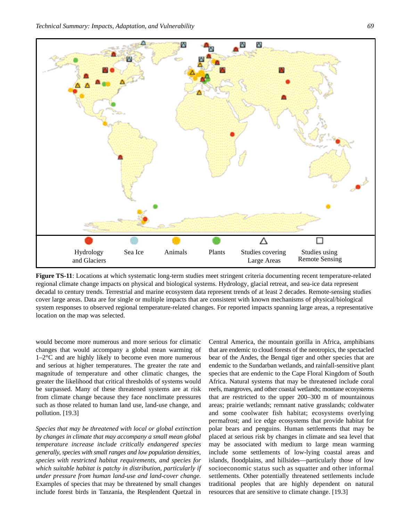

**Figure TS-11**: Locations at which systematic long-term studies meet stringent criteria documenting recent temperature-related regional climate change impacts on physical and biological systems. Hydrology, glacial retreat, and sea-ice data represent decadal to century trends. Terrestrial and marine ecosystem data represent trends of at least 2 decades. Remote-sensing studies cover large areas. Data are for single or multiple impacts that are consistent with known mechanisms of physical/biological system responses to observed regional temperature-related changes. For reported impacts spanning large areas, a representative location on the map was selected.

would become more numerous and more serious for climatic changes that would accompany a global mean warming of 1–2°C and are highly likely to become even more numerous and serious at higher temperatures. The greater the rate and magnitude of temperature and other climatic changes, the greater the likelihood that critical thresholds of systems would be surpassed. Many of these threatened systems are at risk from climate change because they face nonclimate pressures such as those related to human land use, land-use change, and pollution. [19.3]

*Species that may be threatened with local or global extinction by changes in climate that may accompany a small mean global temperature increase include critically endangered species g e n e r a l l y, species with small ranges and low population densities, species with restricted habitat requirements, and species for which suitable habitat is patchy in distribution, particularly if under pressure from human land-use and land-cover change.* Examples of species that may be threatened by small changes include forest birds in Tanzania, the Resplendent Quetzal in

Central America, the mountain gorilla in Africa, amphibians that are endemic to cloud forests of the neotropics, the spectacled bear of the Andes, the Bengal tiger and other species that are endemic to the Sundarban wetlands, and rainfall-sensitive plant species that are endemic to the Cape Floral Kingdom of South Africa. Natural systems that may be threatened include coral reefs, mangroves, and other coastal wetlands; montane ecosystems that are restricted to the upper 200–300 m of mountainous areas; prairie wetlands; remnant native grasslands; coldwater and some coolwater fish habitat; ecosystems overlying permafrost; and ice edge ecosystems that provide habitat for polar bears and penguins. Human settlements that may be placed at serious risk by changes in climate and sea level that may be associated with medium to large mean warming include some settlements of low-lying coastal areas and islands, floodplains, and hillsides—particularly those of low socioeconomic status such as squatter and other informal settlements. Other potentially threatened settlements include traditional peoples that are highly dependent on natural resources that are sensitive to climate change. [19.3]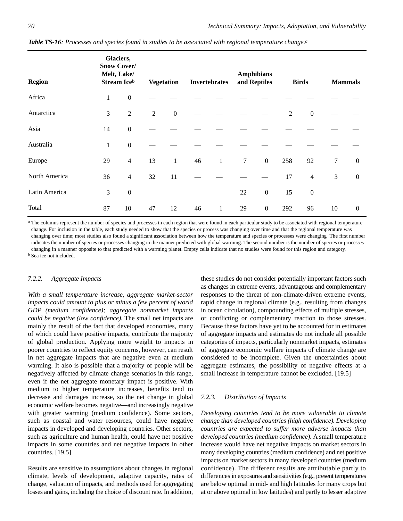| <b>Region</b> | Glaciers,<br><b>Snow Cover/</b><br>Melt, Lake/<br><b>Stream Iceb</b> |                  | <b>Vegetation</b> | Invertebrates    |    | <b>Amphibians</b><br>and Reptiles |                 | <b>Birds</b>     |                | <b>Mammals</b>   |    |                  |
|---------------|----------------------------------------------------------------------|------------------|-------------------|------------------|----|-----------------------------------|-----------------|------------------|----------------|------------------|----|------------------|
| Africa        | $\mathbf{1}$                                                         | $\boldsymbol{0}$ |                   |                  |    |                                   |                 |                  |                |                  |    |                  |
| Antarctica    | $\mathfrak{Z}$                                                       | $\overline{2}$   | $\overline{2}$    | $\boldsymbol{0}$ |    |                                   |                 |                  | $\overline{2}$ | $\boldsymbol{0}$ |    |                  |
| Asia          | 14                                                                   | $\boldsymbol{0}$ |                   |                  |    |                                   |                 |                  |                |                  |    |                  |
| Australia     | $\mathbf{1}$                                                         | $\boldsymbol{0}$ |                   |                  |    |                                   |                 |                  |                |                  |    |                  |
| Europe        | 29                                                                   | $\overline{4}$   | 13                | $\mathbf{1}$     | 46 | $\mathbf{1}$                      | $7\overline{ }$ | $\mathbf{0}$     | 258            | 92               | 7  | $\boldsymbol{0}$ |
| North America | 36                                                                   | $\overline{4}$   | 32                | 11               |    |                                   |                 |                  | 17             | $\overline{4}$   | 3  | $\boldsymbol{0}$ |
| Latin America | 3                                                                    | $\boldsymbol{0}$ |                   |                  |    |                                   | 22              | $\mathbf{0}$     | 15             | $\boldsymbol{0}$ |    |                  |
| Total         | 87                                                                   | $10\,$           | 47                | 12               | 46 | $\mathbf{1}$                      | 29              | $\boldsymbol{0}$ | 292            | 96               | 10 | $\boldsymbol{0}$ |

*Table TS-16: Processes and species found in studies to be associated with regional temperature change.<sup>a</sup>*

<sup>a</sup> The columns represent the number of species and processes in each region that were found in each particular study to be associated with regional temperature change. For inclusion in the table, each study needed to show that the species or process was changing over time and that the regional temperature was changing over time; most studies also found a significant association between how the temperature and species or processes were changing The first number indicates the number of species or processes changing in the manner predicted with global warming. The second number is the number of species or processes changing in a manner opposite to that predicted with a warming planet. Empty cells indicate that no studies were found for this region and category. b Sea ice not included.

## *7.2.2. Aggregate Impacts*

*With a small temperature increase, aggregate market-sector impacts could amount to plus or minus a few percent of world G D P (medium confidence); aggregate nonmarket impacts could be negative (low confidence).* The small net impacts are mainly the result of the fact that developed economies, many of which could have positive impacts, contribute the majority of global production. Applying more weight to impacts in poorer countries to reflect equity concerns, however, can result in net aggregate impacts that are negative even at medium warming. It also is possible that a majority of people will be negatively affected by climate change scenarios in this range, even if the net aggregate monetary impact is positive. With medium to higher temperature increases, benefits tend to decrease and damages increase, so the net change in global economic welfare becomes negative—and increasingly negative with greater warming (medium confidence). Some sectors, such as coastal and water resources, could have negative impacts in developed and developing countries. Other sectors, such as agriculture and human health, could have net positive impacts in some countries and net negative impacts in other countries. [19.5]

Results are sensitive to assumptions about changes in regional climate, levels of development, adaptive capacity, rates of change, valuation of impacts, and methods used for aggregating losses and gains, including the choice of discount rate. In addition, these studies do not consider potentially important factors such as changes in extreme events, advantageous and complementary responses to the threat of non-climate-driven extreme events, rapid change in regional climate (e.g., resulting from changes in ocean circulation), compounding effects of multiple stresses, or conflicting or complementary reaction to those stresses. Because these factors have yet to be accounted for in estimates of aggregate impacts and estimates do not include all possible categories of impacts, particularly nonmarket impacts, estimates of aggregate economic welfare impacts of climate change are considered to be incomplete. Given the uncertainties about aggregate estimates, the possibility of negative effects at a small increase in temperature cannot be excluded. [19.5]

#### *7.2.3. Distribution of Impacts*

*Developing countries tend to be more vulnerable to climate change than developed countries (high confidence). Developing countries are expected to suffer more adverse impacts than developed countries (medium confidence).* A small temperature increase would have net negative impacts on market sectors in many developing countries (medium confidence) and net positive impacts on market sectors in many developed countries (medium confidence). The different results are attributable partly to differences in exposures and sensitivities (e.g., present temperatures are below optimal in mid- and high latitudes for many crops but at or above optimal in low latitudes) and partly to lesser adaptive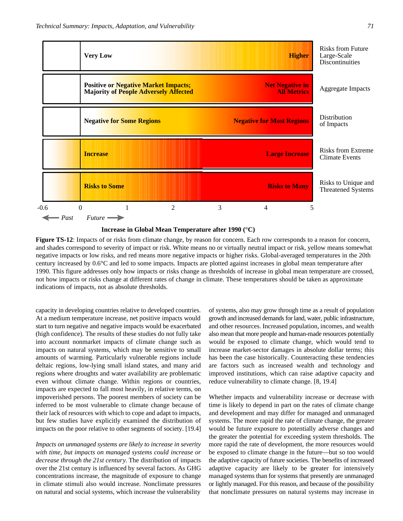

**Increase in Global Mean Temperature after 1990 (°C)**

**Figure TS-12**: Impacts of or risks from climate change, by reason for concern. Each row corresponds to a reason for concern, and shades correspond to severity of impact or risk. White means no or virtually neutral impact or risk, yellow means somewhat negative impacts or low risks, and red means more negative impacts or higher risks. Global-averaged temperatures in the 20th century increased by 0.6°C and led to some impacts. Impacts are plotted against increases in global mean temperature after 1990. This figure addresses only how impacts or risks change as thresholds of increase in global mean temperature are crossed, not how impacts or risks change at different rates of change in climate. These temperatures should be taken as approximate indications of impacts, not as absolute thresholds.

capacity in developing countries relative to developed countries. At a medium temperature increase, net positive impacts would start to turn negative and negative impacts would be exacerbated (high confidence). The results of these studies do not fully take into account nonmarket impacts of climate change such as impacts on natural systems, which may be sensitive to small amounts of warming. Particularly vulnerable regions include deltaic regions, low-lying small island states, and many arid regions where droughts and water availability are problematic even without climate change. Within regions or countries, impacts are expected to fall most heavily, in relative terms, on impoverished persons. The poorest members of society can be inferred to be most vulnerable to climate change because of their lack of resources with which to cope and adapt to impacts, but few studies have explicitly examined the distribution of impacts on the poor relative to other segments of society. [19.4]

*Impacts on unmanaged systems are likely to increase in severity with time, but impacts on managed systems could increase or decrease through the 21st century.* The distribution of impacts over the 21st century is influenced by several factors. As GHG concentrations increase, the magnitude of exposure to change in climate stimuli also would increase. Nonclimate pressures on natural and social systems, which increase the vulnerability

of systems, also may grow through time as a result of population growth and increased demands for land, water, public infrastructure, and other resources. Increased population, incomes, and wealth also mean that more people and human-made resources potentially would be exposed to climate change, which would tend to increase market-sector damages in absolute dollar terms; this has been the case historically. Counteracting these tendencies are factors such as increased wealth and technology and improved institutions, which can raise adaptive capacity and reduce vulnerability to climate change. [8, 19.4]

Whether impacts and vulnerability increase or decrease with time is likely to depend in part on the rates of climate change and development and may differ for managed and unmanaged systems. The more rapid the rate of climate change, the greater would be future exposure to potentially adverse changes and the greater the potential for exceeding system thresholds. The more rapid the rate of development, the more resources would be exposed to climate change in the future—but so too would the adaptive capacity of future societies. The benefits of increased adaptive capacity are likely to be greater for intensively managed systems than for systems that presently are unmanaged or lightly managed. For this reason, and because of the possibility that nonclimate pressures on natural systems may increase in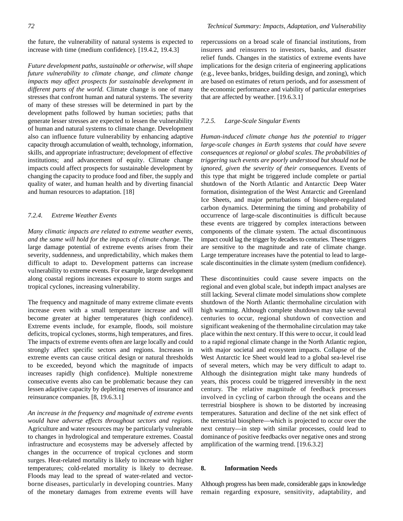the future, the vulnerability of natural systems is expected to increase with time (medium confidence). [19.4.2, 19.4.3]

*Future development paths, sustainable or otherwise, will shape future vulnerability to climate change, and climate change impacts may affect prospects for sustainable development in different parts of the world.* Climate change is one of many stresses that confront human and natural systems. The severity of many of these stresses will be determined in part by the development paths followed by human societies; paths that generate lesser stresses are expected to lessen the vulnerability of human and natural systems to climate change. Development also can influence future vulnerability by enhancing adaptive capacity through accumulation of wealth, technology, information, skills, and appropriate infrastructure; development of effective institutions; and advancement of equity. Climate change impacts could affect prospects for sustainable development by changing the capacity to produce food and fiber, the supply and quality of water, and human health and by diverting financial and human resources to adaptation. [18]

## *7.2.4. Extreme Weather Events*

*Many climatic impacts are related to extreme weather events, and the same will hold for the impacts of climate change.* The large damage potential of extreme events arises from their severity, suddenness, and unpredictability, which makes them difficult to adapt to. Development patterns can increase vulnerability to extreme events. For example, large development along coastal regions increases exposure to storm surges and tropical cyclones, increasing vulnerability.

The frequency and magnitude of many extreme climate events increase even with a small temperature increase and will become greater at higher temperatures (high confidence). Extreme events include, for example, floods, soil moisture deficits, tropical cyclones, storms, high temperatures, and fires. The impacts of extreme events often are large locally and could strongly affect specific sectors and regions. Increases in extreme events can cause critical design or natural thresholds to be exceeded, beyond which the magnitude of impacts increases rapidly (high confidence). Multiple nonextreme consecutive events also can be problematic because they can lessen adaptive capacity by depleting reserves of insurance and reinsurance companies. [8, 19.6.3.1]

*An increase in the frequency and magnitude of extreme events would have adverse effects throughout sectors and regions.* Agriculture and water resources may be particularly vulnerable to changes in hydrological and temperature extremes. Coastal infrastructure and ecosystems may be adversely affected by changes in the occurrence of tropical cyclones and storm surges. Heat-related mortality is likely to increase with higher temperatures; cold-related mortality is likely to decrease. Floods may lead to the spread of water-related and vectorborne diseases, particularly in developing countries. Many of the monetary damages from extreme events will have repercussions on a broad scale of financial institutions, from insurers and reinsurers to investors, banks, and disaster relief funds. Changes in the statistics of extreme events have implications for the design criteria of engineering applications (e.g., levee banks, bridges, building design, and zoning), which are based on estimates of return periods, and for assessment of the economic performance and viability of particular enterprises that are affected by weather. [19.6.3.1]

## *7.2.5. Large-Scale Singular Events*

*Human-induced climate change has the potential to trigger large-scale changes in Earth systems that could have severe consequences at regional or global scales.The probabilities of triggering such events are poorly understood but should not be ignored, given the severity of their consequences.* Events of this type that might be triggered include complete or partial shutdown of the North Atlantic and Antarctic Deep Water formation, disintegration of the West Antarctic and Greenland Ice Sheets, and major perturbations of biosphere-regulated carbon dynamics. Determining the timing and probability of occurrence of large-scale discontinuities is difficult because these events are triggered by complex interactions between components of the climate system. The actual discontinuous impact could lag the trigger by decades to centuries. These triggers are sensitive to the magnitude and rate of climate change. Large temperature increases have the potential to lead to largescale discontinuities in the climate system (medium confidence).

These discontinuities could cause severe impacts on the regional and even global scale, but indepth impact analyses are still lacking. Several climate model simulations show complete shutdown of the North Atlantic thermohaline circulation with high warming. Although complete shutdown may take several centuries to occur, regional shutdown of convection and significant weakening of the thermohaline circulation may take place within the next century. If this were to occur, it could lead to a rapid regional climate change in the North Atlantic region, with major societal and ecosystem impacts. Collapse of the West Antarctic Ice Sheet would lead to a global sea-level rise of several meters, which may be very difficult to adapt to. Although the disintegration might take many hundreds of years, this process could be triggered irreversibly in the next century. The relative magnitude of feedback processes involved in cycling of carbon through the oceans and the terrestrial biosphere is shown to be distorted by increasing temperatures. Saturation and decline of the net sink effect of the terrestrial biosphere—which is projected to occur over the next century—in step with similar processes, could lead to dominance of positive feedbacks over negative ones and strong amplification of the warming trend. [19.6.3.2]

## **8. Information Needs**

Although progress has been made, considerable gaps in knowledge remain regarding exposure, sensitivity, adaptability, and